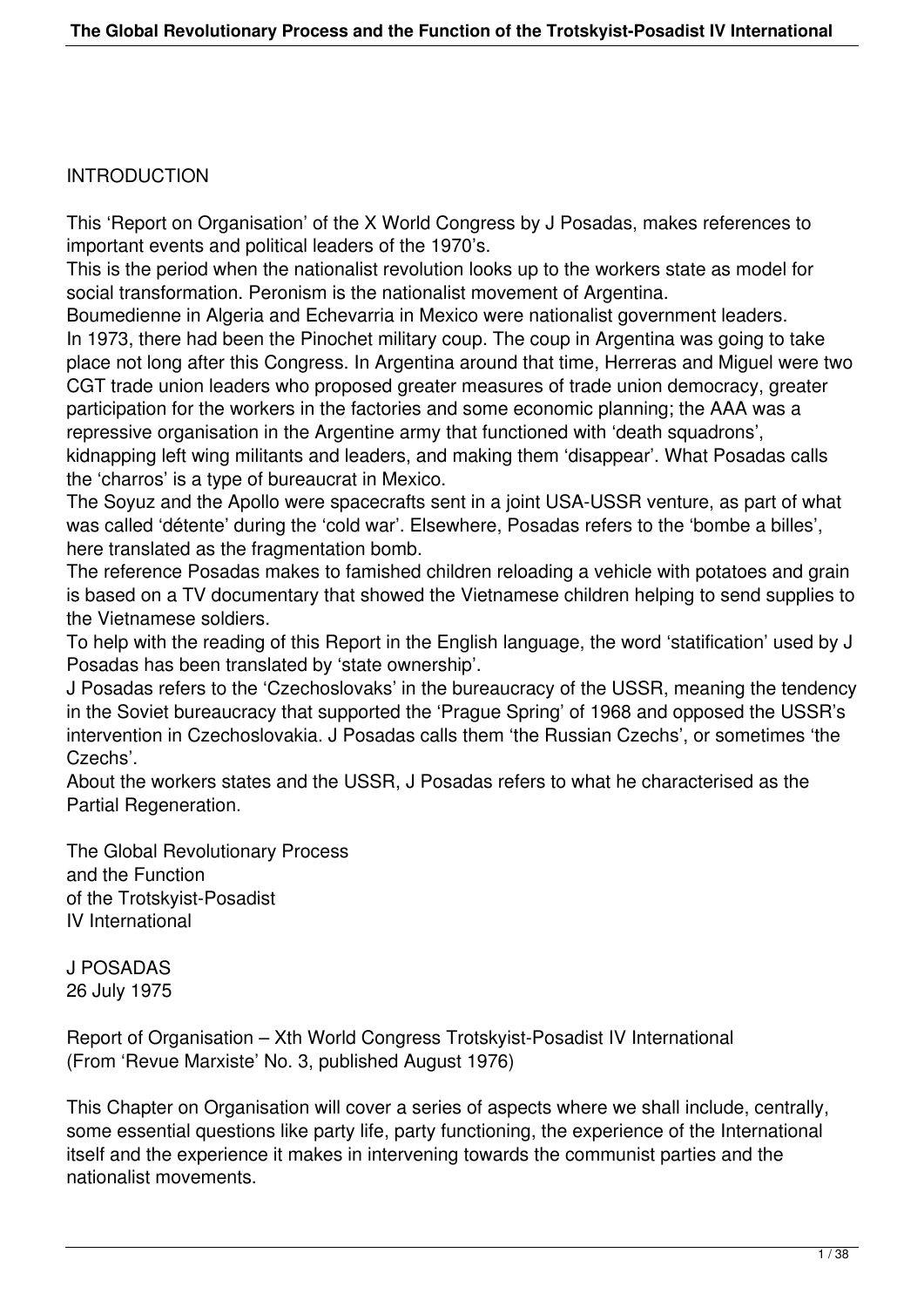#### **INTRODUCTION**

This 'Report on Organisation' of the X World Congress by J Posadas, makes references to important events and political leaders of the 1970's.

This is the period when the nationalist revolution looks up to the workers state as model for social transformation. Peronism is the nationalist movement of Argentina.

Boumedienne in Algeria and Echevarria in Mexico were nationalist government leaders. In 1973, there had been the Pinochet military coup. The coup in Argentina was going to take place not long after this Congress. In Argentina around that time, Herreras and Miguel were two CGT trade union leaders who proposed greater measures of trade union democracy, greater participation for the workers in the factories and some economic planning; the AAA was a repressive organisation in the Argentine army that functioned with 'death squadrons', kidnapping left wing militants and leaders, and making them 'disappear'. What Posadas calls

the 'charros' is a type of bureaucrat in Mexico.

The Soyuz and the Apollo were spacecrafts sent in a joint USA-USSR venture, as part of what was called 'détente' during the 'cold war'. Elsewhere, Posadas refers to the 'bombe a billes', here translated as the fragmentation bomb.

The reference Posadas makes to famished children reloading a vehicle with potatoes and grain is based on a TV documentary that showed the Vietnamese children helping to send supplies to the Vietnamese soldiers.

To help with the reading of this Report in the English language, the word 'statification' used by J Posadas has been translated by 'state ownership'.

J Posadas refers to the 'Czechoslovaks' in the bureaucracy of the USSR, meaning the tendency in the Soviet bureaucracy that supported the 'Prague Spring' of 1968 and opposed the USSR's intervention in Czechoslovakia. J Posadas calls them 'the Russian Czechs', or sometimes 'the Czechs'.

About the workers states and the USSR, J Posadas refers to what he characterised as the Partial Regeneration.

The Global Revolutionary Process and the Function of the Trotskyist-Posadist IV International

J POSADAS 26 July 1975

Report of Organisation – Xth World Congress Trotskyist-Posadist IV International (From 'Revue Marxiste' No. 3, published August 1976)

This Chapter on Organisation will cover a series of aspects where we shall include, centrally, some essential questions like party life, party functioning, the experience of the International itself and the experience it makes in intervening towards the communist parties and the nationalist movements.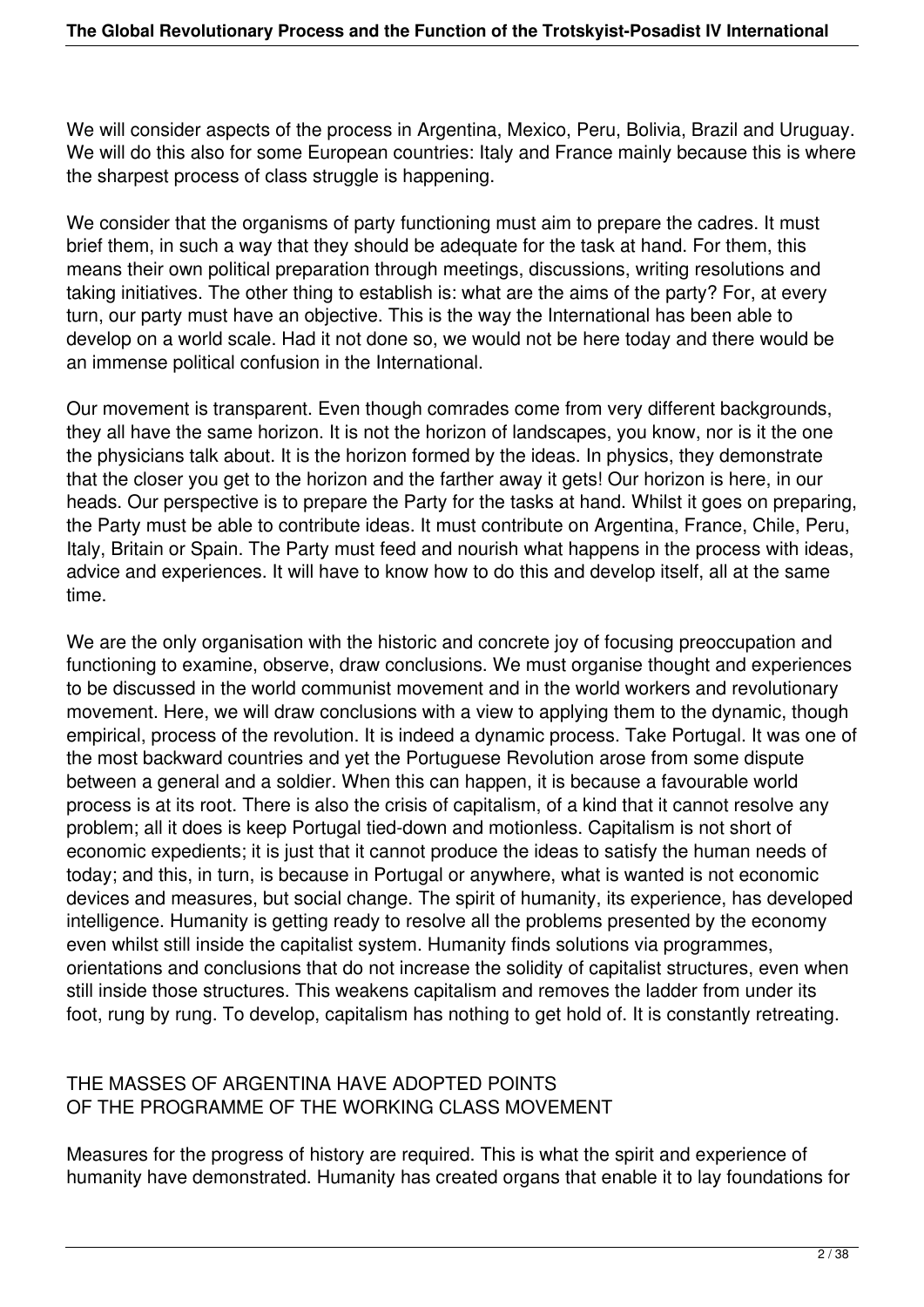We will consider aspects of the process in Argentina, Mexico, Peru, Bolivia, Brazil and Uruguay. We will do this also for some European countries: Italy and France mainly because this is where the sharpest process of class struggle is happening.

We consider that the organisms of party functioning must aim to prepare the cadres. It must brief them, in such a way that they should be adequate for the task at hand. For them, this means their own political preparation through meetings, discussions, writing resolutions and taking initiatives. The other thing to establish is: what are the aims of the party? For, at every turn, our party must have an objective. This is the way the International has been able to develop on a world scale. Had it not done so, we would not be here today and there would be an immense political confusion in the International.

Our movement is transparent. Even though comrades come from very different backgrounds, they all have the same horizon. It is not the horizon of landscapes, you know, nor is it the one the physicians talk about. It is the horizon formed by the ideas. In physics, they demonstrate that the closer you get to the horizon and the farther away it gets! Our horizon is here, in our heads. Our perspective is to prepare the Party for the tasks at hand. Whilst it goes on preparing, the Party must be able to contribute ideas. It must contribute on Argentina, France, Chile, Peru, Italy, Britain or Spain. The Party must feed and nourish what happens in the process with ideas, advice and experiences. It will have to know how to do this and develop itself, all at the same time.

We are the only organisation with the historic and concrete joy of focusing preoccupation and functioning to examine, observe, draw conclusions. We must organise thought and experiences to be discussed in the world communist movement and in the world workers and revolutionary movement. Here, we will draw conclusions with a view to applying them to the dynamic, though empirical, process of the revolution. It is indeed a dynamic process. Take Portugal. It was one of the most backward countries and yet the Portuguese Revolution arose from some dispute between a general and a soldier. When this can happen, it is because a favourable world process is at its root. There is also the crisis of capitalism, of a kind that it cannot resolve any problem; all it does is keep Portugal tied-down and motionless. Capitalism is not short of economic expedients; it is just that it cannot produce the ideas to satisfy the human needs of today; and this, in turn, is because in Portugal or anywhere, what is wanted is not economic devices and measures, but social change. The spirit of humanity, its experience, has developed intelligence. Humanity is getting ready to resolve all the problems presented by the economy even whilst still inside the capitalist system. Humanity finds solutions via programmes, orientations and conclusions that do not increase the solidity of capitalist structures, even when still inside those structures. This weakens capitalism and removes the ladder from under its foot, rung by rung. To develop, capitalism has nothing to get hold of. It is constantly retreating.

### THE MASSES OF ARGENTINA HAVE ADOPTED POINTS OF THE PROGRAMME OF THE WORKING CLASS MOVEMENT

Measures for the progress of history are required. This is what the spirit and experience of humanity have demonstrated. Humanity has created organs that enable it to lay foundations for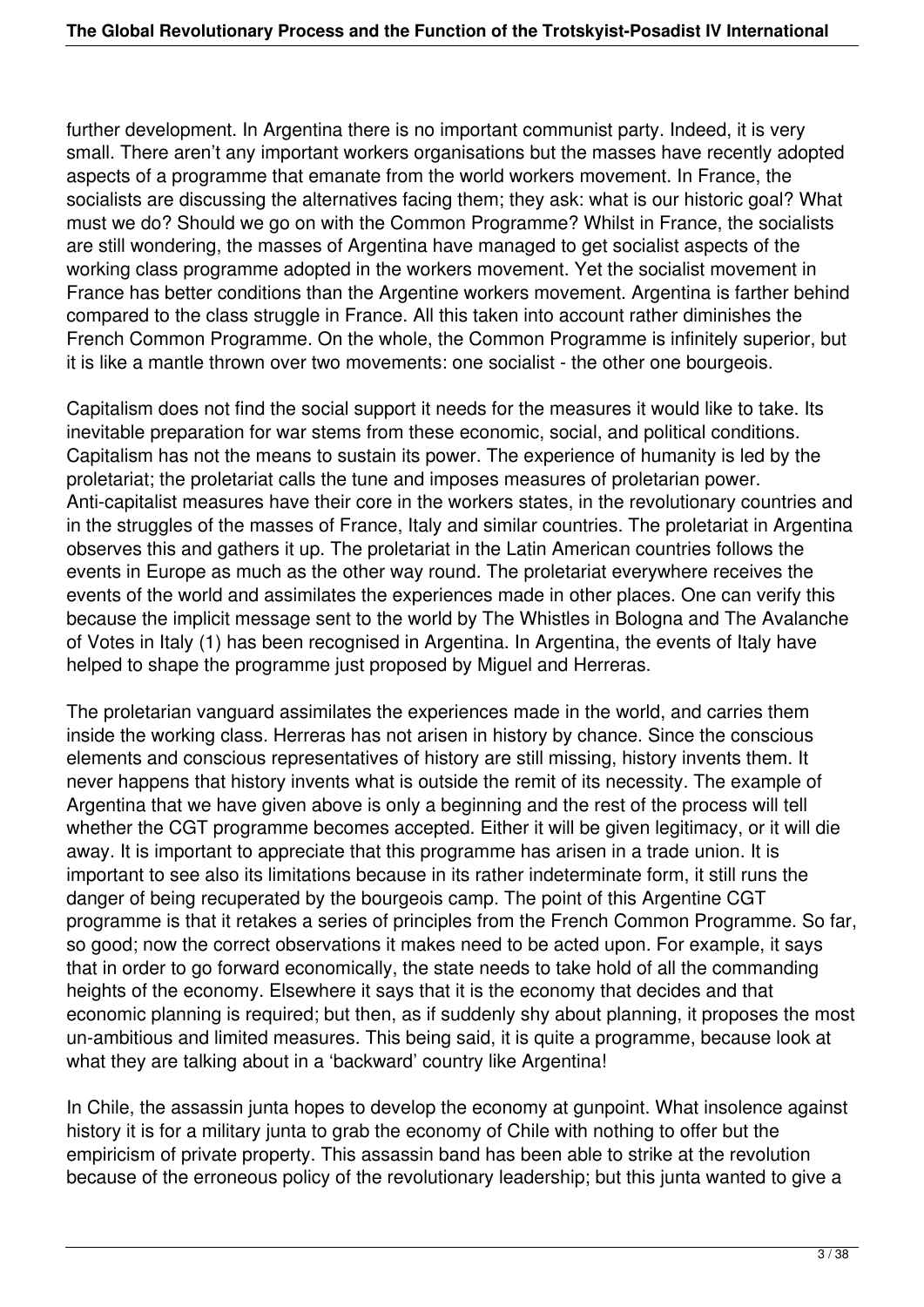further development. In Argentina there is no important communist party. Indeed, it is very small. There aren't any important workers organisations but the masses have recently adopted aspects of a programme that emanate from the world workers movement. In France, the socialists are discussing the alternatives facing them; they ask: what is our historic goal? What must we do? Should we go on with the Common Programme? Whilst in France, the socialists are still wondering, the masses of Argentina have managed to get socialist aspects of the working class programme adopted in the workers movement. Yet the socialist movement in France has better conditions than the Argentine workers movement. Argentina is farther behind compared to the class struggle in France. All this taken into account rather diminishes the French Common Programme. On the whole, the Common Programme is infinitely superior, but it is like a mantle thrown over two movements: one socialist - the other one bourgeois.

Capitalism does not find the social support it needs for the measures it would like to take. Its inevitable preparation for war stems from these economic, social, and political conditions. Capitalism has not the means to sustain its power. The experience of humanity is led by the proletariat; the proletariat calls the tune and imposes measures of proletarian power. Anti-capitalist measures have their core in the workers states, in the revolutionary countries and in the struggles of the masses of France, Italy and similar countries. The proletariat in Argentina observes this and gathers it up. The proletariat in the Latin American countries follows the events in Europe as much as the other way round. The proletariat everywhere receives the events of the world and assimilates the experiences made in other places. One can verify this because the implicit message sent to the world by The Whistles in Bologna and The Avalanche of Votes in Italy (1) has been recognised in Argentina. In Argentina, the events of Italy have helped to shape the programme just proposed by Miguel and Herreras.

The proletarian vanguard assimilates the experiences made in the world, and carries them inside the working class. Herreras has not arisen in history by chance. Since the conscious elements and conscious representatives of history are still missing, history invents them. It never happens that history invents what is outside the remit of its necessity. The example of Argentina that we have given above is only a beginning and the rest of the process will tell whether the CGT programme becomes accepted. Either it will be given legitimacy, or it will die away. It is important to appreciate that this programme has arisen in a trade union. It is important to see also its limitations because in its rather indeterminate form, it still runs the danger of being recuperated by the bourgeois camp. The point of this Argentine CGT programme is that it retakes a series of principles from the French Common Programme. So far, so good; now the correct observations it makes need to be acted upon. For example, it says that in order to go forward economically, the state needs to take hold of all the commanding heights of the economy. Elsewhere it says that it is the economy that decides and that economic planning is required; but then, as if suddenly shy about planning, it proposes the most un-ambitious and limited measures. This being said, it is quite a programme, because look at what they are talking about in a 'backward' country like Argentina!

In Chile, the assassin junta hopes to develop the economy at gunpoint. What insolence against history it is for a military junta to grab the economy of Chile with nothing to offer but the empiricism of private property. This assassin band has been able to strike at the revolution because of the erroneous policy of the revolutionary leadership; but this junta wanted to give a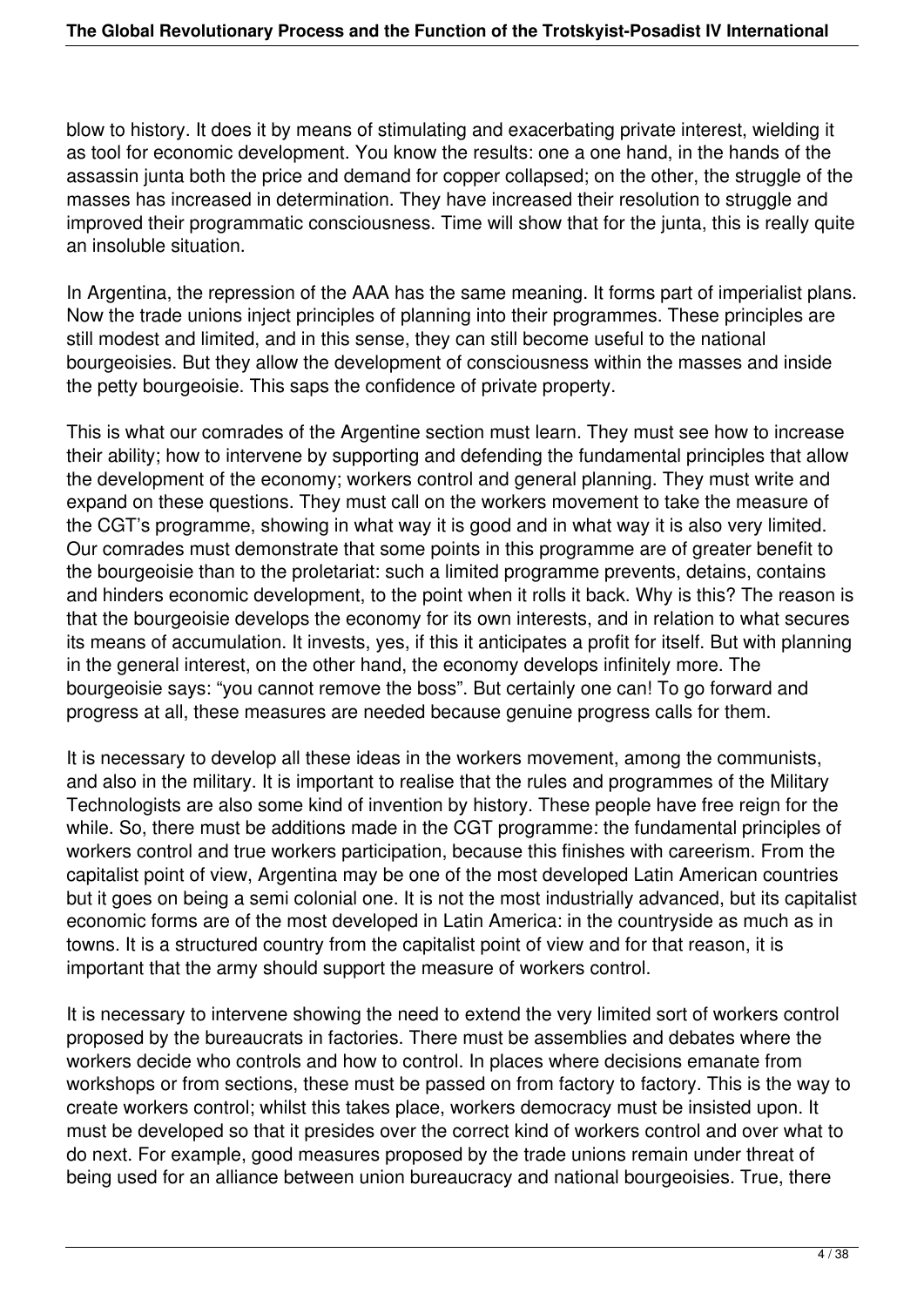blow to history. It does it by means of stimulating and exacerbating private interest, wielding it as tool for economic development. You know the results: one a one hand, in the hands of the assassin junta both the price and demand for copper collapsed; on the other, the struggle of the masses has increased in determination. They have increased their resolution to struggle and improved their programmatic consciousness. Time will show that for the junta, this is really quite an insoluble situation.

In Argentina, the repression of the AAA has the same meaning. It forms part of imperialist plans. Now the trade unions inject principles of planning into their programmes. These principles are still modest and limited, and in this sense, they can still become useful to the national bourgeoisies. But they allow the development of consciousness within the masses and inside the petty bourgeoisie. This saps the confidence of private property.

This is what our comrades of the Argentine section must learn. They must see how to increase their ability; how to intervene by supporting and defending the fundamental principles that allow the development of the economy; workers control and general planning. They must write and expand on these questions. They must call on the workers movement to take the measure of the CGT's programme, showing in what way it is good and in what way it is also very limited. Our comrades must demonstrate that some points in this programme are of greater benefit to the bourgeoisie than to the proletariat: such a limited programme prevents, detains, contains and hinders economic development, to the point when it rolls it back. Why is this? The reason is that the bourgeoisie develops the economy for its own interests, and in relation to what secures its means of accumulation. It invests, yes, if this it anticipates a profit for itself. But with planning in the general interest, on the other hand, the economy develops infinitely more. The bourgeoisie says: "you cannot remove the boss". But certainly one can! To go forward and progress at all, these measures are needed because genuine progress calls for them.

It is necessary to develop all these ideas in the workers movement, among the communists, and also in the military. It is important to realise that the rules and programmes of the Military Technologists are also some kind of invention by history. These people have free reign for the while. So, there must be additions made in the CGT programme: the fundamental principles of workers control and true workers participation, because this finishes with careerism. From the capitalist point of view, Argentina may be one of the most developed Latin American countries but it goes on being a semi colonial one. It is not the most industrially advanced, but its capitalist economic forms are of the most developed in Latin America: in the countryside as much as in towns. It is a structured country from the capitalist point of view and for that reason, it is important that the army should support the measure of workers control.

It is necessary to intervene showing the need to extend the very limited sort of workers control proposed by the bureaucrats in factories. There must be assemblies and debates where the workers decide who controls and how to control. In places where decisions emanate from workshops or from sections, these must be passed on from factory to factory. This is the way to create workers control; whilst this takes place, workers democracy must be insisted upon. It must be developed so that it presides over the correct kind of workers control and over what to do next. For example, good measures proposed by the trade unions remain under threat of being used for an alliance between union bureaucracy and national bourgeoisies. True, there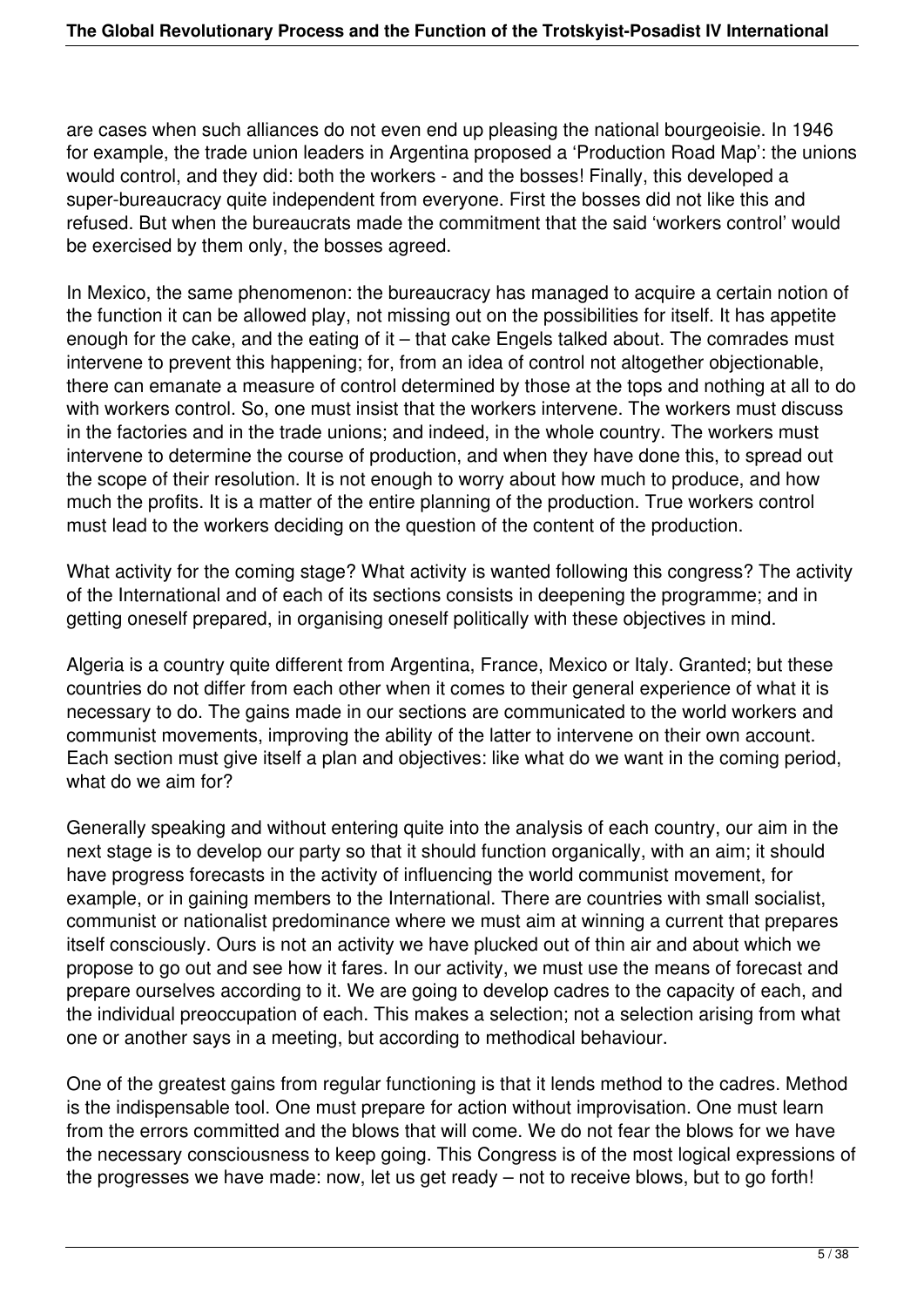are cases when such alliances do not even end up pleasing the national bourgeoisie. In 1946 for example, the trade union leaders in Argentina proposed a 'Production Road Map': the unions would control, and they did: both the workers - and the bosses! Finally, this developed a super-bureaucracy quite independent from everyone. First the bosses did not like this and refused. But when the bureaucrats made the commitment that the said 'workers control' would be exercised by them only, the bosses agreed.

In Mexico, the same phenomenon: the bureaucracy has managed to acquire a certain notion of the function it can be allowed play, not missing out on the possibilities for itself. It has appetite enough for the cake, and the eating of it – that cake Engels talked about. The comrades must intervene to prevent this happening; for, from an idea of control not altogether objectionable, there can emanate a measure of control determined by those at the tops and nothing at all to do with workers control. So, one must insist that the workers intervene. The workers must discuss in the factories and in the trade unions; and indeed, in the whole country. The workers must intervene to determine the course of production, and when they have done this, to spread out the scope of their resolution. It is not enough to worry about how much to produce, and how much the profits. It is a matter of the entire planning of the production. True workers control must lead to the workers deciding on the question of the content of the production.

What activity for the coming stage? What activity is wanted following this congress? The activity of the International and of each of its sections consists in deepening the programme; and in getting oneself prepared, in organising oneself politically with these objectives in mind.

Algeria is a country quite different from Argentina, France, Mexico or Italy. Granted; but these countries do not differ from each other when it comes to their general experience of what it is necessary to do. The gains made in our sections are communicated to the world workers and communist movements, improving the ability of the latter to intervene on their own account. Each section must give itself a plan and objectives: like what do we want in the coming period, what do we aim for?

Generally speaking and without entering quite into the analysis of each country, our aim in the next stage is to develop our party so that it should function organically, with an aim; it should have progress forecasts in the activity of influencing the world communist movement, for example, or in gaining members to the International. There are countries with small socialist, communist or nationalist predominance where we must aim at winning a current that prepares itself consciously. Ours is not an activity we have plucked out of thin air and about which we propose to go out and see how it fares. In our activity, we must use the means of forecast and prepare ourselves according to it. We are going to develop cadres to the capacity of each, and the individual preoccupation of each. This makes a selection; not a selection arising from what one or another says in a meeting, but according to methodical behaviour.

One of the greatest gains from regular functioning is that it lends method to the cadres. Method is the indispensable tool. One must prepare for action without improvisation. One must learn from the errors committed and the blows that will come. We do not fear the blows for we have the necessary consciousness to keep going. This Congress is of the most logical expressions of the progresses we have made: now, let us get ready – not to receive blows, but to go forth!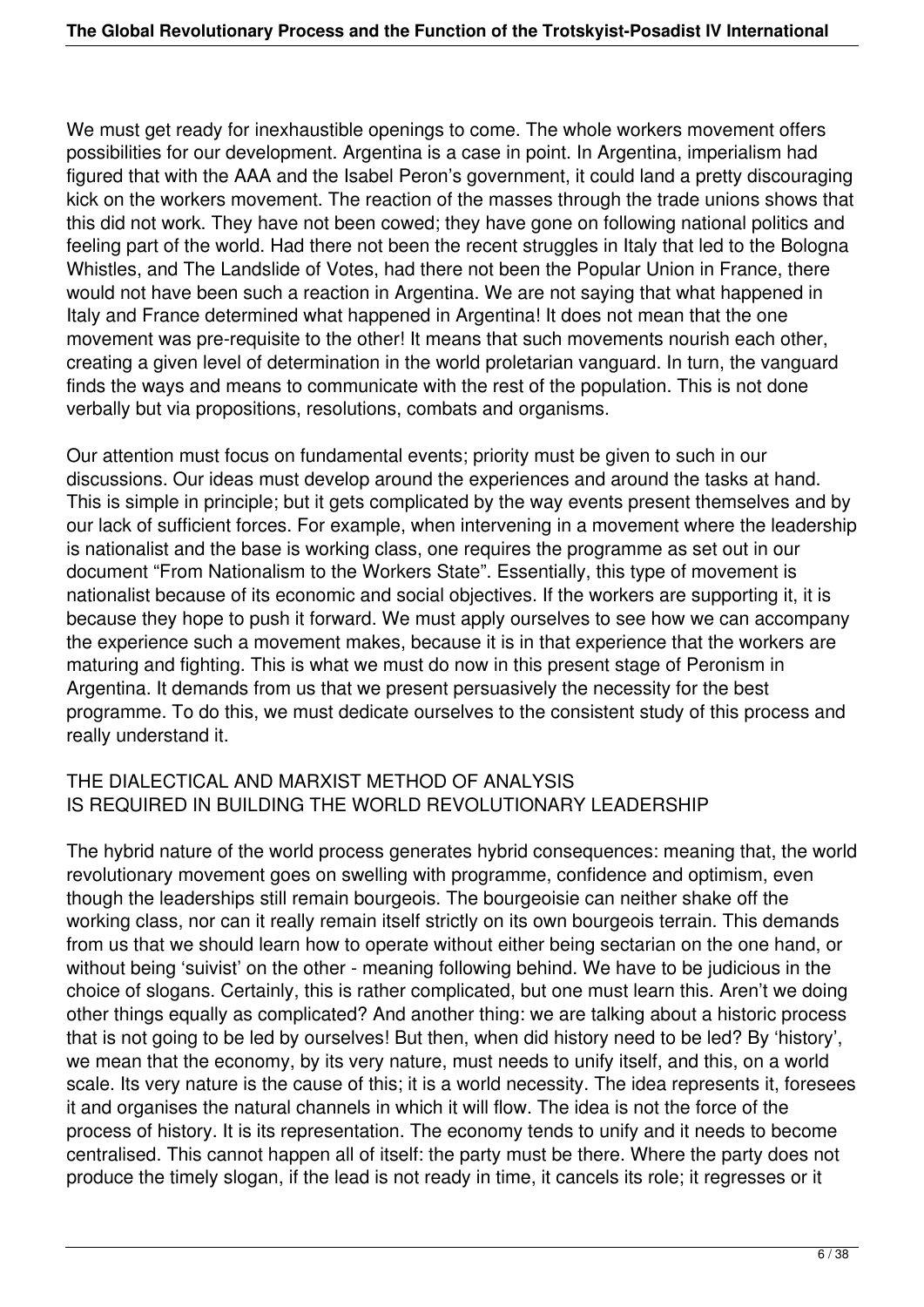We must get ready for inexhaustible openings to come. The whole workers movement offers possibilities for our development. Argentina is a case in point. In Argentina, imperialism had figured that with the AAA and the Isabel Peron's government, it could land a pretty discouraging kick on the workers movement. The reaction of the masses through the trade unions shows that this did not work. They have not been cowed; they have gone on following national politics and feeling part of the world. Had there not been the recent struggles in Italy that led to the Bologna Whistles, and The Landslide of Votes, had there not been the Popular Union in France, there would not have been such a reaction in Argentina. We are not saying that what happened in Italy and France determined what happened in Argentina! It does not mean that the one movement was pre-requisite to the other! It means that such movements nourish each other, creating a given level of determination in the world proletarian vanguard. In turn, the vanguard finds the ways and means to communicate with the rest of the population. This is not done verbally but via propositions, resolutions, combats and organisms.

Our attention must focus on fundamental events; priority must be given to such in our discussions. Our ideas must develop around the experiences and around the tasks at hand. This is simple in principle; but it gets complicated by the way events present themselves and by our lack of sufficient forces. For example, when intervening in a movement where the leadership is nationalist and the base is working class, one requires the programme as set out in our document "From Nationalism to the Workers State". Essentially, this type of movement is nationalist because of its economic and social objectives. If the workers are supporting it, it is because they hope to push it forward. We must apply ourselves to see how we can accompany the experience such a movement makes, because it is in that experience that the workers are maturing and fighting. This is what we must do now in this present stage of Peronism in Argentina. It demands from us that we present persuasively the necessity for the best programme. To do this, we must dedicate ourselves to the consistent study of this process and really understand it.

# THE DIALECTICAL AND MARXIST METHOD OF ANALYSIS IS REQUIRED IN BUILDING THE WORLD REVOLUTIONARY LEADERSHIP

The hybrid nature of the world process generates hybrid consequences: meaning that, the world revolutionary movement goes on swelling with programme, confidence and optimism, even though the leaderships still remain bourgeois. The bourgeoisie can neither shake off the working class, nor can it really remain itself strictly on its own bourgeois terrain. This demands from us that we should learn how to operate without either being sectarian on the one hand, or without being 'suivist' on the other - meaning following behind. We have to be judicious in the choice of slogans. Certainly, this is rather complicated, but one must learn this. Aren't we doing other things equally as complicated? And another thing: we are talking about a historic process that is not going to be led by ourselves! But then, when did history need to be led? By 'history', we mean that the economy, by its very nature, must needs to unify itself, and this, on a world scale. Its very nature is the cause of this; it is a world necessity. The idea represents it, foresees it and organises the natural channels in which it will flow. The idea is not the force of the process of history. It is its representation. The economy tends to unify and it needs to become centralised. This cannot happen all of itself: the party must be there. Where the party does not produce the timely slogan, if the lead is not ready in time, it cancels its role; it regresses or it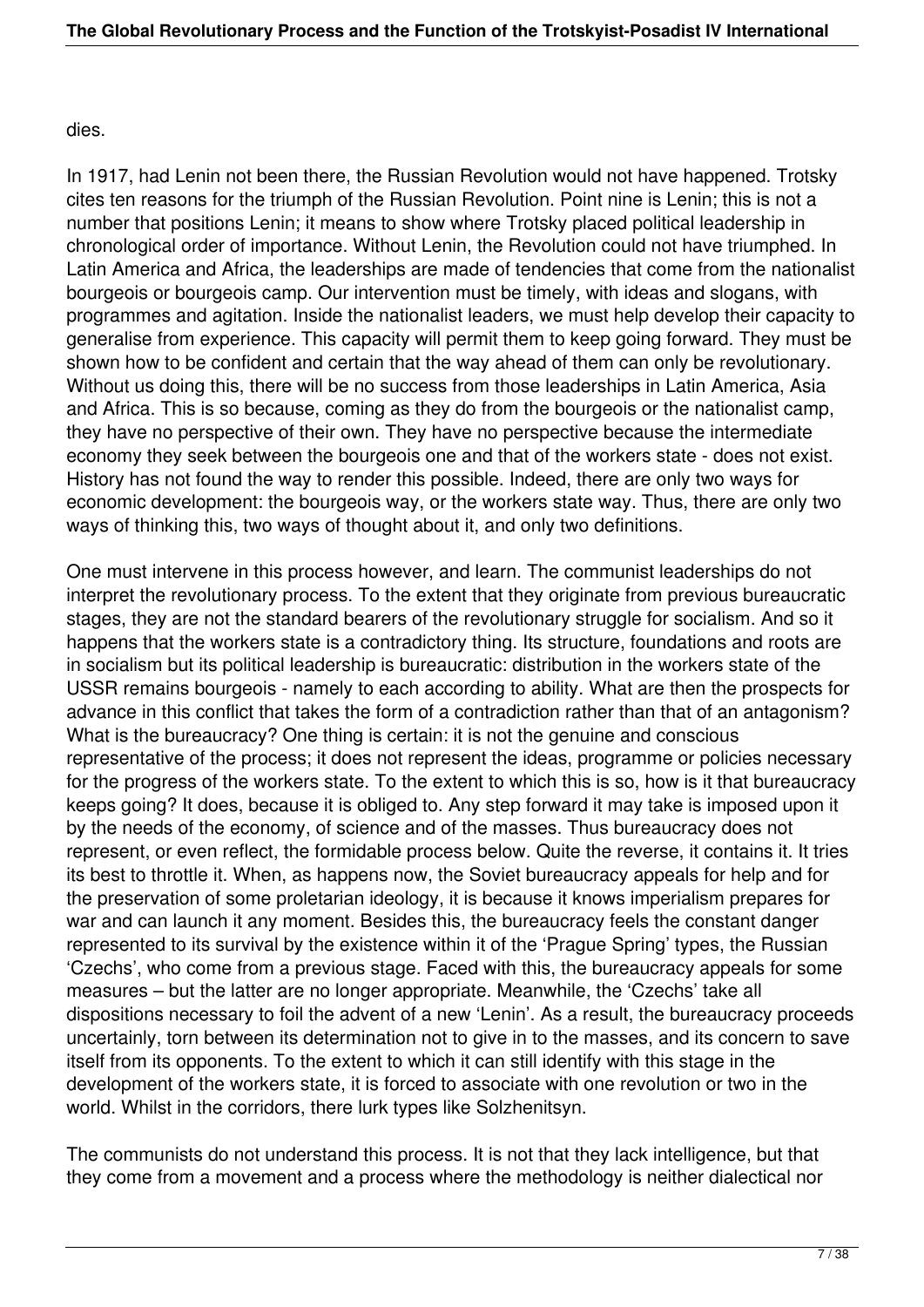#### dies.

In 1917, had Lenin not been there, the Russian Revolution would not have happened. Trotsky cites ten reasons for the triumph of the Russian Revolution. Point nine is Lenin; this is not a number that positions Lenin; it means to show where Trotsky placed political leadership in chronological order of importance. Without Lenin, the Revolution could not have triumphed. In Latin America and Africa, the leaderships are made of tendencies that come from the nationalist bourgeois or bourgeois camp. Our intervention must be timely, with ideas and slogans, with programmes and agitation. Inside the nationalist leaders, we must help develop their capacity to generalise from experience. This capacity will permit them to keep going forward. They must be shown how to be confident and certain that the way ahead of them can only be revolutionary. Without us doing this, there will be no success from those leaderships in Latin America, Asia and Africa. This is so because, coming as they do from the bourgeois or the nationalist camp, they have no perspective of their own. They have no perspective because the intermediate economy they seek between the bourgeois one and that of the workers state - does not exist. History has not found the way to render this possible. Indeed, there are only two ways for economic development: the bourgeois way, or the workers state way. Thus, there are only two ways of thinking this, two ways of thought about it, and only two definitions.

One must intervene in this process however, and learn. The communist leaderships do not interpret the revolutionary process. To the extent that they originate from previous bureaucratic stages, they are not the standard bearers of the revolutionary struggle for socialism. And so it happens that the workers state is a contradictory thing. Its structure, foundations and roots are in socialism but its political leadership is bureaucratic: distribution in the workers state of the USSR remains bourgeois - namely to each according to ability. What are then the prospects for advance in this conflict that takes the form of a contradiction rather than that of an antagonism? What is the bureaucracy? One thing is certain: it is not the genuine and conscious representative of the process; it does not represent the ideas, programme or policies necessary for the progress of the workers state. To the extent to which this is so, how is it that bureaucracy keeps going? It does, because it is obliged to. Any step forward it may take is imposed upon it by the needs of the economy, of science and of the masses. Thus bureaucracy does not represent, or even reflect, the formidable process below. Quite the reverse, it contains it. It tries its best to throttle it. When, as happens now, the Soviet bureaucracy appeals for help and for the preservation of some proletarian ideology, it is because it knows imperialism prepares for war and can launch it any moment. Besides this, the bureaucracy feels the constant danger represented to its survival by the existence within it of the 'Prague Spring' types, the Russian 'Czechs', who come from a previous stage. Faced with this, the bureaucracy appeals for some measures – but the latter are no longer appropriate. Meanwhile, the 'Czechs' take all dispositions necessary to foil the advent of a new 'Lenin'. As a result, the bureaucracy proceeds uncertainly, torn between its determination not to give in to the masses, and its concern to save itself from its opponents. To the extent to which it can still identify with this stage in the development of the workers state, it is forced to associate with one revolution or two in the world. Whilst in the corridors, there lurk types like Solzhenitsyn.

The communists do not understand this process. It is not that they lack intelligence, but that they come from a movement and a process where the methodology is neither dialectical nor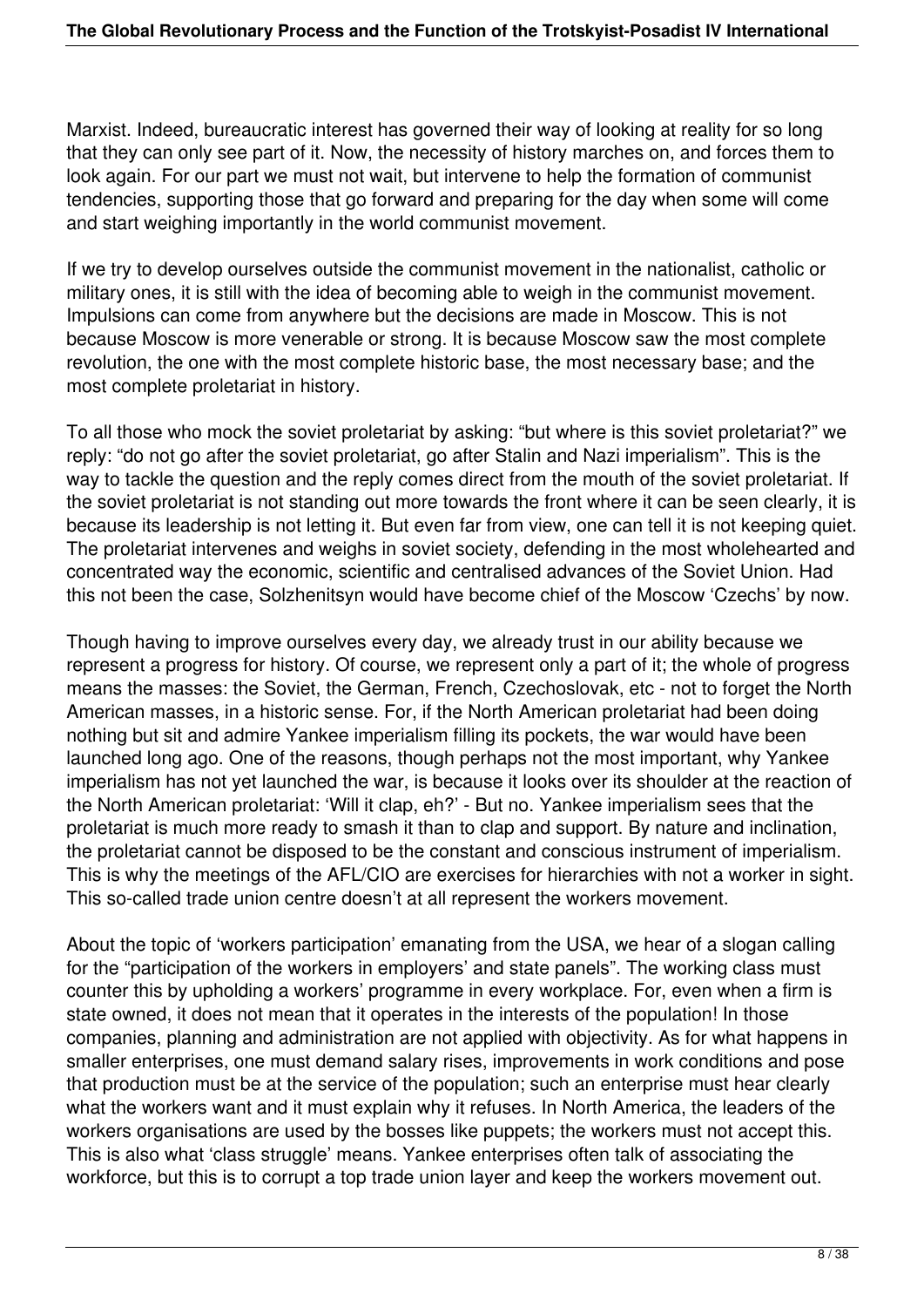Marxist. Indeed, bureaucratic interest has governed their way of looking at reality for so long that they can only see part of it. Now, the necessity of history marches on, and forces them to look again. For our part we must not wait, but intervene to help the formation of communist tendencies, supporting those that go forward and preparing for the day when some will come and start weighing importantly in the world communist movement.

If we try to develop ourselves outside the communist movement in the nationalist, catholic or military ones, it is still with the idea of becoming able to weigh in the communist movement. Impulsions can come from anywhere but the decisions are made in Moscow. This is not because Moscow is more venerable or strong. It is because Moscow saw the most complete revolution, the one with the most complete historic base, the most necessary base; and the most complete proletariat in history.

To all those who mock the soviet proletariat by asking: "but where is this soviet proletariat?" we reply: "do not go after the soviet proletariat, go after Stalin and Nazi imperialism". This is the way to tackle the question and the reply comes direct from the mouth of the soviet proletariat. If the soviet proletariat is not standing out more towards the front where it can be seen clearly, it is because its leadership is not letting it. But even far from view, one can tell it is not keeping quiet. The proletariat intervenes and weighs in soviet society, defending in the most wholehearted and concentrated way the economic, scientific and centralised advances of the Soviet Union. Had this not been the case, Solzhenitsyn would have become chief of the Moscow 'Czechs' by now.

Though having to improve ourselves every day, we already trust in our ability because we represent a progress for history. Of course, we represent only a part of it; the whole of progress means the masses: the Soviet, the German, French, Czechoslovak, etc - not to forget the North American masses, in a historic sense. For, if the North American proletariat had been doing nothing but sit and admire Yankee imperialism filling its pockets, the war would have been launched long ago. One of the reasons, though perhaps not the most important, why Yankee imperialism has not yet launched the war, is because it looks over its shoulder at the reaction of the North American proletariat: 'Will it clap, eh?' - But no. Yankee imperialism sees that the proletariat is much more ready to smash it than to clap and support. By nature and inclination, the proletariat cannot be disposed to be the constant and conscious instrument of imperialism. This is why the meetings of the AFL/CIO are exercises for hierarchies with not a worker in sight. This so-called trade union centre doesn't at all represent the workers movement.

About the topic of 'workers participation' emanating from the USA, we hear of a slogan calling for the "participation of the workers in employers' and state panels". The working class must counter this by upholding a workers' programme in every workplace. For, even when a firm is state owned, it does not mean that it operates in the interests of the population! In those companies, planning and administration are not applied with objectivity. As for what happens in smaller enterprises, one must demand salary rises, improvements in work conditions and pose that production must be at the service of the population; such an enterprise must hear clearly what the workers want and it must explain why it refuses. In North America, the leaders of the workers organisations are used by the bosses like puppets; the workers must not accept this. This is also what 'class struggle' means. Yankee enterprises often talk of associating the workforce, but this is to corrupt a top trade union layer and keep the workers movement out.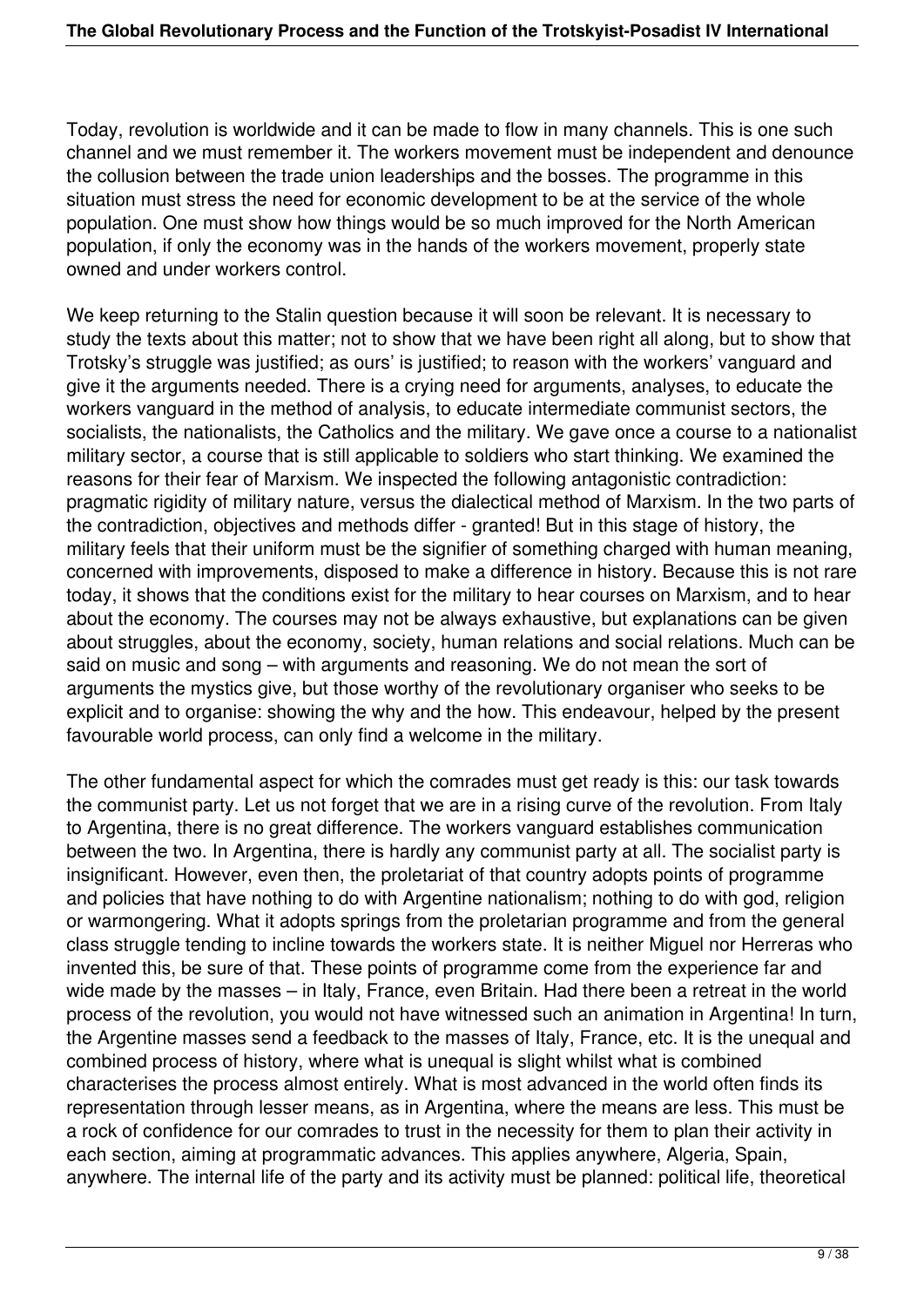Today, revolution is worldwide and it can be made to flow in many channels. This is one such channel and we must remember it. The workers movement must be independent and denounce the collusion between the trade union leaderships and the bosses. The programme in this situation must stress the need for economic development to be at the service of the whole population. One must show how things would be so much improved for the North American population, if only the economy was in the hands of the workers movement, properly state owned and under workers control.

We keep returning to the Stalin question because it will soon be relevant. It is necessary to study the texts about this matter; not to show that we have been right all along, but to show that Trotsky's struggle was justified; as ours' is justified; to reason with the workers' vanguard and give it the arguments needed. There is a crying need for arguments, analyses, to educate the workers vanguard in the method of analysis, to educate intermediate communist sectors, the socialists, the nationalists, the Catholics and the military. We gave once a course to a nationalist military sector, a course that is still applicable to soldiers who start thinking. We examined the reasons for their fear of Marxism. We inspected the following antagonistic contradiction: pragmatic rigidity of military nature, versus the dialectical method of Marxism. In the two parts of the contradiction, objectives and methods differ - granted! But in this stage of history, the military feels that their uniform must be the signifier of something charged with human meaning, concerned with improvements, disposed to make a difference in history. Because this is not rare today, it shows that the conditions exist for the military to hear courses on Marxism, and to hear about the economy. The courses may not be always exhaustive, but explanations can be given about struggles, about the economy, society, human relations and social relations. Much can be said on music and song – with arguments and reasoning. We do not mean the sort of arguments the mystics give, but those worthy of the revolutionary organiser who seeks to be explicit and to organise: showing the why and the how. This endeavour, helped by the present favourable world process, can only find a welcome in the military.

The other fundamental aspect for which the comrades must get ready is this: our task towards the communist party. Let us not forget that we are in a rising curve of the revolution. From Italy to Argentina, there is no great difference. The workers vanguard establishes communication between the two. In Argentina, there is hardly any communist party at all. The socialist party is insignificant. However, even then, the proletariat of that country adopts points of programme and policies that have nothing to do with Argentine nationalism; nothing to do with god, religion or warmongering. What it adopts springs from the proletarian programme and from the general class struggle tending to incline towards the workers state. It is neither Miguel nor Herreras who invented this, be sure of that. These points of programme come from the experience far and wide made by the masses – in Italy, France, even Britain. Had there been a retreat in the world process of the revolution, you would not have witnessed such an animation in Argentina! In turn, the Argentine masses send a feedback to the masses of Italy, France, etc. It is the unequal and combined process of history, where what is unequal is slight whilst what is combined characterises the process almost entirely. What is most advanced in the world often finds its representation through lesser means, as in Argentina, where the means are less. This must be a rock of confidence for our comrades to trust in the necessity for them to plan their activity in each section, aiming at programmatic advances. This applies anywhere, Algeria, Spain, anywhere. The internal life of the party and its activity must be planned: political life, theoretical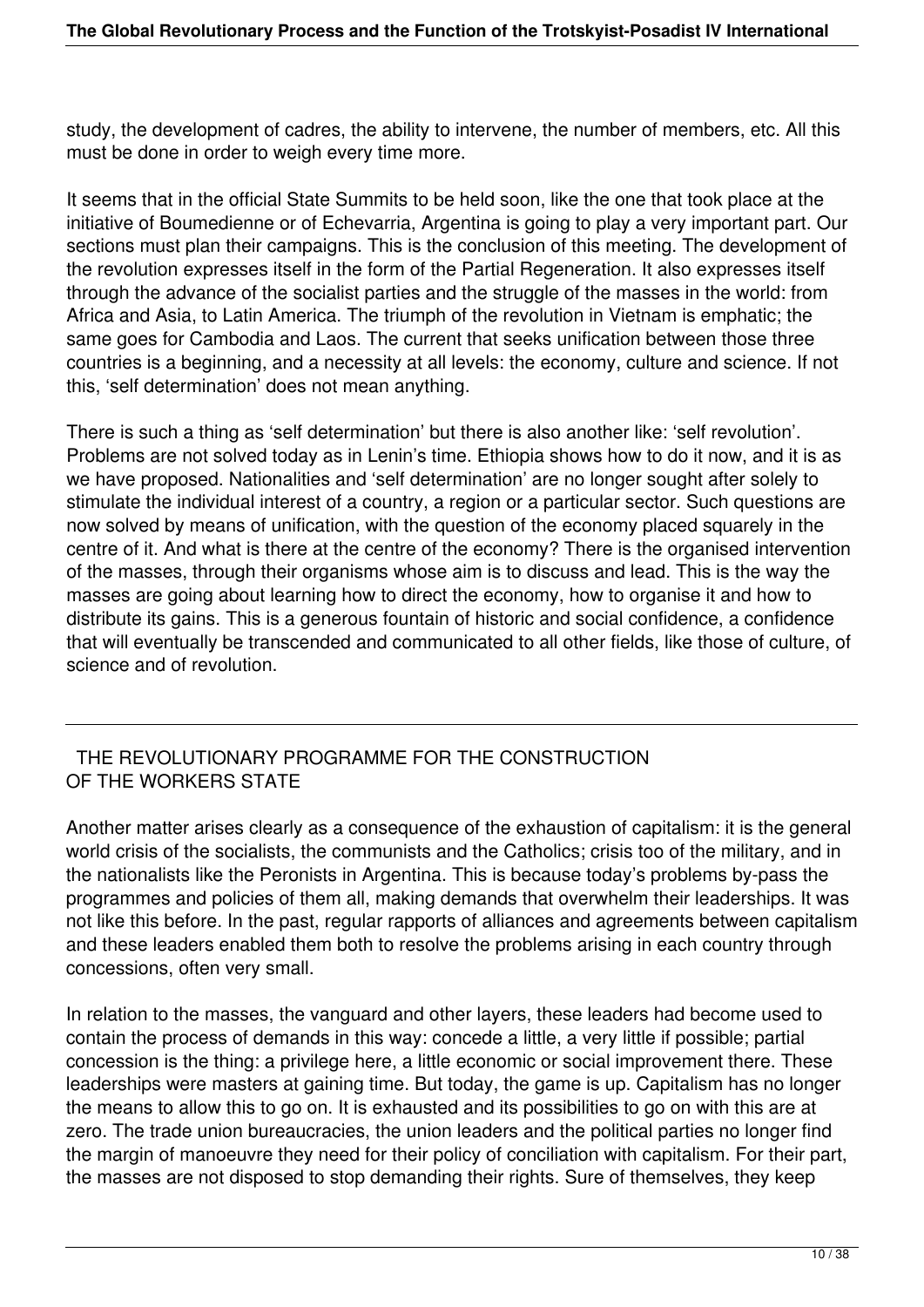study, the development of cadres, the ability to intervene, the number of members, etc. All this must be done in order to weigh every time more.

It seems that in the official State Summits to be held soon, like the one that took place at the initiative of Boumedienne or of Echevarria, Argentina is going to play a very important part. Our sections must plan their campaigns. This is the conclusion of this meeting. The development of the revolution expresses itself in the form of the Partial Regeneration. It also expresses itself through the advance of the socialist parties and the struggle of the masses in the world: from Africa and Asia, to Latin America. The triumph of the revolution in Vietnam is emphatic; the same goes for Cambodia and Laos. The current that seeks unification between those three countries is a beginning, and a necessity at all levels: the economy, culture and science. If not this, 'self determination' does not mean anything.

There is such a thing as 'self determination' but there is also another like: 'self revolution'. Problems are not solved today as in Lenin's time. Ethiopia shows how to do it now, and it is as we have proposed. Nationalities and 'self determination' are no longer sought after solely to stimulate the individual interest of a country, a region or a particular sector. Such questions are now solved by means of unification, with the question of the economy placed squarely in the centre of it. And what is there at the centre of the economy? There is the organised intervention of the masses, through their organisms whose aim is to discuss and lead. This is the way the masses are going about learning how to direct the economy, how to organise it and how to distribute its gains. This is a generous fountain of historic and social confidence, a confidence that will eventually be transcended and communicated to all other fields, like those of culture, of science and of revolution.

### THE REVOLUTIONARY PROGRAMME FOR THE CONSTRUCTION OF THE WORKERS STATE

Another matter arises clearly as a consequence of the exhaustion of capitalism: it is the general world crisis of the socialists, the communists and the Catholics; crisis too of the military, and in the nationalists like the Peronists in Argentina. This is because today's problems by-pass the programmes and policies of them all, making demands that overwhelm their leaderships. It was not like this before. In the past, regular rapports of alliances and agreements between capitalism and these leaders enabled them both to resolve the problems arising in each country through concessions, often very small.

In relation to the masses, the vanguard and other layers, these leaders had become used to contain the process of demands in this way: concede a little, a very little if possible; partial concession is the thing: a privilege here, a little economic or social improvement there. These leaderships were masters at gaining time. But today, the game is up. Capitalism has no longer the means to allow this to go on. It is exhausted and its possibilities to go on with this are at zero. The trade union bureaucracies, the union leaders and the political parties no longer find the margin of manoeuvre they need for their policy of conciliation with capitalism. For their part, the masses are not disposed to stop demanding their rights. Sure of themselves, they keep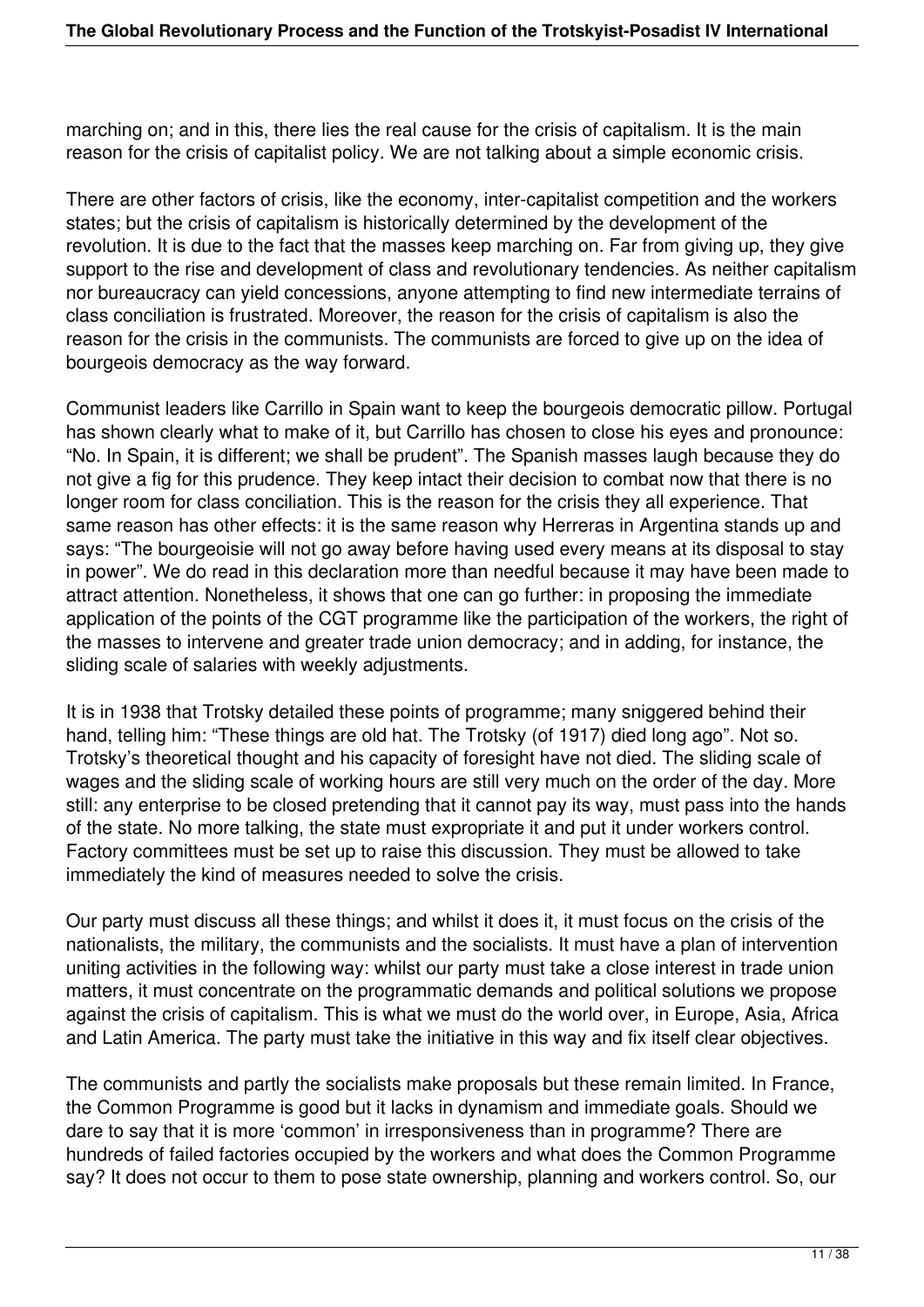marching on; and in this, there lies the real cause for the crisis of capitalism. It is the main reason for the crisis of capitalist policy. We are not talking about a simple economic crisis.

There are other factors of crisis, like the economy, inter-capitalist competition and the workers states; but the crisis of capitalism is historically determined by the development of the revolution. It is due to the fact that the masses keep marching on. Far from giving up, they give support to the rise and development of class and revolutionary tendencies. As neither capitalism nor bureaucracy can yield concessions, anyone attempting to find new intermediate terrains of class conciliation is frustrated. Moreover, the reason for the crisis of capitalism is also the reason for the crisis in the communists. The communists are forced to give up on the idea of bourgeois democracy as the way forward.

Communist leaders like Carrillo in Spain want to keep the bourgeois democratic pillow. Portugal has shown clearly what to make of it, but Carrillo has chosen to close his eyes and pronounce: "No. In Spain, it is different; we shall be prudent". The Spanish masses laugh because they do not give a fig for this prudence. They keep intact their decision to combat now that there is no longer room for class conciliation. This is the reason for the crisis they all experience. That same reason has other effects: it is the same reason why Herreras in Argentina stands up and says: "The bourgeoisie will not go away before having used every means at its disposal to stay in power". We do read in this declaration more than needful because it may have been made to attract attention. Nonetheless, it shows that one can go further: in proposing the immediate application of the points of the CGT programme like the participation of the workers, the right of the masses to intervene and greater trade union democracy; and in adding, for instance, the sliding scale of salaries with weekly adjustments.

It is in 1938 that Trotsky detailed these points of programme; many sniggered behind their hand, telling him: "These things are old hat. The Trotsky (of 1917) died long ago". Not so. Trotsky's theoretical thought and his capacity of foresight have not died. The sliding scale of wages and the sliding scale of working hours are still very much on the order of the day. More still: any enterprise to be closed pretending that it cannot pay its way, must pass into the hands of the state. No more talking, the state must expropriate it and put it under workers control. Factory committees must be set up to raise this discussion. They must be allowed to take immediately the kind of measures needed to solve the crisis.

Our party must discuss all these things; and whilst it does it, it must focus on the crisis of the nationalists, the military, the communists and the socialists. It must have a plan of intervention uniting activities in the following way: whilst our party must take a close interest in trade union matters, it must concentrate on the programmatic demands and political solutions we propose against the crisis of capitalism. This is what we must do the world over, in Europe, Asia, Africa and Latin America. The party must take the initiative in this way and fix itself clear objectives.

The communists and partly the socialists make proposals but these remain limited. In France, the Common Programme is good but it lacks in dynamism and immediate goals. Should we dare to say that it is more 'common' in irresponsiveness than in programme? There are hundreds of failed factories occupied by the workers and what does the Common Programme say? It does not occur to them to pose state ownership, planning and workers control. So, our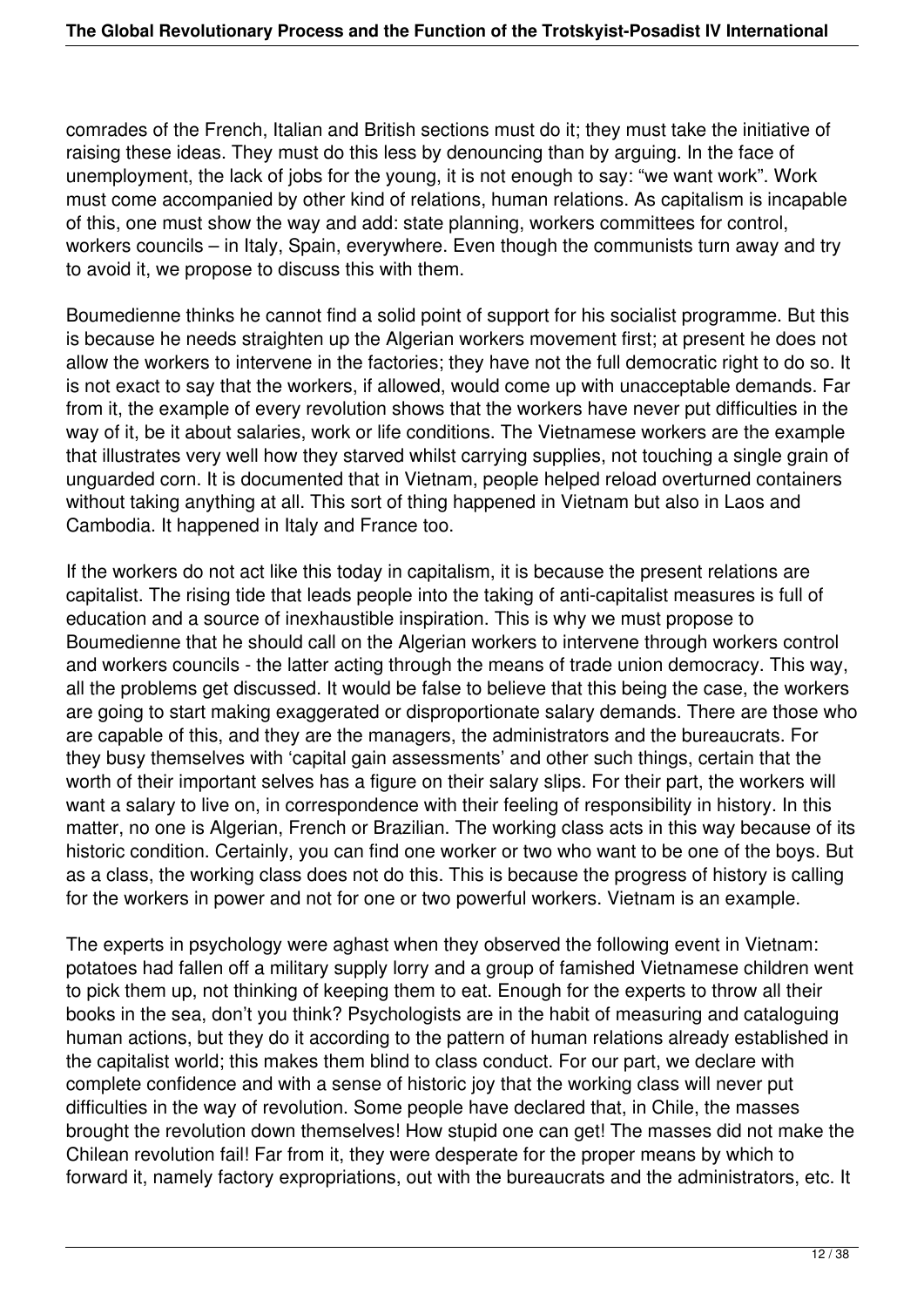comrades of the French, Italian and British sections must do it; they must take the initiative of raising these ideas. They must do this less by denouncing than by arguing. In the face of unemployment, the lack of jobs for the young, it is not enough to say: "we want work". Work must come accompanied by other kind of relations, human relations. As capitalism is incapable of this, one must show the way and add: state planning, workers committees for control, workers councils – in Italy, Spain, everywhere. Even though the communists turn away and try to avoid it, we propose to discuss this with them.

Boumedienne thinks he cannot find a solid point of support for his socialist programme. But this is because he needs straighten up the Algerian workers movement first; at present he does not allow the workers to intervene in the factories; they have not the full democratic right to do so. It is not exact to say that the workers, if allowed, would come up with unacceptable demands. Far from it, the example of every revolution shows that the workers have never put difficulties in the way of it, be it about salaries, work or life conditions. The Vietnamese workers are the example that illustrates very well how they starved whilst carrying supplies, not touching a single grain of unguarded corn. It is documented that in Vietnam, people helped reload overturned containers without taking anything at all. This sort of thing happened in Vietnam but also in Laos and Cambodia. It happened in Italy and France too.

If the workers do not act like this today in capitalism, it is because the present relations are capitalist. The rising tide that leads people into the taking of anti-capitalist measures is full of education and a source of inexhaustible inspiration. This is why we must propose to Boumedienne that he should call on the Algerian workers to intervene through workers control and workers councils - the latter acting through the means of trade union democracy. This way, all the problems get discussed. It would be false to believe that this being the case, the workers are going to start making exaggerated or disproportionate salary demands. There are those who are capable of this, and they are the managers, the administrators and the bureaucrats. For they busy themselves with 'capital gain assessments' and other such things, certain that the worth of their important selves has a figure on their salary slips. For their part, the workers will want a salary to live on, in correspondence with their feeling of responsibility in history. In this matter, no one is Algerian, French or Brazilian. The working class acts in this way because of its historic condition. Certainly, you can find one worker or two who want to be one of the boys. But as a class, the working class does not do this. This is because the progress of history is calling for the workers in power and not for one or two powerful workers. Vietnam is an example.

The experts in psychology were aghast when they observed the following event in Vietnam: potatoes had fallen off a military supply lorry and a group of famished Vietnamese children went to pick them up, not thinking of keeping them to eat. Enough for the experts to throw all their books in the sea, don't you think? Psychologists are in the habit of measuring and cataloguing human actions, but they do it according to the pattern of human relations already established in the capitalist world; this makes them blind to class conduct. For our part, we declare with complete confidence and with a sense of historic joy that the working class will never put difficulties in the way of revolution. Some people have declared that, in Chile, the masses brought the revolution down themselves! How stupid one can get! The masses did not make the Chilean revolution fail! Far from it, they were desperate for the proper means by which to forward it, namely factory expropriations, out with the bureaucrats and the administrators, etc. It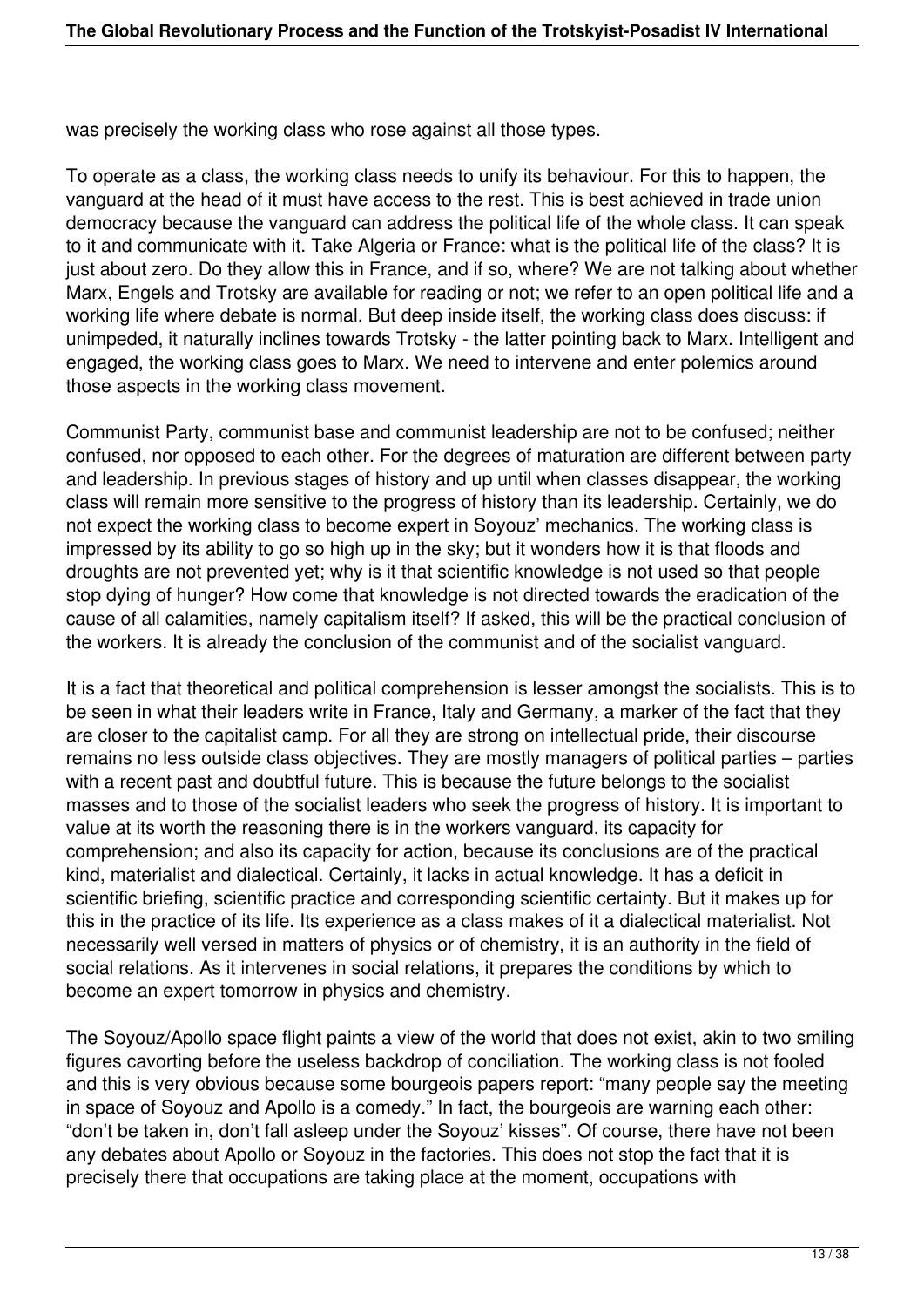was precisely the working class who rose against all those types.

To operate as a class, the working class needs to unify its behaviour. For this to happen, the vanguard at the head of it must have access to the rest. This is best achieved in trade union democracy because the vanguard can address the political life of the whole class. It can speak to it and communicate with it. Take Algeria or France: what is the political life of the class? It is just about zero. Do they allow this in France, and if so, where? We are not talking about whether Marx, Engels and Trotsky are available for reading or not; we refer to an open political life and a working life where debate is normal. But deep inside itself, the working class does discuss: if unimpeded, it naturally inclines towards Trotsky - the latter pointing back to Marx. Intelligent and engaged, the working class goes to Marx. We need to intervene and enter polemics around those aspects in the working class movement.

Communist Party, communist base and communist leadership are not to be confused; neither confused, nor opposed to each other. For the degrees of maturation are different between party and leadership. In previous stages of history and up until when classes disappear, the working class will remain more sensitive to the progress of history than its leadership. Certainly, we do not expect the working class to become expert in Soyouz' mechanics. The working class is impressed by its ability to go so high up in the sky; but it wonders how it is that floods and droughts are not prevented yet; why is it that scientific knowledge is not used so that people stop dying of hunger? How come that knowledge is not directed towards the eradication of the cause of all calamities, namely capitalism itself? If asked, this will be the practical conclusion of the workers. It is already the conclusion of the communist and of the socialist vanguard.

It is a fact that theoretical and political comprehension is lesser amongst the socialists. This is to be seen in what their leaders write in France, Italy and Germany, a marker of the fact that they are closer to the capitalist camp. For all they are strong on intellectual pride, their discourse remains no less outside class objectives. They are mostly managers of political parties – parties with a recent past and doubtful future. This is because the future belongs to the socialist masses and to those of the socialist leaders who seek the progress of history. It is important to value at its worth the reasoning there is in the workers vanguard, its capacity for comprehension; and also its capacity for action, because its conclusions are of the practical kind, materialist and dialectical. Certainly, it lacks in actual knowledge. It has a deficit in scientific briefing, scientific practice and corresponding scientific certainty. But it makes up for this in the practice of its life. Its experience as a class makes of it a dialectical materialist. Not necessarily well versed in matters of physics or of chemistry, it is an authority in the field of social relations. As it intervenes in social relations, it prepares the conditions by which to become an expert tomorrow in physics and chemistry.

The Soyouz/Apollo space flight paints a view of the world that does not exist, akin to two smiling figures cavorting before the useless backdrop of conciliation. The working class is not fooled and this is very obvious because some bourgeois papers report: "many people say the meeting in space of Soyouz and Apollo is a comedy." In fact, the bourgeois are warning each other: "don't be taken in, don't fall asleep under the Soyouz' kisses". Of course, there have not been any debates about Apollo or Soyouz in the factories. This does not stop the fact that it is precisely there that occupations are taking place at the moment, occupations with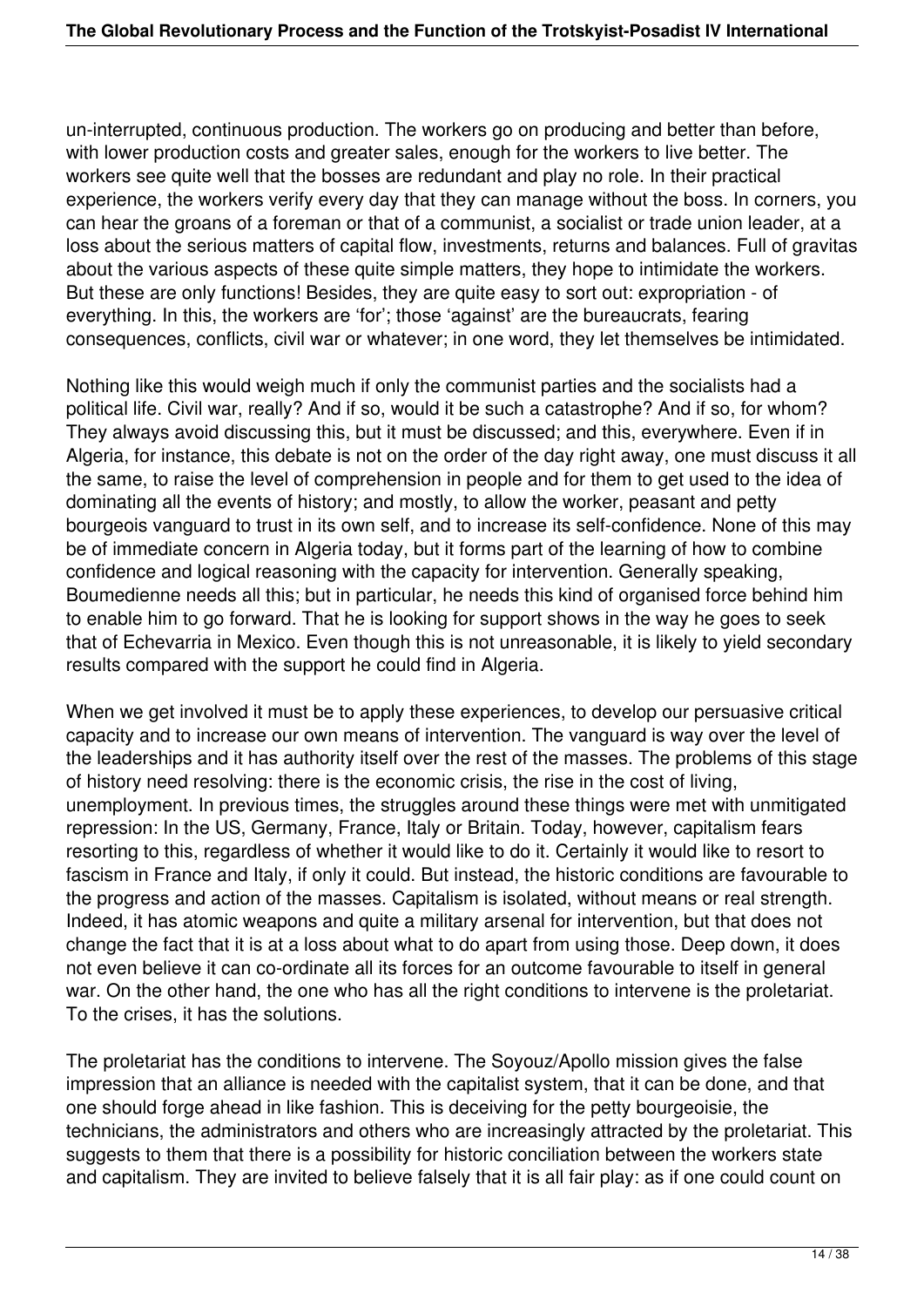un-interrupted, continuous production. The workers go on producing and better than before, with lower production costs and greater sales, enough for the workers to live better. The workers see quite well that the bosses are redundant and play no role. In their practical experience, the workers verify every day that they can manage without the boss. In corners, you can hear the groans of a foreman or that of a communist, a socialist or trade union leader, at a loss about the serious matters of capital flow, investments, returns and balances. Full of gravitas about the various aspects of these quite simple matters, they hope to intimidate the workers. But these are only functions! Besides, they are quite easy to sort out: expropriation - of everything. In this, the workers are 'for'; those 'against' are the bureaucrats, fearing consequences, conflicts, civil war or whatever; in one word, they let themselves be intimidated.

Nothing like this would weigh much if only the communist parties and the socialists had a political life. Civil war, really? And if so, would it be such a catastrophe? And if so, for whom? They always avoid discussing this, but it must be discussed; and this, everywhere. Even if in Algeria, for instance, this debate is not on the order of the day right away, one must discuss it all the same, to raise the level of comprehension in people and for them to get used to the idea of dominating all the events of history; and mostly, to allow the worker, peasant and petty bourgeois vanguard to trust in its own self, and to increase its self-confidence. None of this may be of immediate concern in Algeria today, but it forms part of the learning of how to combine confidence and logical reasoning with the capacity for intervention. Generally speaking, Boumedienne needs all this; but in particular, he needs this kind of organised force behind him to enable him to go forward. That he is looking for support shows in the way he goes to seek that of Echevarria in Mexico. Even though this is not unreasonable, it is likely to yield secondary results compared with the support he could find in Algeria.

When we get involved it must be to apply these experiences, to develop our persuasive critical capacity and to increase our own means of intervention. The vanguard is way over the level of the leaderships and it has authority itself over the rest of the masses. The problems of this stage of history need resolving: there is the economic crisis, the rise in the cost of living, unemployment. In previous times, the struggles around these things were met with unmitigated repression: In the US, Germany, France, Italy or Britain. Today, however, capitalism fears resorting to this, regardless of whether it would like to do it. Certainly it would like to resort to fascism in France and Italy, if only it could. But instead, the historic conditions are favourable to the progress and action of the masses. Capitalism is isolated, without means or real strength. Indeed, it has atomic weapons and quite a military arsenal for intervention, but that does not change the fact that it is at a loss about what to do apart from using those. Deep down, it does not even believe it can co-ordinate all its forces for an outcome favourable to itself in general war. On the other hand, the one who has all the right conditions to intervene is the proletariat. To the crises, it has the solutions.

The proletariat has the conditions to intervene. The Soyouz/Apollo mission gives the false impression that an alliance is needed with the capitalist system, that it can be done, and that one should forge ahead in like fashion. This is deceiving for the petty bourgeoisie, the technicians, the administrators and others who are increasingly attracted by the proletariat. This suggests to them that there is a possibility for historic conciliation between the workers state and capitalism. They are invited to believe falsely that it is all fair play: as if one could count on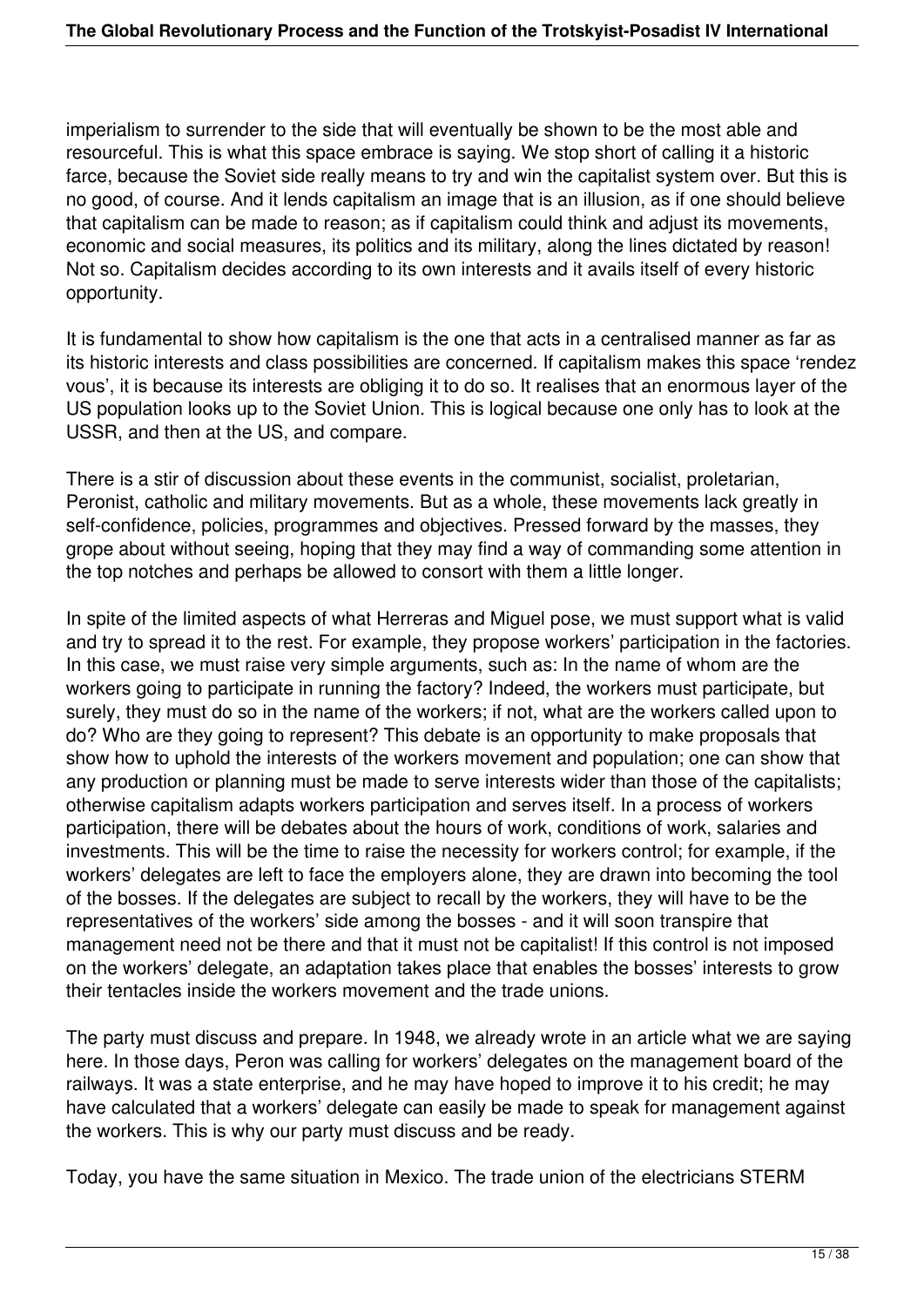imperialism to surrender to the side that will eventually be shown to be the most able and resourceful. This is what this space embrace is saying. We stop short of calling it a historic farce, because the Soviet side really means to try and win the capitalist system over. But this is no good, of course. And it lends capitalism an image that is an illusion, as if one should believe that capitalism can be made to reason; as if capitalism could think and adjust its movements, economic and social measures, its politics and its military, along the lines dictated by reason! Not so. Capitalism decides according to its own interests and it avails itself of every historic opportunity.

It is fundamental to show how capitalism is the one that acts in a centralised manner as far as its historic interests and class possibilities are concerned. If capitalism makes this space 'rendez vous', it is because its interests are obliging it to do so. It realises that an enormous layer of the US population looks up to the Soviet Union. This is logical because one only has to look at the USSR, and then at the US, and compare.

There is a stir of discussion about these events in the communist, socialist, proletarian, Peronist, catholic and military movements. But as a whole, these movements lack greatly in self-confidence, policies, programmes and objectives. Pressed forward by the masses, they grope about without seeing, hoping that they may find a way of commanding some attention in the top notches and perhaps be allowed to consort with them a little longer.

In spite of the limited aspects of what Herreras and Miguel pose, we must support what is valid and try to spread it to the rest. For example, they propose workers' participation in the factories. In this case, we must raise very simple arguments, such as: In the name of whom are the workers going to participate in running the factory? Indeed, the workers must participate, but surely, they must do so in the name of the workers; if not, what are the workers called upon to do? Who are they going to represent? This debate is an opportunity to make proposals that show how to uphold the interests of the workers movement and population; one can show that any production or planning must be made to serve interests wider than those of the capitalists; otherwise capitalism adapts workers participation and serves itself. In a process of workers participation, there will be debates about the hours of work, conditions of work, salaries and investments. This will be the time to raise the necessity for workers control; for example, if the workers' delegates are left to face the employers alone, they are drawn into becoming the tool of the bosses. If the delegates are subject to recall by the workers, they will have to be the representatives of the workers' side among the bosses - and it will soon transpire that management need not be there and that it must not be capitalist! If this control is not imposed on the workers' delegate, an adaptation takes place that enables the bosses' interests to grow their tentacles inside the workers movement and the trade unions.

The party must discuss and prepare. In 1948, we already wrote in an article what we are saying here. In those days, Peron was calling for workers' delegates on the management board of the railways. It was a state enterprise, and he may have hoped to improve it to his credit; he may have calculated that a workers' delegate can easily be made to speak for management against the workers. This is why our party must discuss and be ready.

Today, you have the same situation in Mexico. The trade union of the electricians STERM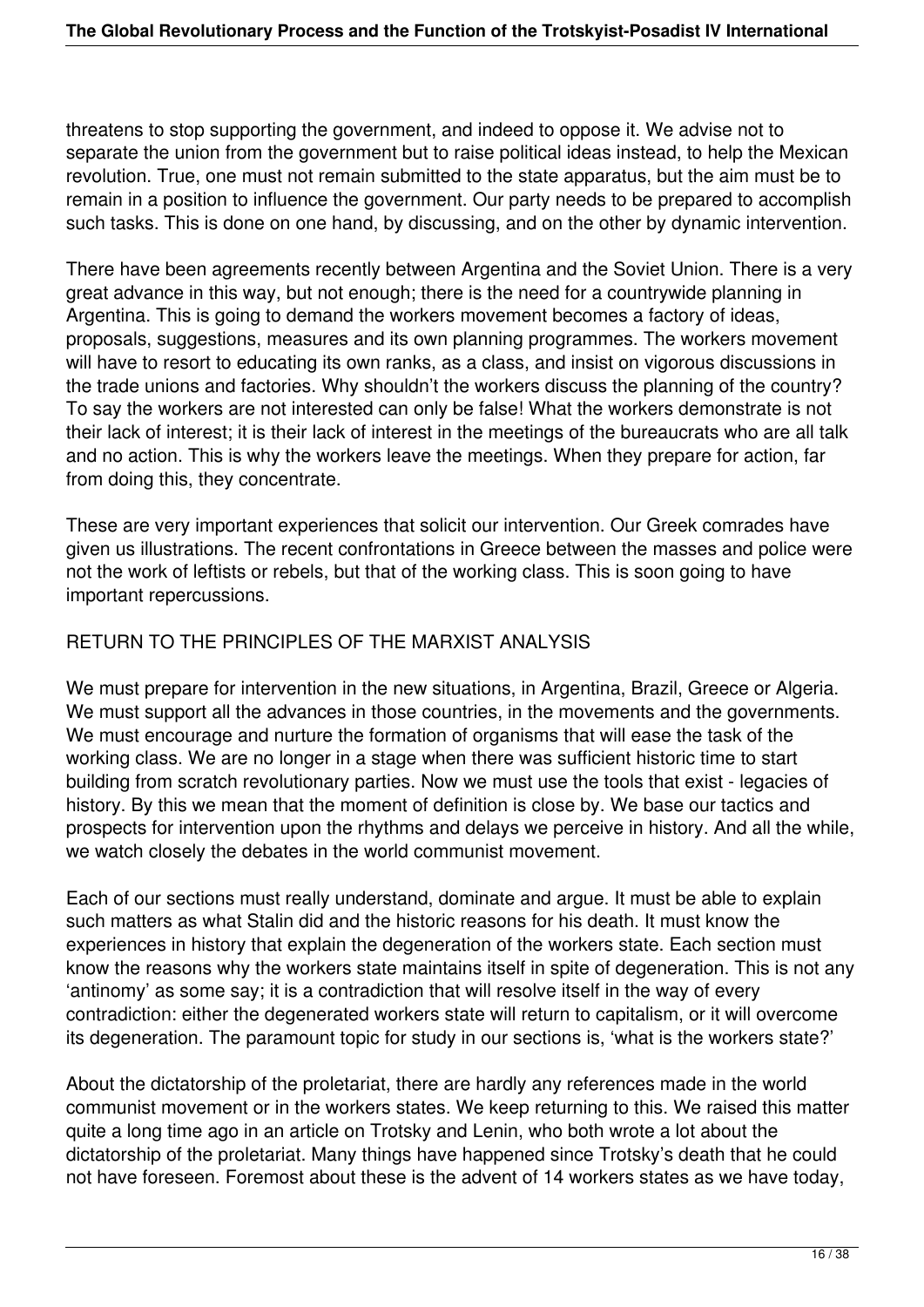threatens to stop supporting the government, and indeed to oppose it. We advise not to separate the union from the government but to raise political ideas instead, to help the Mexican revolution. True, one must not remain submitted to the state apparatus, but the aim must be to remain in a position to influence the government. Our party needs to be prepared to accomplish such tasks. This is done on one hand, by discussing, and on the other by dynamic intervention.

There have been agreements recently between Argentina and the Soviet Union. There is a very great advance in this way, but not enough; there is the need for a countrywide planning in Argentina. This is going to demand the workers movement becomes a factory of ideas, proposals, suggestions, measures and its own planning programmes. The workers movement will have to resort to educating its own ranks, as a class, and insist on vigorous discussions in the trade unions and factories. Why shouldn't the workers discuss the planning of the country? To say the workers are not interested can only be false! What the workers demonstrate is not their lack of interest; it is their lack of interest in the meetings of the bureaucrats who are all talk and no action. This is why the workers leave the meetings. When they prepare for action, far from doing this, they concentrate.

These are very important experiences that solicit our intervention. Our Greek comrades have given us illustrations. The recent confrontations in Greece between the masses and police were not the work of leftists or rebels, but that of the working class. This is soon going to have important repercussions.

## RETURN TO THE PRINCIPLES OF THE MARXIST ANALYSIS

We must prepare for intervention in the new situations, in Argentina, Brazil, Greece or Algeria. We must support all the advances in those countries, in the movements and the governments. We must encourage and nurture the formation of organisms that will ease the task of the working class. We are no longer in a stage when there was sufficient historic time to start building from scratch revolutionary parties. Now we must use the tools that exist - legacies of history. By this we mean that the moment of definition is close by. We base our tactics and prospects for intervention upon the rhythms and delays we perceive in history. And all the while, we watch closely the debates in the world communist movement.

Each of our sections must really understand, dominate and argue. It must be able to explain such matters as what Stalin did and the historic reasons for his death. It must know the experiences in history that explain the degeneration of the workers state. Each section must know the reasons why the workers state maintains itself in spite of degeneration. This is not any 'antinomy' as some say; it is a contradiction that will resolve itself in the way of every contradiction: either the degenerated workers state will return to capitalism, or it will overcome its degeneration. The paramount topic for study in our sections is, 'what is the workers state?'

About the dictatorship of the proletariat, there are hardly any references made in the world communist movement or in the workers states. We keep returning to this. We raised this matter quite a long time ago in an article on Trotsky and Lenin, who both wrote a lot about the dictatorship of the proletariat. Many things have happened since Trotsky's death that he could not have foreseen. Foremost about these is the advent of 14 workers states as we have today,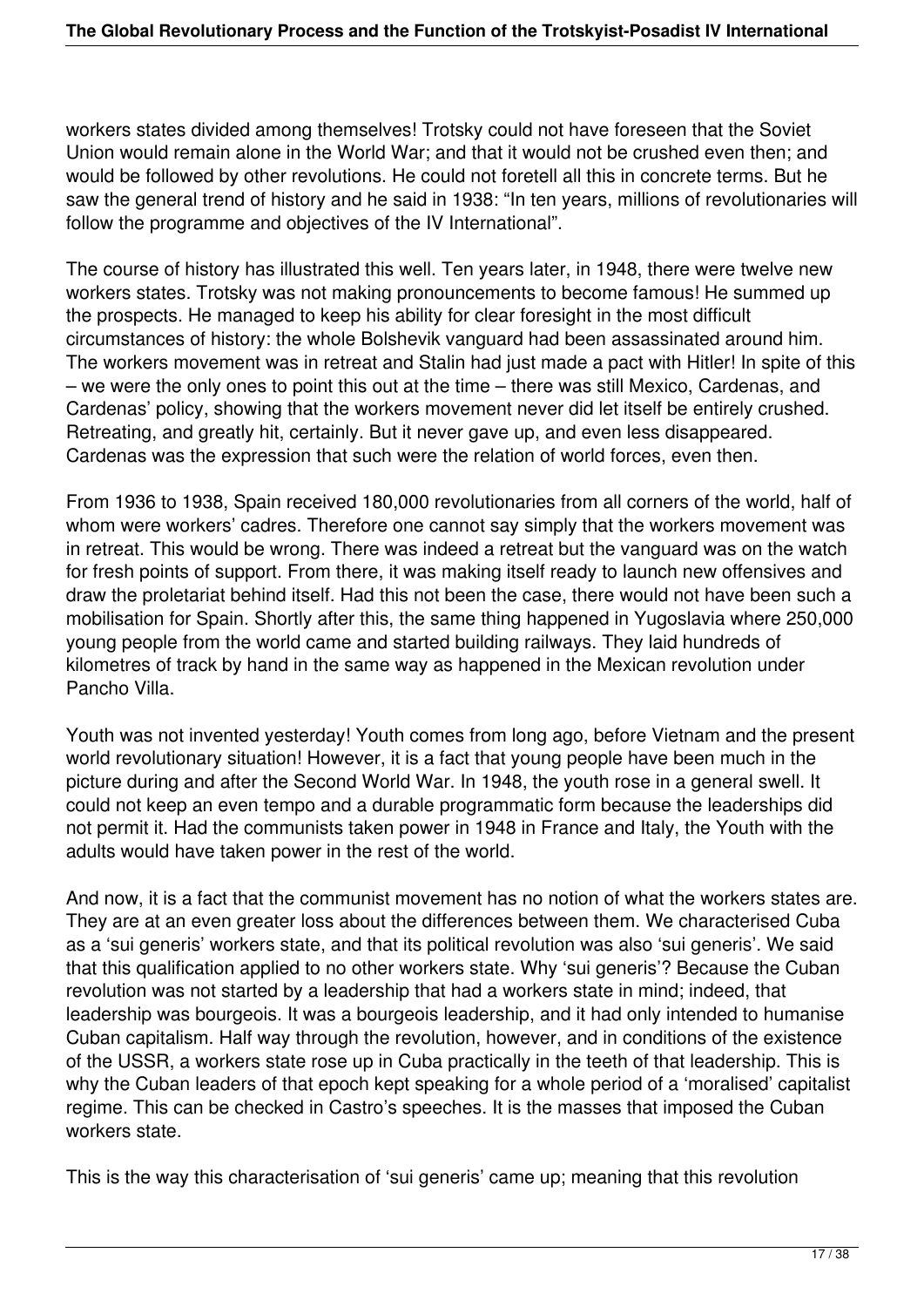workers states divided among themselves! Trotsky could not have foreseen that the Soviet Union would remain alone in the World War; and that it would not be crushed even then; and would be followed by other revolutions. He could not foretell all this in concrete terms. But he saw the general trend of history and he said in 1938: "In ten years, millions of revolutionaries will follow the programme and objectives of the IV International".

The course of history has illustrated this well. Ten years later, in 1948, there were twelve new workers states. Trotsky was not making pronouncements to become famous! He summed up the prospects. He managed to keep his ability for clear foresight in the most difficult circumstances of history: the whole Bolshevik vanguard had been assassinated around him. The workers movement was in retreat and Stalin had just made a pact with Hitler! In spite of this – we were the only ones to point this out at the time – there was still Mexico, Cardenas, and Cardenas' policy, showing that the workers movement never did let itself be entirely crushed. Retreating, and greatly hit, certainly. But it never gave up, and even less disappeared. Cardenas was the expression that such were the relation of world forces, even then.

From 1936 to 1938, Spain received 180,000 revolutionaries from all corners of the world, half of whom were workers' cadres. Therefore one cannot say simply that the workers movement was in retreat. This would be wrong. There was indeed a retreat but the vanguard was on the watch for fresh points of support. From there, it was making itself ready to launch new offensives and draw the proletariat behind itself. Had this not been the case, there would not have been such a mobilisation for Spain. Shortly after this, the same thing happened in Yugoslavia where 250,000 young people from the world came and started building railways. They laid hundreds of kilometres of track by hand in the same way as happened in the Mexican revolution under Pancho Villa.

Youth was not invented yesterday! Youth comes from long ago, before Vietnam and the present world revolutionary situation! However, it is a fact that young people have been much in the picture during and after the Second World War. In 1948, the youth rose in a general swell. It could not keep an even tempo and a durable programmatic form because the leaderships did not permit it. Had the communists taken power in 1948 in France and Italy, the Youth with the adults would have taken power in the rest of the world.

And now, it is a fact that the communist movement has no notion of what the workers states are. They are at an even greater loss about the differences between them. We characterised Cuba as a 'sui generis' workers state, and that its political revolution was also 'sui generis'. We said that this qualification applied to no other workers state. Why 'sui generis'? Because the Cuban revolution was not started by a leadership that had a workers state in mind; indeed, that leadership was bourgeois. It was a bourgeois leadership, and it had only intended to humanise Cuban capitalism. Half way through the revolution, however, and in conditions of the existence of the USSR, a workers state rose up in Cuba practically in the teeth of that leadership. This is why the Cuban leaders of that epoch kept speaking for a whole period of a 'moralised' capitalist regime. This can be checked in Castro's speeches. It is the masses that imposed the Cuban workers state.

This is the way this characterisation of 'sui generis' came up; meaning that this revolution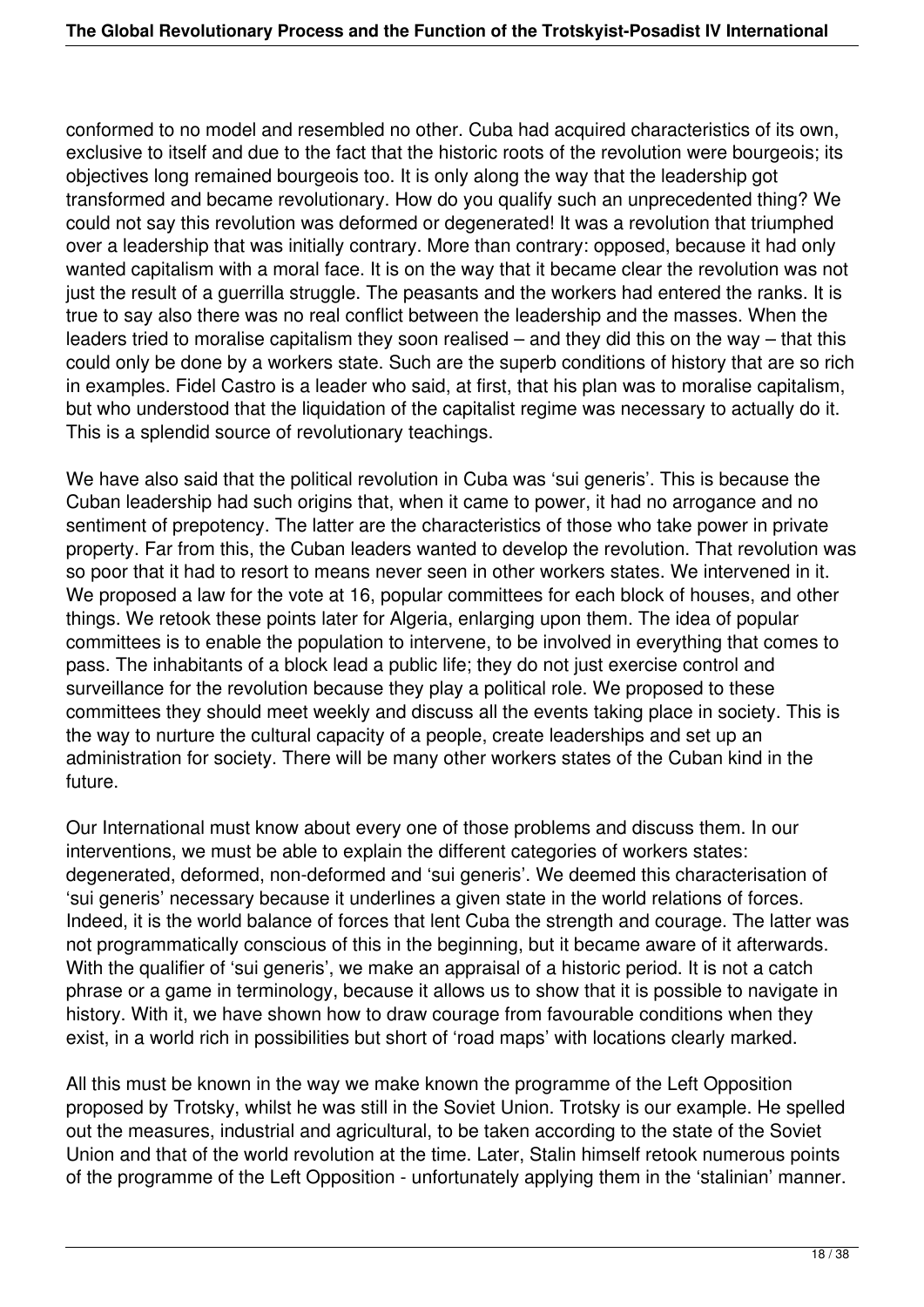conformed to no model and resembled no other. Cuba had acquired characteristics of its own, exclusive to itself and due to the fact that the historic roots of the revolution were bourgeois; its objectives long remained bourgeois too. It is only along the way that the leadership got transformed and became revolutionary. How do you qualify such an unprecedented thing? We could not say this revolution was deformed or degenerated! It was a revolution that triumphed over a leadership that was initially contrary. More than contrary: opposed, because it had only wanted capitalism with a moral face. It is on the way that it became clear the revolution was not just the result of a guerrilla struggle. The peasants and the workers had entered the ranks. It is true to say also there was no real conflict between the leadership and the masses. When the leaders tried to moralise capitalism they soon realised – and they did this on the way – that this could only be done by a workers state. Such are the superb conditions of history that are so rich in examples. Fidel Castro is a leader who said, at first, that his plan was to moralise capitalism, but who understood that the liquidation of the capitalist regime was necessary to actually do it. This is a splendid source of revolutionary teachings.

We have also said that the political revolution in Cuba was 'sui generis'. This is because the Cuban leadership had such origins that, when it came to power, it had no arrogance and no sentiment of prepotency. The latter are the characteristics of those who take power in private property. Far from this, the Cuban leaders wanted to develop the revolution. That revolution was so poor that it had to resort to means never seen in other workers states. We intervened in it. We proposed a law for the vote at 16, popular committees for each block of houses, and other things. We retook these points later for Algeria, enlarging upon them. The idea of popular committees is to enable the population to intervene, to be involved in everything that comes to pass. The inhabitants of a block lead a public life; they do not just exercise control and surveillance for the revolution because they play a political role. We proposed to these committees they should meet weekly and discuss all the events taking place in society. This is the way to nurture the cultural capacity of a people, create leaderships and set up an administration for society. There will be many other workers states of the Cuban kind in the future.

Our International must know about every one of those problems and discuss them. In our interventions, we must be able to explain the different categories of workers states: degenerated, deformed, non-deformed and 'sui generis'. We deemed this characterisation of 'sui generis' necessary because it underlines a given state in the world relations of forces. Indeed, it is the world balance of forces that lent Cuba the strength and courage. The latter was not programmatically conscious of this in the beginning, but it became aware of it afterwards. With the qualifier of 'sui generis', we make an appraisal of a historic period. It is not a catch phrase or a game in terminology, because it allows us to show that it is possible to navigate in history. With it, we have shown how to draw courage from favourable conditions when they exist, in a world rich in possibilities but short of 'road maps' with locations clearly marked.

All this must be known in the way we make known the programme of the Left Opposition proposed by Trotsky, whilst he was still in the Soviet Union. Trotsky is our example. He spelled out the measures, industrial and agricultural, to be taken according to the state of the Soviet Union and that of the world revolution at the time. Later, Stalin himself retook numerous points of the programme of the Left Opposition - unfortunately applying them in the 'stalinian' manner.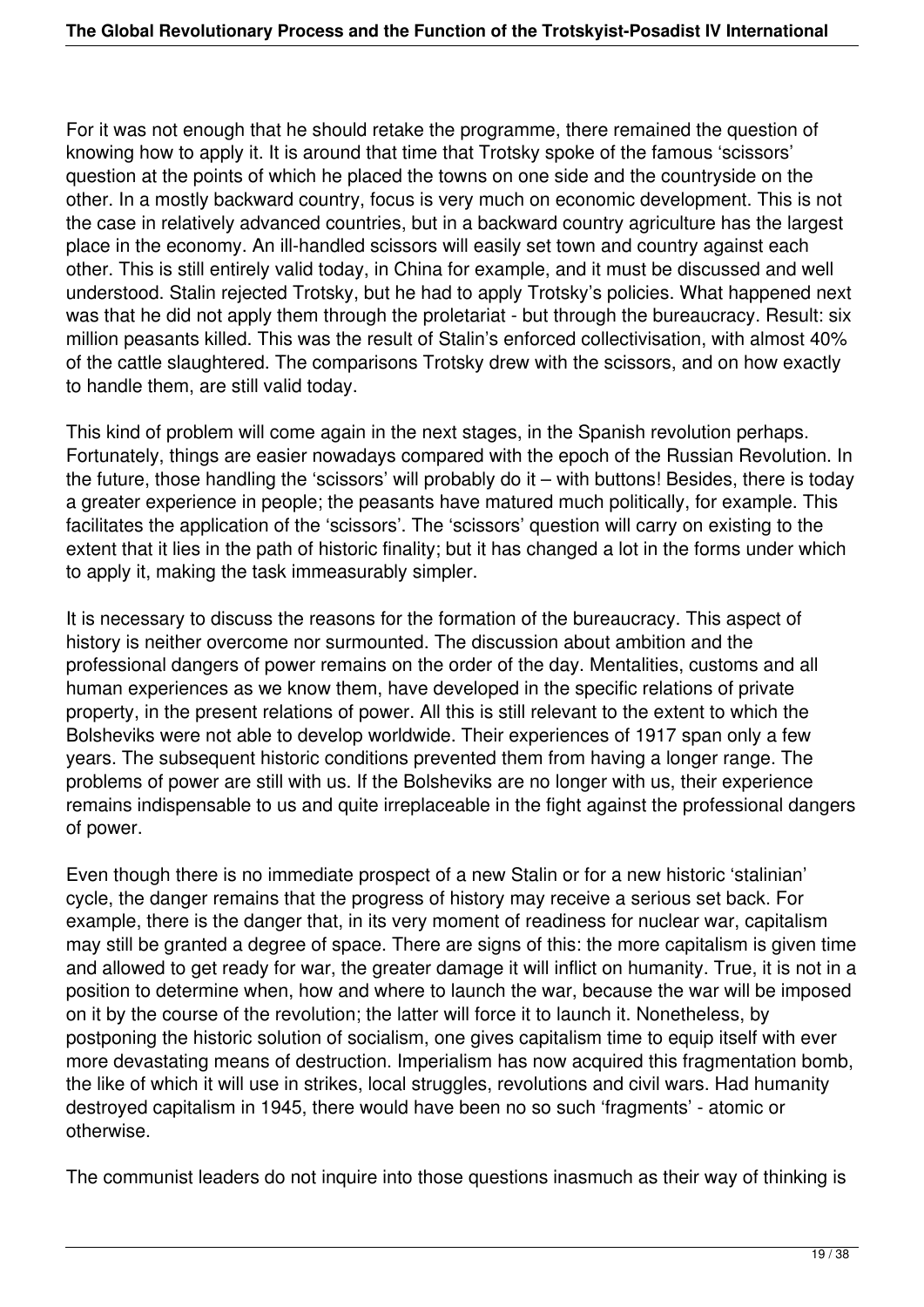For it was not enough that he should retake the programme, there remained the question of knowing how to apply it. It is around that time that Trotsky spoke of the famous 'scissors' question at the points of which he placed the towns on one side and the countryside on the other. In a mostly backward country, focus is very much on economic development. This is not the case in relatively advanced countries, but in a backward country agriculture has the largest place in the economy. An ill-handled scissors will easily set town and country against each other. This is still entirely valid today, in China for example, and it must be discussed and well understood. Stalin rejected Trotsky, but he had to apply Trotsky's policies. What happened next was that he did not apply them through the proletariat - but through the bureaucracy. Result: six million peasants killed. This was the result of Stalin's enforced collectivisation, with almost 40% of the cattle slaughtered. The comparisons Trotsky drew with the scissors, and on how exactly to handle them, are still valid today.

This kind of problem will come again in the next stages, in the Spanish revolution perhaps. Fortunately, things are easier nowadays compared with the epoch of the Russian Revolution. In the future, those handling the 'scissors' will probably do it – with buttons! Besides, there is today a greater experience in people; the peasants have matured much politically, for example. This facilitates the application of the 'scissors'. The 'scissors' question will carry on existing to the extent that it lies in the path of historic finality; but it has changed a lot in the forms under which to apply it, making the task immeasurably simpler.

It is necessary to discuss the reasons for the formation of the bureaucracy. This aspect of history is neither overcome nor surmounted. The discussion about ambition and the professional dangers of power remains on the order of the day. Mentalities, customs and all human experiences as we know them, have developed in the specific relations of private property, in the present relations of power. All this is still relevant to the extent to which the Bolsheviks were not able to develop worldwide. Their experiences of 1917 span only a few years. The subsequent historic conditions prevented them from having a longer range. The problems of power are still with us. If the Bolsheviks are no longer with us, their experience remains indispensable to us and quite irreplaceable in the fight against the professional dangers of power.

Even though there is no immediate prospect of a new Stalin or for a new historic 'stalinian' cycle, the danger remains that the progress of history may receive a serious set back. For example, there is the danger that, in its very moment of readiness for nuclear war, capitalism may still be granted a degree of space. There are signs of this: the more capitalism is given time and allowed to get ready for war, the greater damage it will inflict on humanity. True, it is not in a position to determine when, how and where to launch the war, because the war will be imposed on it by the course of the revolution; the latter will force it to launch it. Nonetheless, by postponing the historic solution of socialism, one gives capitalism time to equip itself with ever more devastating means of destruction. Imperialism has now acquired this fragmentation bomb, the like of which it will use in strikes, local struggles, revolutions and civil wars. Had humanity destroyed capitalism in 1945, there would have been no so such 'fragments' - atomic or otherwise.

The communist leaders do not inquire into those questions inasmuch as their way of thinking is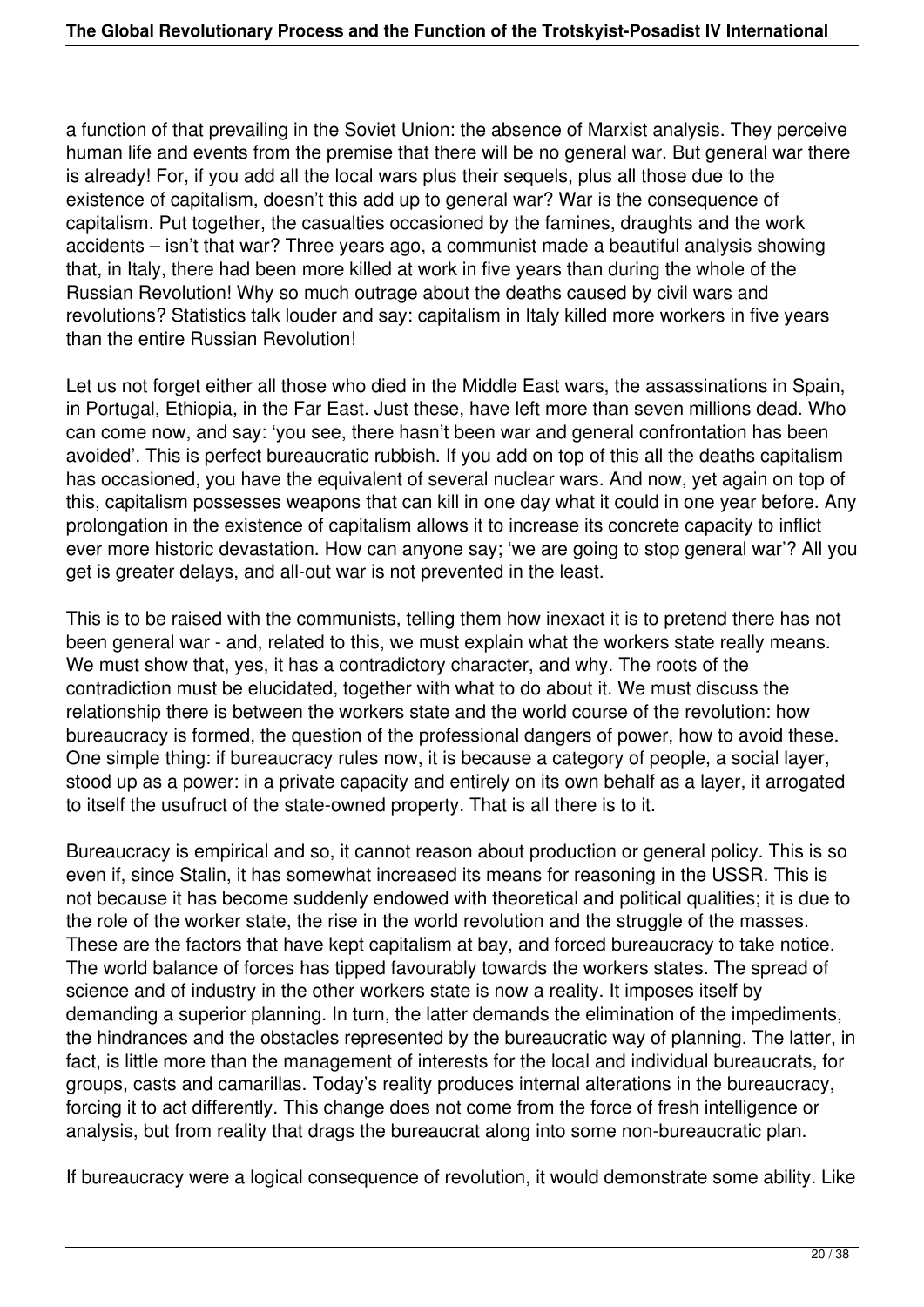a function of that prevailing in the Soviet Union: the absence of Marxist analysis. They perceive human life and events from the premise that there will be no general war. But general war there is already! For, if you add all the local wars plus their sequels, plus all those due to the existence of capitalism, doesn't this add up to general war? War is the consequence of capitalism. Put together, the casualties occasioned by the famines, draughts and the work accidents – isn't that war? Three years ago, a communist made a beautiful analysis showing that, in Italy, there had been more killed at work in five years than during the whole of the Russian Revolution! Why so much outrage about the deaths caused by civil wars and revolutions? Statistics talk louder and say: capitalism in Italy killed more workers in five years than the entire Russian Revolution!

Let us not forget either all those who died in the Middle East wars, the assassinations in Spain, in Portugal, Ethiopia, in the Far East. Just these, have left more than seven millions dead. Who can come now, and say: 'you see, there hasn't been war and general confrontation has been avoided'. This is perfect bureaucratic rubbish. If you add on top of this all the deaths capitalism has occasioned, you have the equivalent of several nuclear wars. And now, yet again on top of this, capitalism possesses weapons that can kill in one day what it could in one year before. Any prolongation in the existence of capitalism allows it to increase its concrete capacity to inflict ever more historic devastation. How can anyone say; 'we are going to stop general war'? All you get is greater delays, and all-out war is not prevented in the least.

This is to be raised with the communists, telling them how inexact it is to pretend there has not been general war - and, related to this, we must explain what the workers state really means. We must show that, yes, it has a contradictory character, and why. The roots of the contradiction must be elucidated, together with what to do about it. We must discuss the relationship there is between the workers state and the world course of the revolution: how bureaucracy is formed, the question of the professional dangers of power, how to avoid these. One simple thing: if bureaucracy rules now, it is because a category of people, a social layer, stood up as a power: in a private capacity and entirely on its own behalf as a layer, it arrogated to itself the usufruct of the state-owned property. That is all there is to it.

Bureaucracy is empirical and so, it cannot reason about production or general policy. This is so even if, since Stalin, it has somewhat increased its means for reasoning in the USSR. This is not because it has become suddenly endowed with theoretical and political qualities; it is due to the role of the worker state, the rise in the world revolution and the struggle of the masses. These are the factors that have kept capitalism at bay, and forced bureaucracy to take notice. The world balance of forces has tipped favourably towards the workers states. The spread of science and of industry in the other workers state is now a reality. It imposes itself by demanding a superior planning. In turn, the latter demands the elimination of the impediments, the hindrances and the obstacles represented by the bureaucratic way of planning. The latter, in fact, is little more than the management of interests for the local and individual bureaucrats, for groups, casts and camarillas. Today's reality produces internal alterations in the bureaucracy, forcing it to act differently. This change does not come from the force of fresh intelligence or analysis, but from reality that drags the bureaucrat along into some non-bureaucratic plan.

If bureaucracy were a logical consequence of revolution, it would demonstrate some ability. Like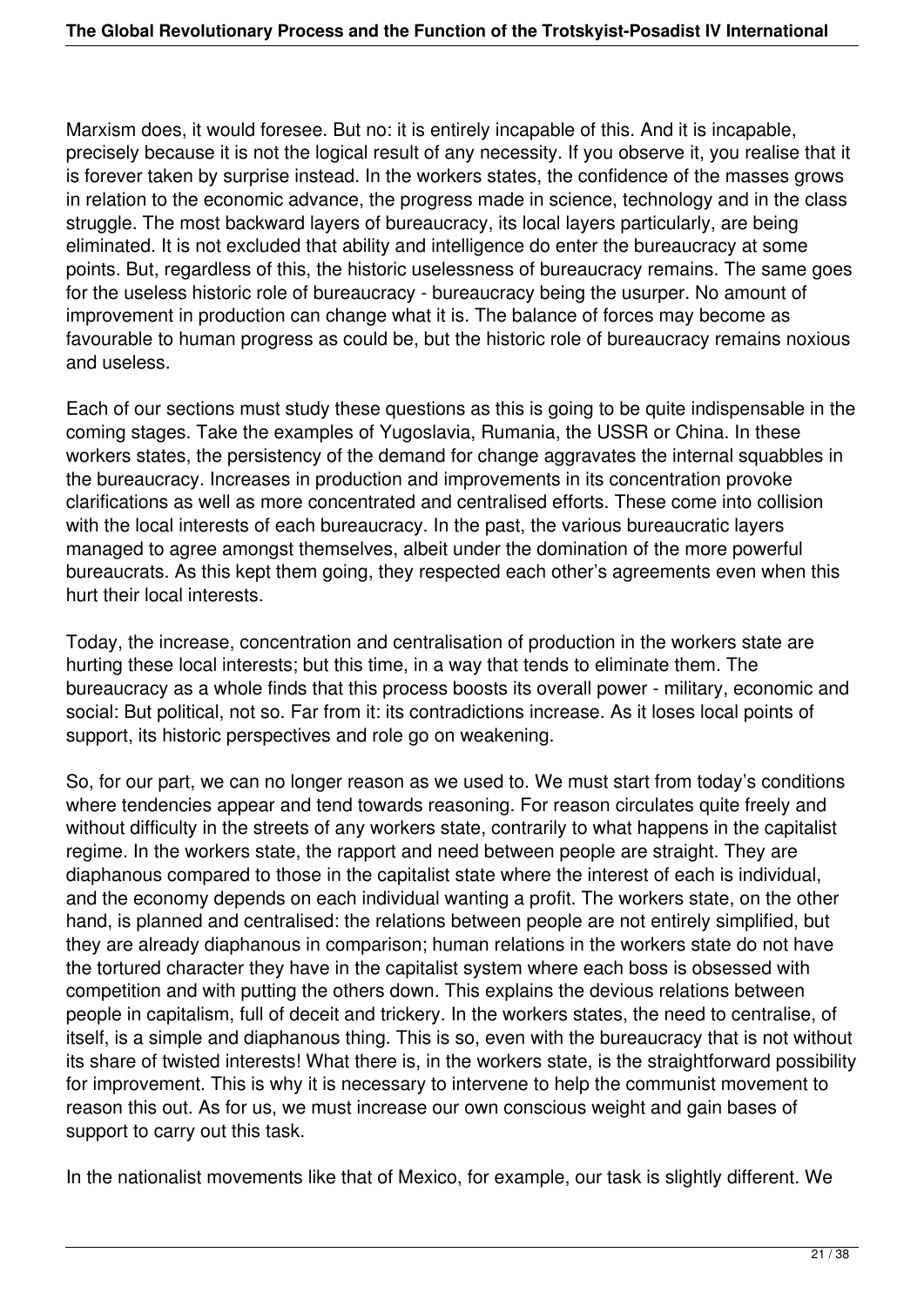Marxism does, it would foresee. But no: it is entirely incapable of this. And it is incapable, precisely because it is not the logical result of any necessity. If you observe it, you realise that it is forever taken by surprise instead. In the workers states, the confidence of the masses grows in relation to the economic advance, the progress made in science, technology and in the class struggle. The most backward layers of bureaucracy, its local layers particularly, are being eliminated. It is not excluded that ability and intelligence do enter the bureaucracy at some points. But, regardless of this, the historic uselessness of bureaucracy remains. The same goes for the useless historic role of bureaucracy - bureaucracy being the usurper. No amount of improvement in production can change what it is. The balance of forces may become as favourable to human progress as could be, but the historic role of bureaucracy remains noxious and useless.

Each of our sections must study these questions as this is going to be quite indispensable in the coming stages. Take the examples of Yugoslavia, Rumania, the USSR or China. In these workers states, the persistency of the demand for change aggravates the internal squabbles in the bureaucracy. Increases in production and improvements in its concentration provoke clarifications as well as more concentrated and centralised efforts. These come into collision with the local interests of each bureaucracy. In the past, the various bureaucratic layers managed to agree amongst themselves, albeit under the domination of the more powerful bureaucrats. As this kept them going, they respected each other's agreements even when this hurt their local interests.

Today, the increase, concentration and centralisation of production in the workers state are hurting these local interests; but this time, in a way that tends to eliminate them. The bureaucracy as a whole finds that this process boosts its overall power - military, economic and social: But political, not so. Far from it: its contradictions increase. As it loses local points of support, its historic perspectives and role go on weakening.

So, for our part, we can no longer reason as we used to. We must start from today's conditions where tendencies appear and tend towards reasoning. For reason circulates quite freely and without difficulty in the streets of any workers state, contrarily to what happens in the capitalist regime. In the workers state, the rapport and need between people are straight. They are diaphanous compared to those in the capitalist state where the interest of each is individual, and the economy depends on each individual wanting a profit. The workers state, on the other hand, is planned and centralised: the relations between people are not entirely simplified, but they are already diaphanous in comparison; human relations in the workers state do not have the tortured character they have in the capitalist system where each boss is obsessed with competition and with putting the others down. This explains the devious relations between people in capitalism, full of deceit and trickery. In the workers states, the need to centralise, of itself, is a simple and diaphanous thing. This is so, even with the bureaucracy that is not without its share of twisted interests! What there is, in the workers state, is the straightforward possibility for improvement. This is why it is necessary to intervene to help the communist movement to reason this out. As for us, we must increase our own conscious weight and gain bases of support to carry out this task.

In the nationalist movements like that of Mexico, for example, our task is slightly different. We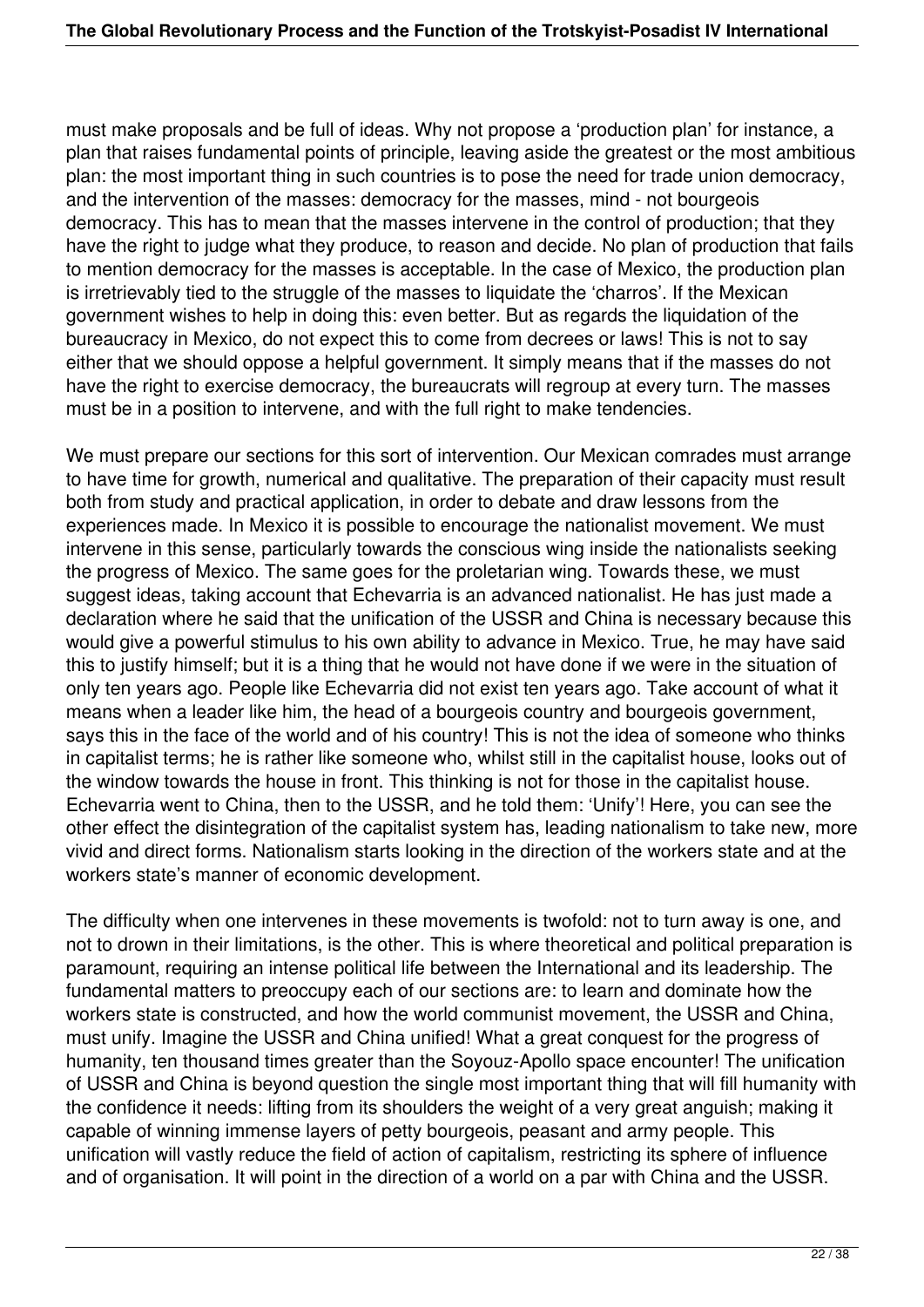must make proposals and be full of ideas. Why not propose a 'production plan' for instance, a plan that raises fundamental points of principle, leaving aside the greatest or the most ambitious plan: the most important thing in such countries is to pose the need for trade union democracy, and the intervention of the masses: democracy for the masses, mind - not bourgeois democracy. This has to mean that the masses intervene in the control of production; that they have the right to judge what they produce, to reason and decide. No plan of production that fails to mention democracy for the masses is acceptable. In the case of Mexico, the production plan is irretrievably tied to the struggle of the masses to liquidate the 'charros'. If the Mexican government wishes to help in doing this: even better. But as regards the liquidation of the bureaucracy in Mexico, do not expect this to come from decrees or laws! This is not to say either that we should oppose a helpful government. It simply means that if the masses do not have the right to exercise democracy, the bureaucrats will regroup at every turn. The masses must be in a position to intervene, and with the full right to make tendencies.

We must prepare our sections for this sort of intervention. Our Mexican comrades must arrange to have time for growth, numerical and qualitative. The preparation of their capacity must result both from study and practical application, in order to debate and draw lessons from the experiences made. In Mexico it is possible to encourage the nationalist movement. We must intervene in this sense, particularly towards the conscious wing inside the nationalists seeking the progress of Mexico. The same goes for the proletarian wing. Towards these, we must suggest ideas, taking account that Echevarria is an advanced nationalist. He has just made a declaration where he said that the unification of the USSR and China is necessary because this would give a powerful stimulus to his own ability to advance in Mexico. True, he may have said this to justify himself; but it is a thing that he would not have done if we were in the situation of only ten years ago. People like Echevarria did not exist ten years ago. Take account of what it means when a leader like him, the head of a bourgeois country and bourgeois government, says this in the face of the world and of his country! This is not the idea of someone who thinks in capitalist terms; he is rather like someone who, whilst still in the capitalist house, looks out of the window towards the house in front. This thinking is not for those in the capitalist house. Echevarria went to China, then to the USSR, and he told them: 'Unify'! Here, you can see the other effect the disintegration of the capitalist system has, leading nationalism to take new, more vivid and direct forms. Nationalism starts looking in the direction of the workers state and at the workers state's manner of economic development.

The difficulty when one intervenes in these movements is twofold: not to turn away is one, and not to drown in their limitations, is the other. This is where theoretical and political preparation is paramount, requiring an intense political life between the International and its leadership. The fundamental matters to preoccupy each of our sections are: to learn and dominate how the workers state is constructed, and how the world communist movement, the USSR and China, must unify. Imagine the USSR and China unified! What a great conquest for the progress of humanity, ten thousand times greater than the Soyouz-Apollo space encounter! The unification of USSR and China is beyond question the single most important thing that will fill humanity with the confidence it needs: lifting from its shoulders the weight of a very great anguish; making it capable of winning immense layers of petty bourgeois, peasant and army people. This unification will vastly reduce the field of action of capitalism, restricting its sphere of influence and of organisation. It will point in the direction of a world on a par with China and the USSR.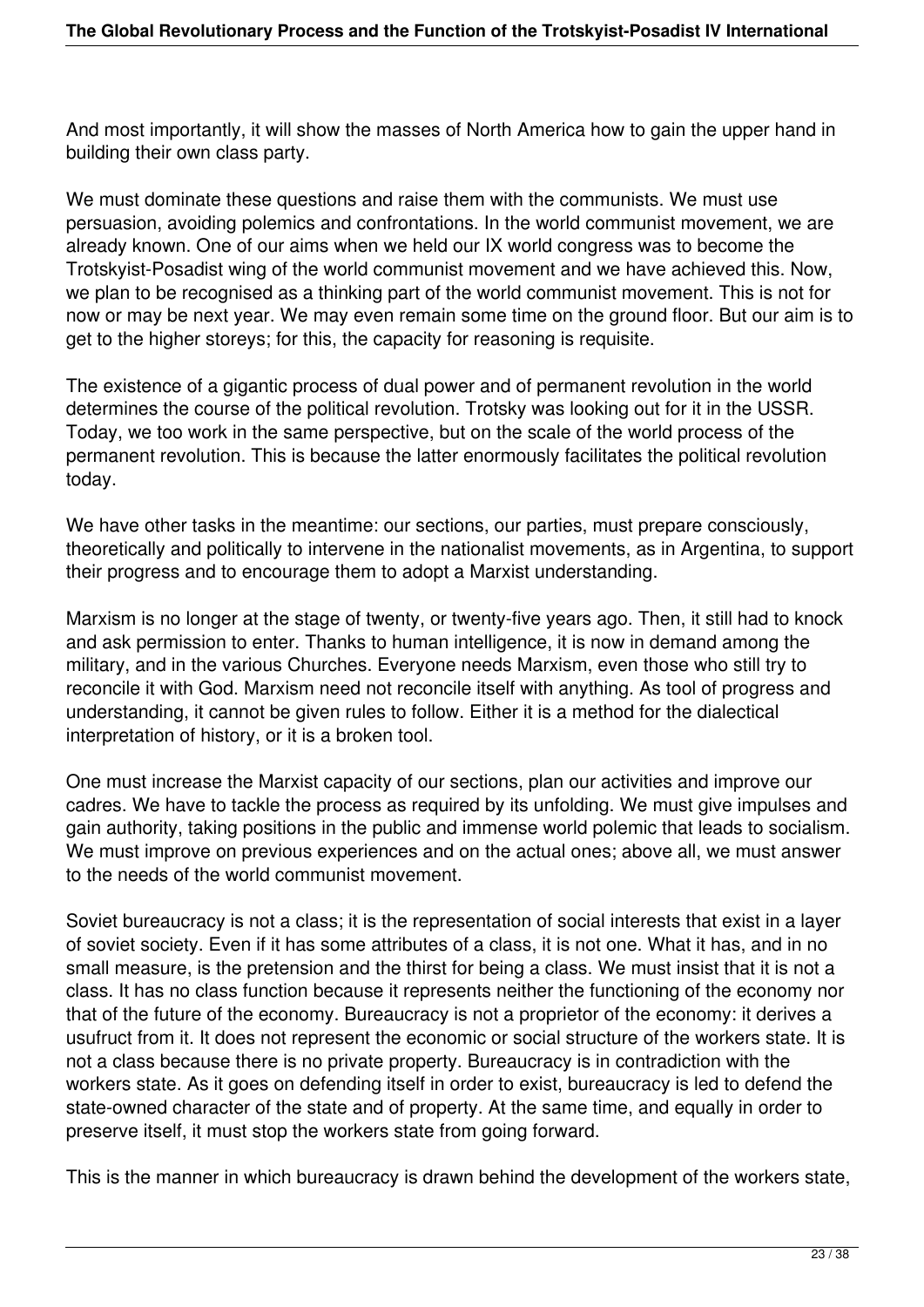And most importantly, it will show the masses of North America how to gain the upper hand in building their own class party.

We must dominate these questions and raise them with the communists. We must use persuasion, avoiding polemics and confrontations. In the world communist movement, we are already known. One of our aims when we held our IX world congress was to become the Trotskyist-Posadist wing of the world communist movement and we have achieved this. Now, we plan to be recognised as a thinking part of the world communist movement. This is not for now or may be next year. We may even remain some time on the ground floor. But our aim is to get to the higher storeys; for this, the capacity for reasoning is requisite.

The existence of a gigantic process of dual power and of permanent revolution in the world determines the course of the political revolution. Trotsky was looking out for it in the USSR. Today, we too work in the same perspective, but on the scale of the world process of the permanent revolution. This is because the latter enormously facilitates the political revolution today.

We have other tasks in the meantime: our sections, our parties, must prepare consciously, theoretically and politically to intervene in the nationalist movements, as in Argentina, to support their progress and to encourage them to adopt a Marxist understanding.

Marxism is no longer at the stage of twenty, or twenty-five years ago. Then, it still had to knock and ask permission to enter. Thanks to human intelligence, it is now in demand among the military, and in the various Churches. Everyone needs Marxism, even those who still try to reconcile it with God. Marxism need not reconcile itself with anything. As tool of progress and understanding, it cannot be given rules to follow. Either it is a method for the dialectical interpretation of history, or it is a broken tool.

One must increase the Marxist capacity of our sections, plan our activities and improve our cadres. We have to tackle the process as required by its unfolding. We must give impulses and gain authority, taking positions in the public and immense world polemic that leads to socialism. We must improve on previous experiences and on the actual ones; above all, we must answer to the needs of the world communist movement.

Soviet bureaucracy is not a class; it is the representation of social interests that exist in a layer of soviet society. Even if it has some attributes of a class, it is not one. What it has, and in no small measure, is the pretension and the thirst for being a class. We must insist that it is not a class. It has no class function because it represents neither the functioning of the economy nor that of the future of the economy. Bureaucracy is not a proprietor of the economy: it derives a usufruct from it. It does not represent the economic or social structure of the workers state. It is not a class because there is no private property. Bureaucracy is in contradiction with the workers state. As it goes on defending itself in order to exist, bureaucracy is led to defend the state-owned character of the state and of property. At the same time, and equally in order to preserve itself, it must stop the workers state from going forward.

This is the manner in which bureaucracy is drawn behind the development of the workers state,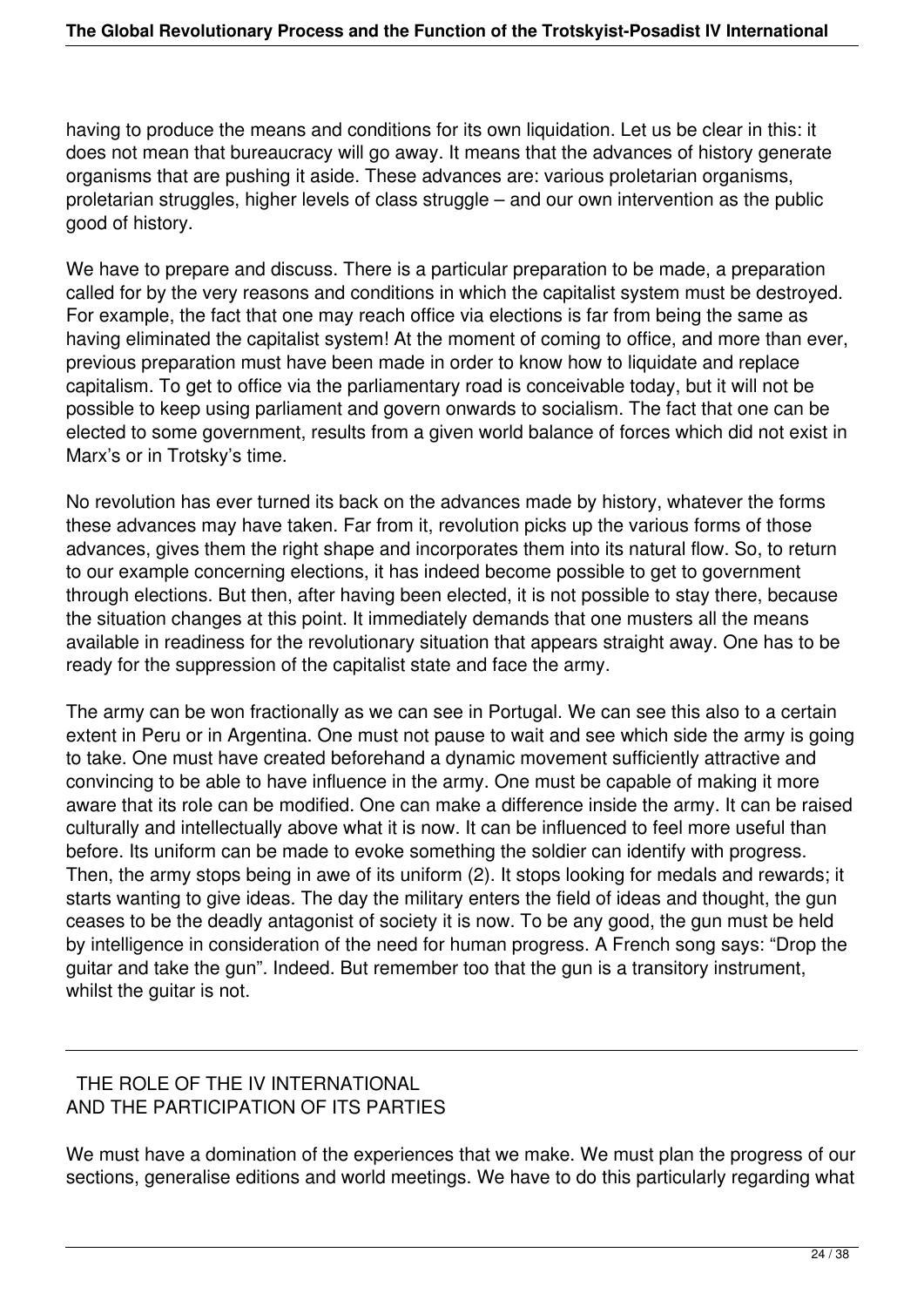having to produce the means and conditions for its own liquidation. Let us be clear in this: it does not mean that bureaucracy will go away. It means that the advances of history generate organisms that are pushing it aside. These advances are: various proletarian organisms, proletarian struggles, higher levels of class struggle – and our own intervention as the public good of history.

We have to prepare and discuss. There is a particular preparation to be made, a preparation called for by the very reasons and conditions in which the capitalist system must be destroyed. For example, the fact that one may reach office via elections is far from being the same as having eliminated the capitalist system! At the moment of coming to office, and more than ever, previous preparation must have been made in order to know how to liquidate and replace capitalism. To get to office via the parliamentary road is conceivable today, but it will not be possible to keep using parliament and govern onwards to socialism. The fact that one can be elected to some government, results from a given world balance of forces which did not exist in Marx's or in Trotsky's time.

No revolution has ever turned its back on the advances made by history, whatever the forms these advances may have taken. Far from it, revolution picks up the various forms of those advances, gives them the right shape and incorporates them into its natural flow. So, to return to our example concerning elections, it has indeed become possible to get to government through elections. But then, after having been elected, it is not possible to stay there, because the situation changes at this point. It immediately demands that one musters all the means available in readiness for the revolutionary situation that appears straight away. One has to be ready for the suppression of the capitalist state and face the army.

The army can be won fractionally as we can see in Portugal. We can see this also to a certain extent in Peru or in Argentina. One must not pause to wait and see which side the army is going to take. One must have created beforehand a dynamic movement sufficiently attractive and convincing to be able to have influence in the army. One must be capable of making it more aware that its role can be modified. One can make a difference inside the army. It can be raised culturally and intellectually above what it is now. It can be influenced to feel more useful than before. Its uniform can be made to evoke something the soldier can identify with progress. Then, the army stops being in awe of its uniform (2). It stops looking for medals and rewards; it starts wanting to give ideas. The day the military enters the field of ideas and thought, the gun ceases to be the deadly antagonist of society it is now. To be any good, the gun must be held by intelligence in consideration of the need for human progress. A French song says: "Drop the guitar and take the gun". Indeed. But remember too that the gun is a transitory instrument, whilst the guitar is not.

## THE ROLE OF THE IV INTERNATIONAL AND THE PARTICIPATION OF ITS PARTIES

We must have a domination of the experiences that we make. We must plan the progress of our sections, generalise editions and world meetings. We have to do this particularly regarding what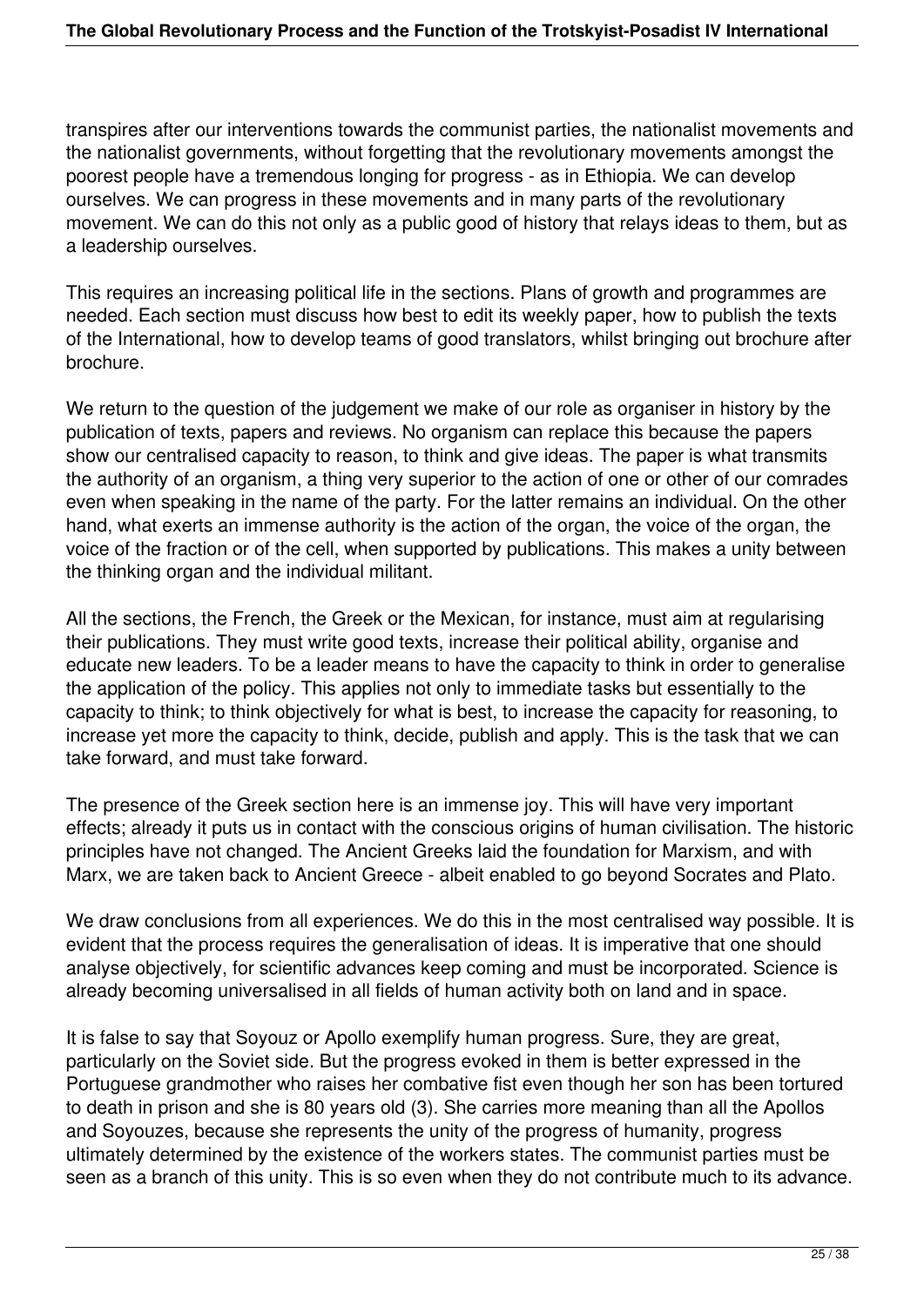transpires after our interventions towards the communist parties, the nationalist movements and the nationalist governments, without forgetting that the revolutionary movements amongst the poorest people have a tremendous longing for progress - as in Ethiopia. We can develop ourselves. We can progress in these movements and in many parts of the revolutionary movement. We can do this not only as a public good of history that relays ideas to them, but as a leadership ourselves.

This requires an increasing political life in the sections. Plans of growth and programmes are needed. Each section must discuss how best to edit its weekly paper, how to publish the texts of the International, how to develop teams of good translators, whilst bringing out brochure after brochure.

We return to the question of the judgement we make of our role as organiser in history by the publication of texts, papers and reviews. No organism can replace this because the papers show our centralised capacity to reason, to think and give ideas. The paper is what transmits the authority of an organism, a thing very superior to the action of one or other of our comrades even when speaking in the name of the party. For the latter remains an individual. On the other hand, what exerts an immense authority is the action of the organ, the voice of the organ, the voice of the fraction or of the cell, when supported by publications. This makes a unity between the thinking organ and the individual militant.

All the sections, the French, the Greek or the Mexican, for instance, must aim at regularising their publications. They must write good texts, increase their political ability, organise and educate new leaders. To be a leader means to have the capacity to think in order to generalise the application of the policy. This applies not only to immediate tasks but essentially to the capacity to think; to think objectively for what is best, to increase the capacity for reasoning, to increase yet more the capacity to think, decide, publish and apply. This is the task that we can take forward, and must take forward.

The presence of the Greek section here is an immense joy. This will have very important effects; already it puts us in contact with the conscious origins of human civilisation. The historic principles have not changed. The Ancient Greeks laid the foundation for Marxism, and with Marx, we are taken back to Ancient Greece - albeit enabled to go beyond Socrates and Plato.

We draw conclusions from all experiences. We do this in the most centralised way possible. It is evident that the process requires the generalisation of ideas. It is imperative that one should analyse objectively, for scientific advances keep coming and must be incorporated. Science is already becoming universalised in all fields of human activity both on land and in space.

It is false to say that Soyouz or Apollo exemplify human progress. Sure, they are great, particularly on the Soviet side. But the progress evoked in them is better expressed in the Portuguese grandmother who raises her combative fist even though her son has been tortured to death in prison and she is 80 years old (3). She carries more meaning than all the Apollos and Soyouzes, because she represents the unity of the progress of humanity, progress ultimately determined by the existence of the workers states. The communist parties must be seen as a branch of this unity. This is so even when they do not contribute much to its advance.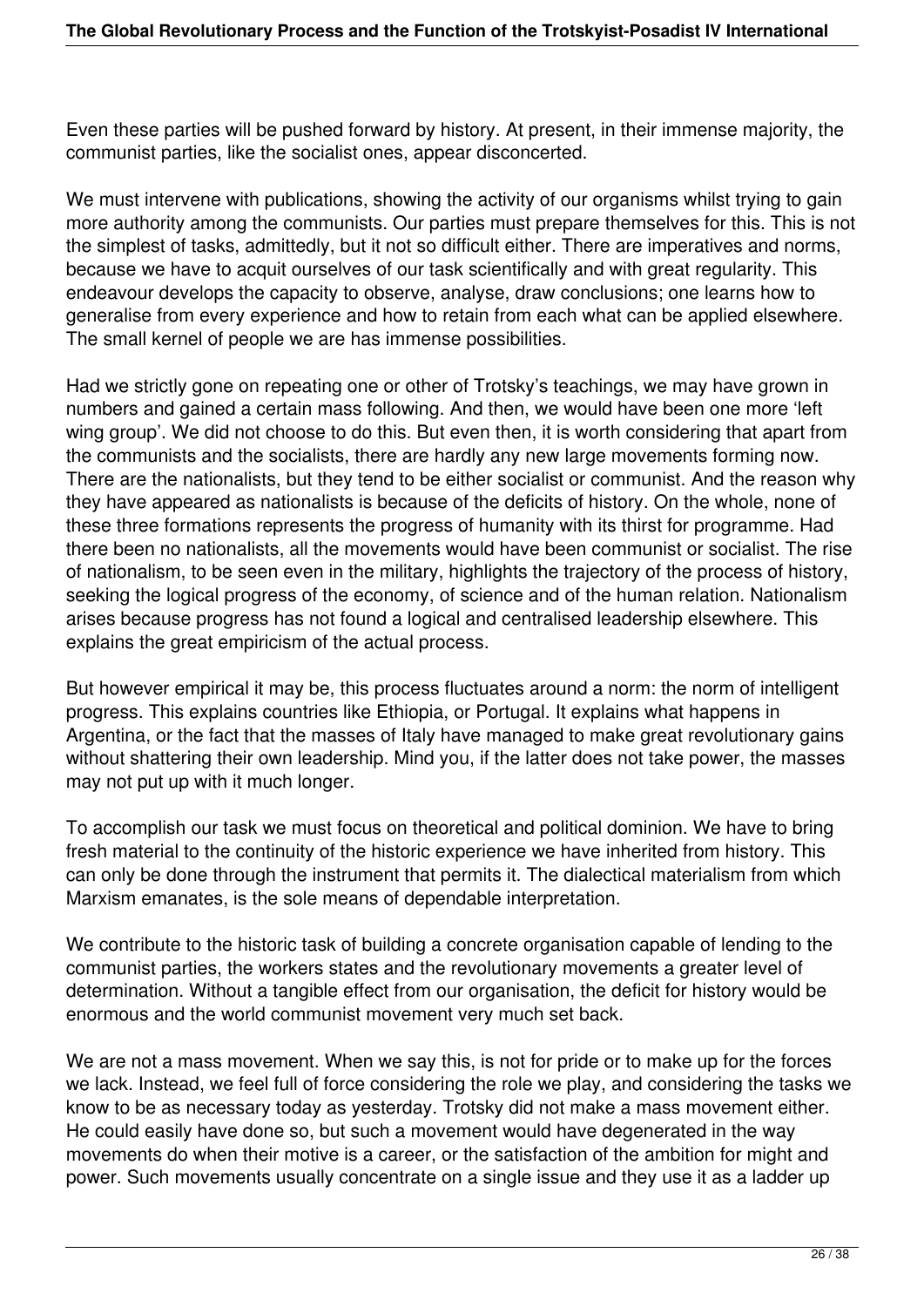Even these parties will be pushed forward by history. At present, in their immense majority, the communist parties, like the socialist ones, appear disconcerted.

We must intervene with publications, showing the activity of our organisms whilst trying to gain more authority among the communists. Our parties must prepare themselves for this. This is not the simplest of tasks, admittedly, but it not so difficult either. There are imperatives and norms, because we have to acquit ourselves of our task scientifically and with great regularity. This endeavour develops the capacity to observe, analyse, draw conclusions; one learns how to generalise from every experience and how to retain from each what can be applied elsewhere. The small kernel of people we are has immense possibilities.

Had we strictly gone on repeating one or other of Trotsky's teachings, we may have grown in numbers and gained a certain mass following. And then, we would have been one more 'left wing group'. We did not choose to do this. But even then, it is worth considering that apart from the communists and the socialists, there are hardly any new large movements forming now. There are the nationalists, but they tend to be either socialist or communist. And the reason why they have appeared as nationalists is because of the deficits of history. On the whole, none of these three formations represents the progress of humanity with its thirst for programme. Had there been no nationalists, all the movements would have been communist or socialist. The rise of nationalism, to be seen even in the military, highlights the trajectory of the process of history, seeking the logical progress of the economy, of science and of the human relation. Nationalism arises because progress has not found a logical and centralised leadership elsewhere. This explains the great empiricism of the actual process.

But however empirical it may be, this process fluctuates around a norm: the norm of intelligent progress. This explains countries like Ethiopia, or Portugal. It explains what happens in Argentina, or the fact that the masses of Italy have managed to make great revolutionary gains without shattering their own leadership. Mind you, if the latter does not take power, the masses may not put up with it much longer.

To accomplish our task we must focus on theoretical and political dominion. We have to bring fresh material to the continuity of the historic experience we have inherited from history. This can only be done through the instrument that permits it. The dialectical materialism from which Marxism emanates, is the sole means of dependable interpretation.

We contribute to the historic task of building a concrete organisation capable of lending to the communist parties, the workers states and the revolutionary movements a greater level of determination. Without a tangible effect from our organisation, the deficit for history would be enormous and the world communist movement very much set back.

We are not a mass movement. When we say this, is not for pride or to make up for the forces we lack. Instead, we feel full of force considering the role we play, and considering the tasks we know to be as necessary today as yesterday. Trotsky did not make a mass movement either. He could easily have done so, but such a movement would have degenerated in the way movements do when their motive is a career, or the satisfaction of the ambition for might and power. Such movements usually concentrate on a single issue and they use it as a ladder up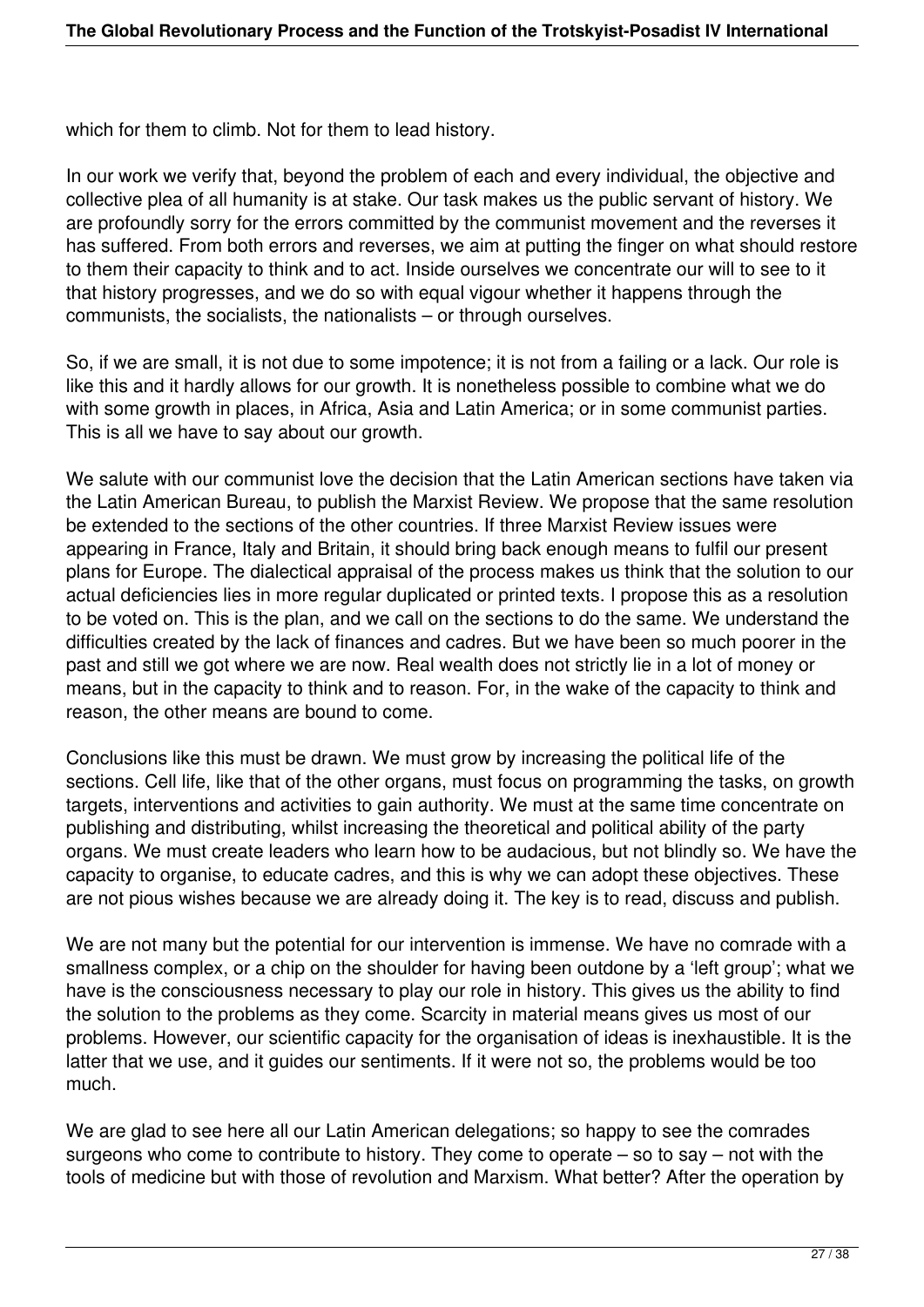which for them to climb. Not for them to lead history.

In our work we verify that, beyond the problem of each and every individual, the objective and collective plea of all humanity is at stake. Our task makes us the public servant of history. We are profoundly sorry for the errors committed by the communist movement and the reverses it has suffered. From both errors and reverses, we aim at putting the finger on what should restore to them their capacity to think and to act. Inside ourselves we concentrate our will to see to it that history progresses, and we do so with equal vigour whether it happens through the communists, the socialists, the nationalists – or through ourselves.

So, if we are small, it is not due to some impotence; it is not from a failing or a lack. Our role is like this and it hardly allows for our growth. It is nonetheless possible to combine what we do with some growth in places, in Africa, Asia and Latin America; or in some communist parties. This is all we have to say about our growth.

We salute with our communist love the decision that the Latin American sections have taken via the Latin American Bureau, to publish the Marxist Review. We propose that the same resolution be extended to the sections of the other countries. If three Marxist Review issues were appearing in France, Italy and Britain, it should bring back enough means to fulfil our present plans for Europe. The dialectical appraisal of the process makes us think that the solution to our actual deficiencies lies in more regular duplicated or printed texts. I propose this as a resolution to be voted on. This is the plan, and we call on the sections to do the same. We understand the difficulties created by the lack of finances and cadres. But we have been so much poorer in the past and still we got where we are now. Real wealth does not strictly lie in a lot of money or means, but in the capacity to think and to reason. For, in the wake of the capacity to think and reason, the other means are bound to come.

Conclusions like this must be drawn. We must grow by increasing the political life of the sections. Cell life, like that of the other organs, must focus on programming the tasks, on growth targets, interventions and activities to gain authority. We must at the same time concentrate on publishing and distributing, whilst increasing the theoretical and political ability of the party organs. We must create leaders who learn how to be audacious, but not blindly so. We have the capacity to organise, to educate cadres, and this is why we can adopt these objectives. These are not pious wishes because we are already doing it. The key is to read, discuss and publish.

We are not many but the potential for our intervention is immense. We have no comrade with a smallness complex, or a chip on the shoulder for having been outdone by a 'left group'; what we have is the consciousness necessary to play our role in history. This gives us the ability to find the solution to the problems as they come. Scarcity in material means gives us most of our problems. However, our scientific capacity for the organisation of ideas is inexhaustible. It is the latter that we use, and it guides our sentiments. If it were not so, the problems would be too much.

We are glad to see here all our Latin American delegations; so happy to see the comrades surgeons who come to contribute to history. They come to operate – so to say – not with the tools of medicine but with those of revolution and Marxism. What better? After the operation by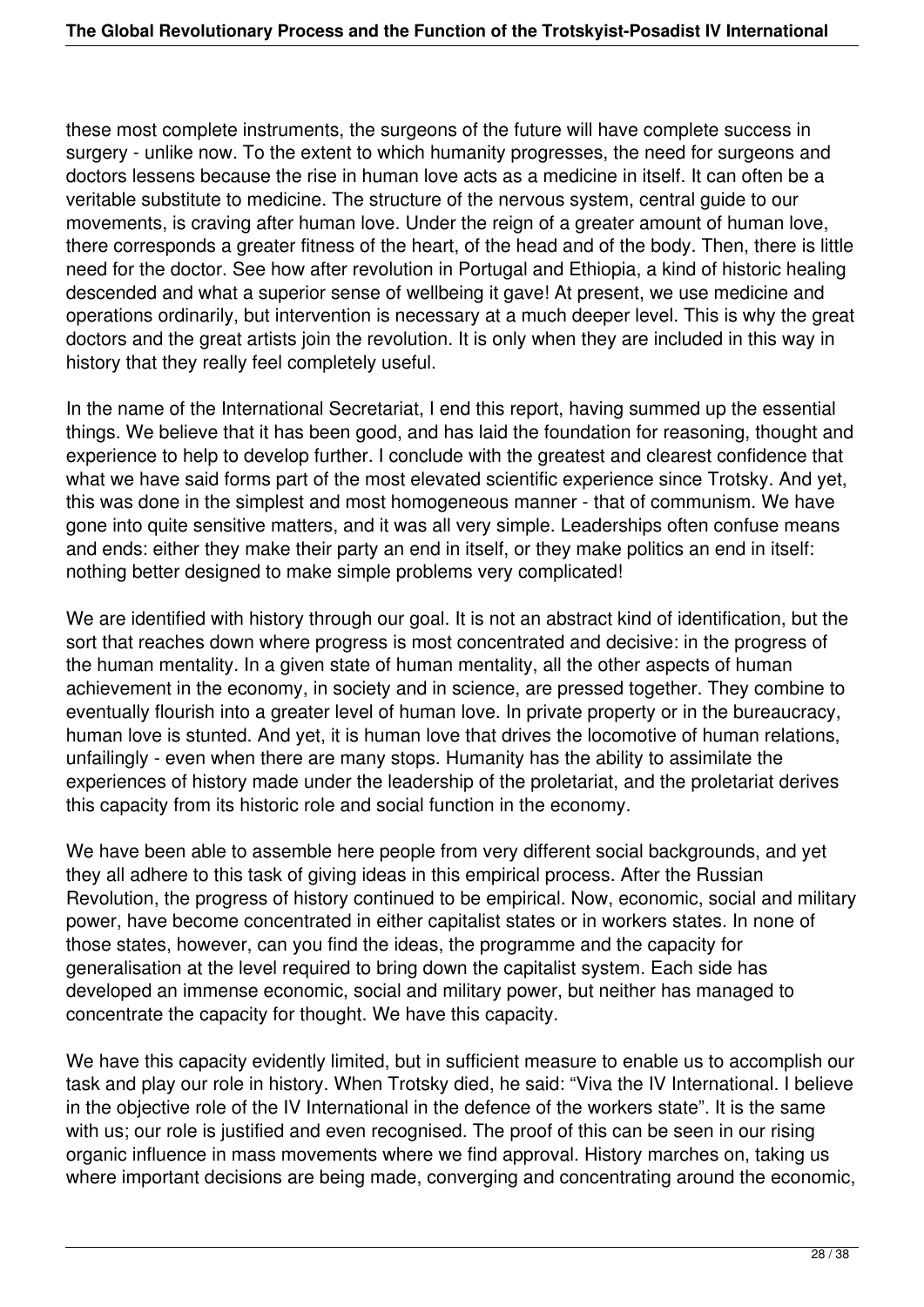these most complete instruments, the surgeons of the future will have complete success in surgery - unlike now. To the extent to which humanity progresses, the need for surgeons and doctors lessens because the rise in human love acts as a medicine in itself. It can often be a veritable substitute to medicine. The structure of the nervous system, central guide to our movements, is craving after human love. Under the reign of a greater amount of human love, there corresponds a greater fitness of the heart, of the head and of the body. Then, there is little need for the doctor. See how after revolution in Portugal and Ethiopia, a kind of historic healing descended and what a superior sense of wellbeing it gave! At present, we use medicine and operations ordinarily, but intervention is necessary at a much deeper level. This is why the great doctors and the great artists join the revolution. It is only when they are included in this way in history that they really feel completely useful.

In the name of the International Secretariat, I end this report, having summed up the essential things. We believe that it has been good, and has laid the foundation for reasoning, thought and experience to help to develop further. I conclude with the greatest and clearest confidence that what we have said forms part of the most elevated scientific experience since Trotsky. And yet, this was done in the simplest and most homogeneous manner - that of communism. We have gone into quite sensitive matters, and it was all very simple. Leaderships often confuse means and ends: either they make their party an end in itself, or they make politics an end in itself: nothing better designed to make simple problems very complicated!

We are identified with history through our goal. It is not an abstract kind of identification, but the sort that reaches down where progress is most concentrated and decisive: in the progress of the human mentality. In a given state of human mentality, all the other aspects of human achievement in the economy, in society and in science, are pressed together. They combine to eventually flourish into a greater level of human love. In private property or in the bureaucracy, human love is stunted. And yet, it is human love that drives the locomotive of human relations, unfailingly - even when there are many stops. Humanity has the ability to assimilate the experiences of history made under the leadership of the proletariat, and the proletariat derives this capacity from its historic role and social function in the economy.

We have been able to assemble here people from very different social backgrounds, and yet they all adhere to this task of giving ideas in this empirical process. After the Russian Revolution, the progress of history continued to be empirical. Now, economic, social and military power, have become concentrated in either capitalist states or in workers states. In none of those states, however, can you find the ideas, the programme and the capacity for generalisation at the level required to bring down the capitalist system. Each side has developed an immense economic, social and military power, but neither has managed to concentrate the capacity for thought. We have this capacity.

We have this capacity evidently limited, but in sufficient measure to enable us to accomplish our task and play our role in history. When Trotsky died, he said: "Viva the IV International. I believe in the objective role of the IV International in the defence of the workers state". It is the same with us; our role is justified and even recognised. The proof of this can be seen in our rising organic influence in mass movements where we find approval. History marches on, taking us where important decisions are being made, converging and concentrating around the economic,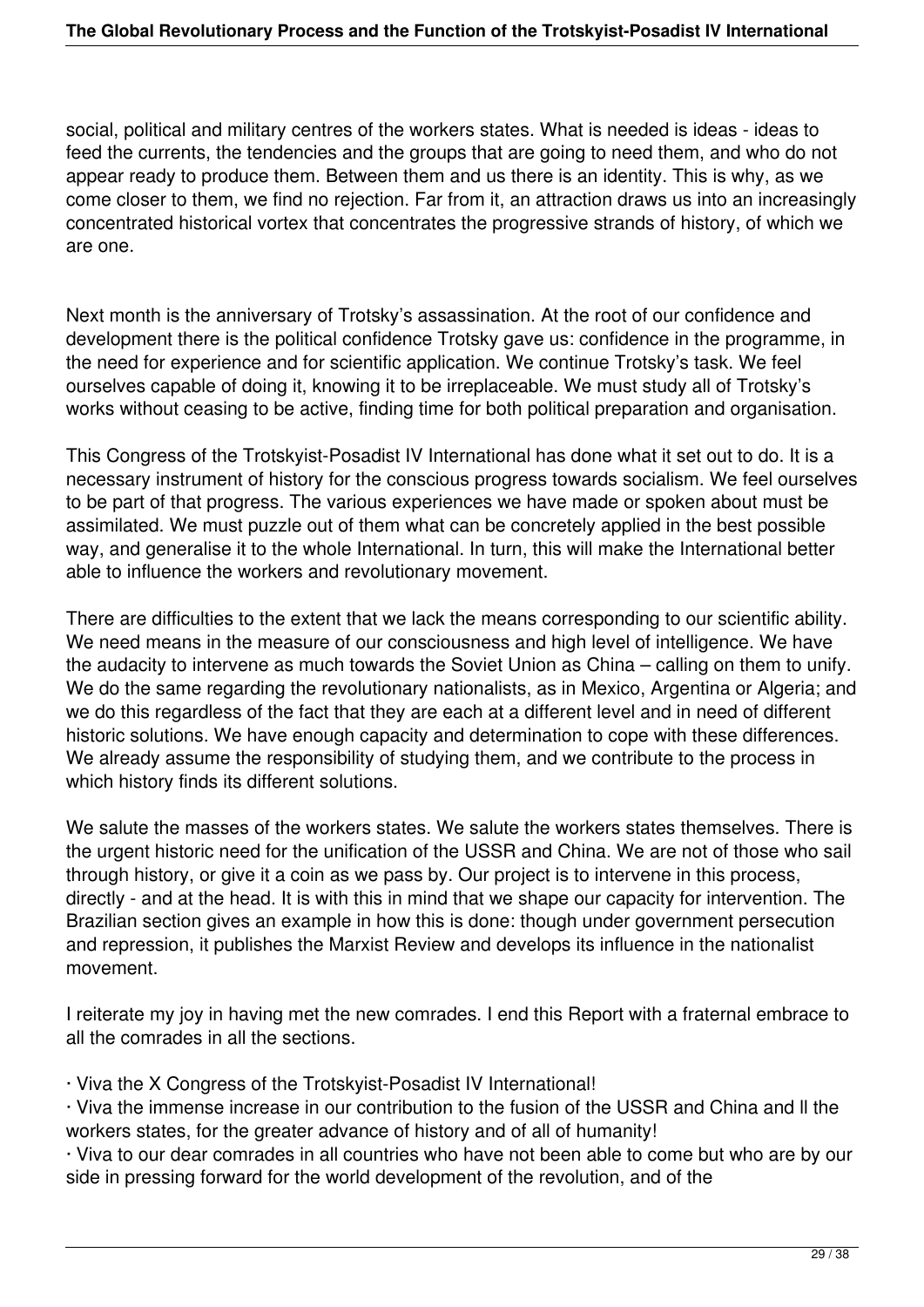social, political and military centres of the workers states. What is needed is ideas - ideas to feed the currents, the tendencies and the groups that are going to need them, and who do not appear ready to produce them. Between them and us there is an identity. This is why, as we come closer to them, we find no rejection. Far from it, an attraction draws us into an increasingly concentrated historical vortex that concentrates the progressive strands of history, of which we are one.

Next month is the anniversary of Trotsky's assassination. At the root of our confidence and development there is the political confidence Trotsky gave us: confidence in the programme, in the need for experience and for scientific application. We continue Trotsky's task. We feel ourselves capable of doing it, knowing it to be irreplaceable. We must study all of Trotsky's works without ceasing to be active, finding time for both political preparation and organisation.

This Congress of the Trotskyist-Posadist IV International has done what it set out to do. It is a necessary instrument of history for the conscious progress towards socialism. We feel ourselves to be part of that progress. The various experiences we have made or spoken about must be assimilated. We must puzzle out of them what can be concretely applied in the best possible way, and generalise it to the whole International. In turn, this will make the International better able to influence the workers and revolutionary movement.

There are difficulties to the extent that we lack the means corresponding to our scientific ability. We need means in the measure of our consciousness and high level of intelligence. We have the audacity to intervene as much towards the Soviet Union as China – calling on them to unify. We do the same regarding the revolutionary nationalists, as in Mexico, Argentina or Algeria; and we do this regardless of the fact that they are each at a different level and in need of different historic solutions. We have enough capacity and determination to cope with these differences. We already assume the responsibility of studying them, and we contribute to the process in which history finds its different solutions.

We salute the masses of the workers states. We salute the workers states themselves. There is the urgent historic need for the unification of the USSR and China. We are not of those who sail through history, or give it a coin as we pass by. Our project is to intervene in this process, directly - and at the head. It is with this in mind that we shape our capacity for intervention. The Brazilian section gives an example in how this is done: though under government persecution and repression, it publishes the Marxist Review and develops its influence in the nationalist movement.

I reiterate my joy in having met the new comrades. I end this Report with a fraternal embrace to all the comrades in all the sections.

· Viva the X Congress of the Trotskyist-Posadist IV International!

· Viva the immense increase in our contribution to the fusion of the USSR and China and ll the workers states, for the greater advance of history and of all of humanity!

· Viva to our dear comrades in all countries who have not been able to come but who are by our side in pressing forward for the world development of the revolution, and of the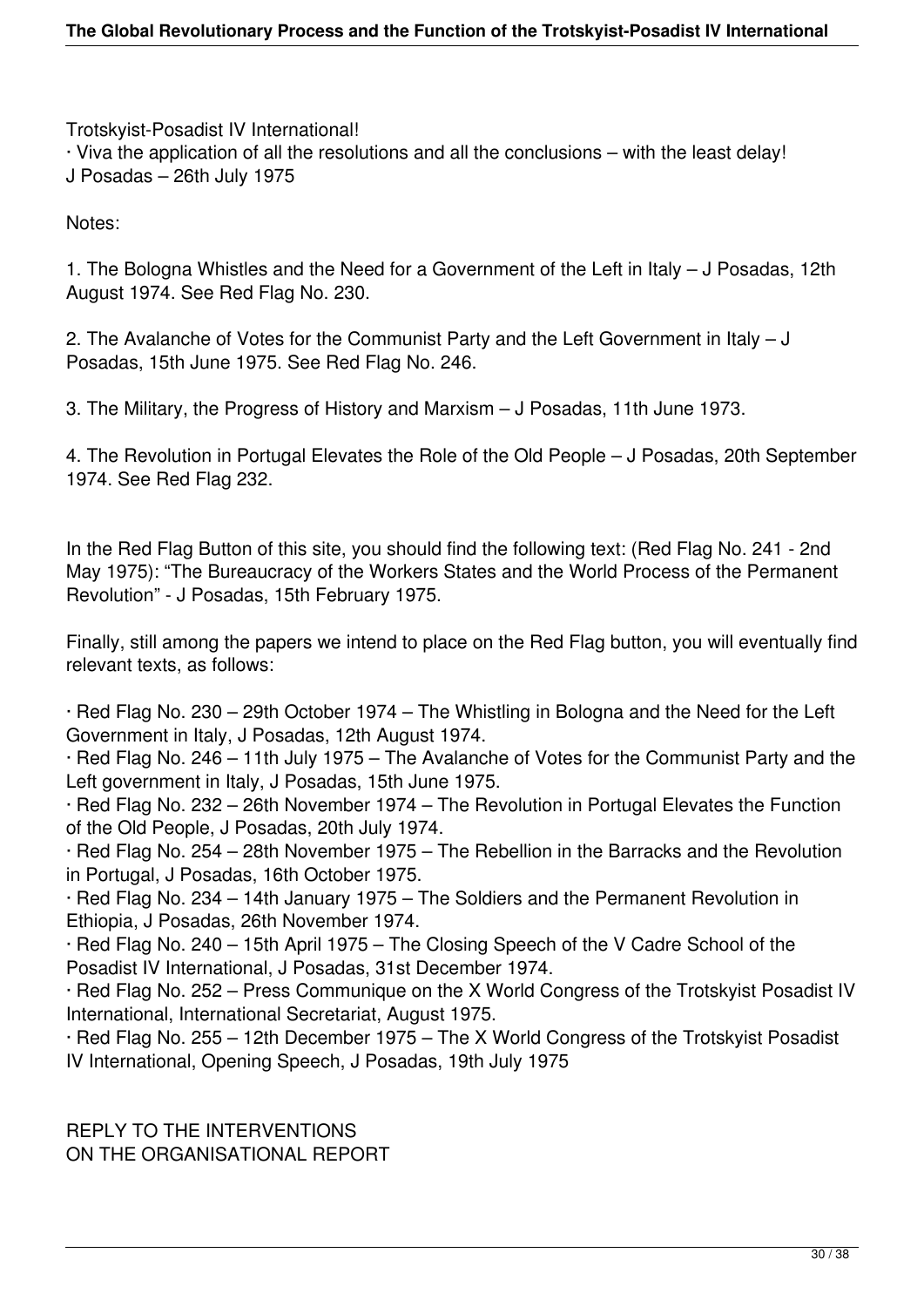Trotskyist-Posadist IV International!

· Viva the application of all the resolutions and all the conclusions – with the least delay! J Posadas – 26th July 1975

Notes:

1. The Bologna Whistles and the Need for a Government of the Left in Italy – J Posadas, 12th August 1974. See Red Flag No. 230.

2. The Avalanche of Votes for the Communist Party and the Left Government in Italy – J Posadas, 15th June 1975. See Red Flag No. 246.

3. The Military, the Progress of History and Marxism – J Posadas, 11th June 1973.

4. The Revolution in Portugal Elevates the Role of the Old People – J Posadas, 20th September 1974. See Red Flag 232.

In the Red Flag Button of this site, you should find the following text: (Red Flag No. 241 - 2nd May 1975): "The Bureaucracy of the Workers States and the World Process of the Permanent Revolution" - J Posadas, 15th February 1975.

Finally, still among the papers we intend to place on the Red Flag button, you will eventually find relevant texts, as follows:

· Red Flag No. 230 – 29th October 1974 – The Whistling in Bologna and the Need for the Left Government in Italy, J Posadas, 12th August 1974.

· Red Flag No. 246 – 11th July 1975 – The Avalanche of Votes for the Communist Party and the Left government in Italy, J Posadas, 15th June 1975.

· Red Flag No. 232 – 26th November 1974 – The Revolution in Portugal Elevates the Function of the Old People, J Posadas, 20th July 1974.

· Red Flag No. 254 – 28th November 1975 – The Rebellion in the Barracks and the Revolution in Portugal, J Posadas, 16th October 1975.

· Red Flag No. 234 – 14th January 1975 – The Soldiers and the Permanent Revolution in Ethiopia, J Posadas, 26th November 1974.

· Red Flag No. 240 – 15th April 1975 – The Closing Speech of the V Cadre School of the Posadist IV International, J Posadas, 31st December 1974.

· Red Flag No. 252 – Press Communique on the X World Congress of the Trotskyist Posadist IV International, International Secretariat, August 1975.

· Red Flag No. 255 – 12th December 1975 – The X World Congress of the Trotskyist Posadist IV International, Opening Speech, J Posadas, 19th July 1975

REPLY TO THE INTERVENTIONS ON THE ORGANISATIONAL REPORT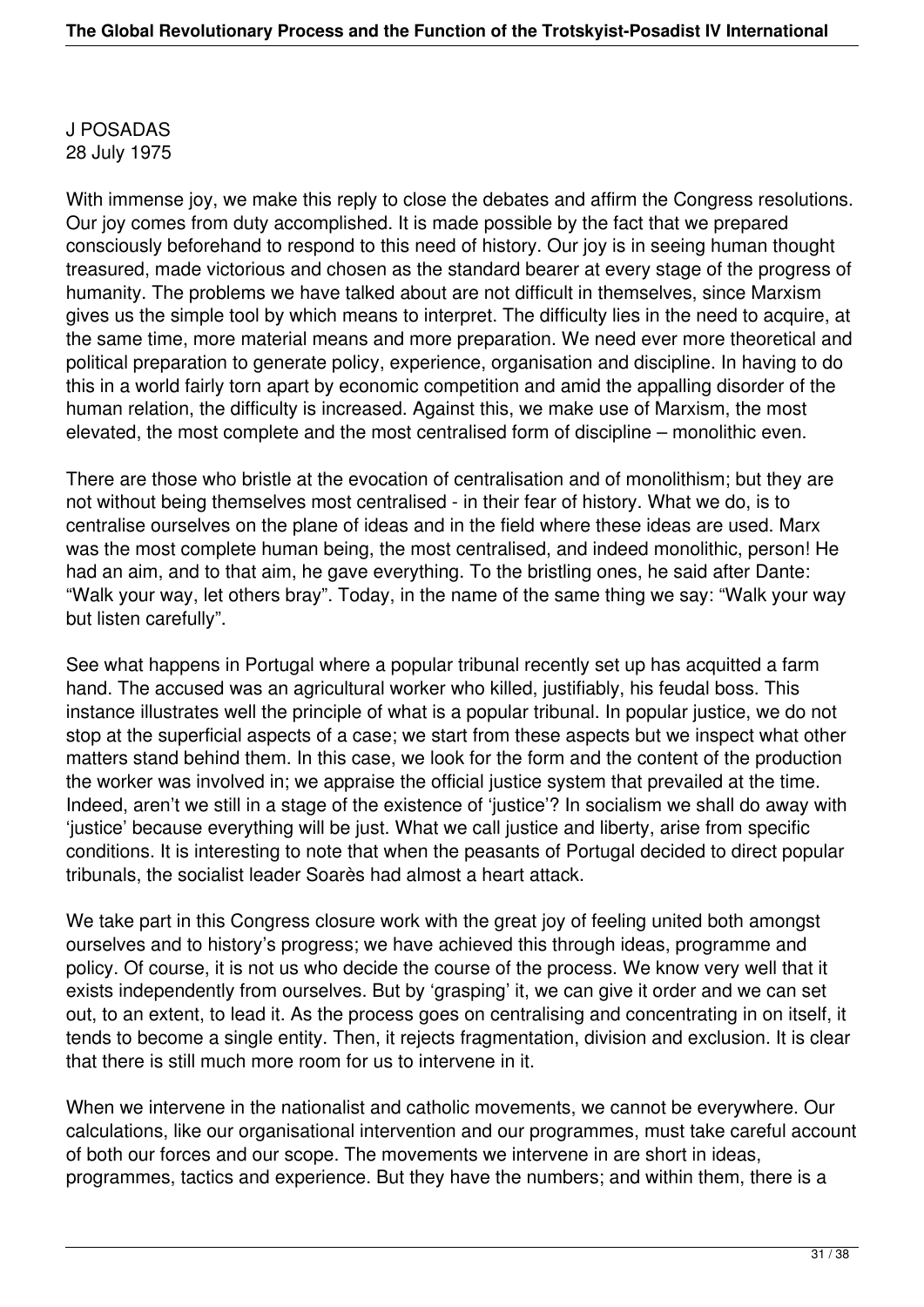J POSADAS 28 July 1975

With immense joy, we make this reply to close the debates and affirm the Congress resolutions. Our joy comes from duty accomplished. It is made possible by the fact that we prepared consciously beforehand to respond to this need of history. Our joy is in seeing human thought treasured, made victorious and chosen as the standard bearer at every stage of the progress of humanity. The problems we have talked about are not difficult in themselves, since Marxism gives us the simple tool by which means to interpret. The difficulty lies in the need to acquire, at the same time, more material means and more preparation. We need ever more theoretical and political preparation to generate policy, experience, organisation and discipline. In having to do this in a world fairly torn apart by economic competition and amid the appalling disorder of the human relation, the difficulty is increased. Against this, we make use of Marxism, the most elevated, the most complete and the most centralised form of discipline – monolithic even.

There are those who bristle at the evocation of centralisation and of monolithism; but they are not without being themselves most centralised - in their fear of history. What we do, is to centralise ourselves on the plane of ideas and in the field where these ideas are used. Marx was the most complete human being, the most centralised, and indeed monolithic, person! He had an aim, and to that aim, he gave everything. To the bristling ones, he said after Dante: "Walk your way, let others bray". Today, in the name of the same thing we say: "Walk your way but listen carefully".

See what happens in Portugal where a popular tribunal recently set up has acquitted a farm hand. The accused was an agricultural worker who killed, justifiably, his feudal boss. This instance illustrates well the principle of what is a popular tribunal. In popular justice, we do not stop at the superficial aspects of a case; we start from these aspects but we inspect what other matters stand behind them. In this case, we look for the form and the content of the production the worker was involved in; we appraise the official justice system that prevailed at the time. Indeed, aren't we still in a stage of the existence of 'justice'? In socialism we shall do away with 'justice' because everything will be just. What we call justice and liberty, arise from specific conditions. It is interesting to note that when the peasants of Portugal decided to direct popular tribunals, the socialist leader Soarès had almost a heart attack.

We take part in this Congress closure work with the great joy of feeling united both amongst ourselves and to history's progress; we have achieved this through ideas, programme and policy. Of course, it is not us who decide the course of the process. We know very well that it exists independently from ourselves. But by 'grasping' it, we can give it order and we can set out, to an extent, to lead it. As the process goes on centralising and concentrating in on itself, it tends to become a single entity. Then, it rejects fragmentation, division and exclusion. It is clear that there is still much more room for us to intervene in it.

When we intervene in the nationalist and catholic movements, we cannot be everywhere. Our calculations, like our organisational intervention and our programmes, must take careful account of both our forces and our scope. The movements we intervene in are short in ideas, programmes, tactics and experience. But they have the numbers; and within them, there is a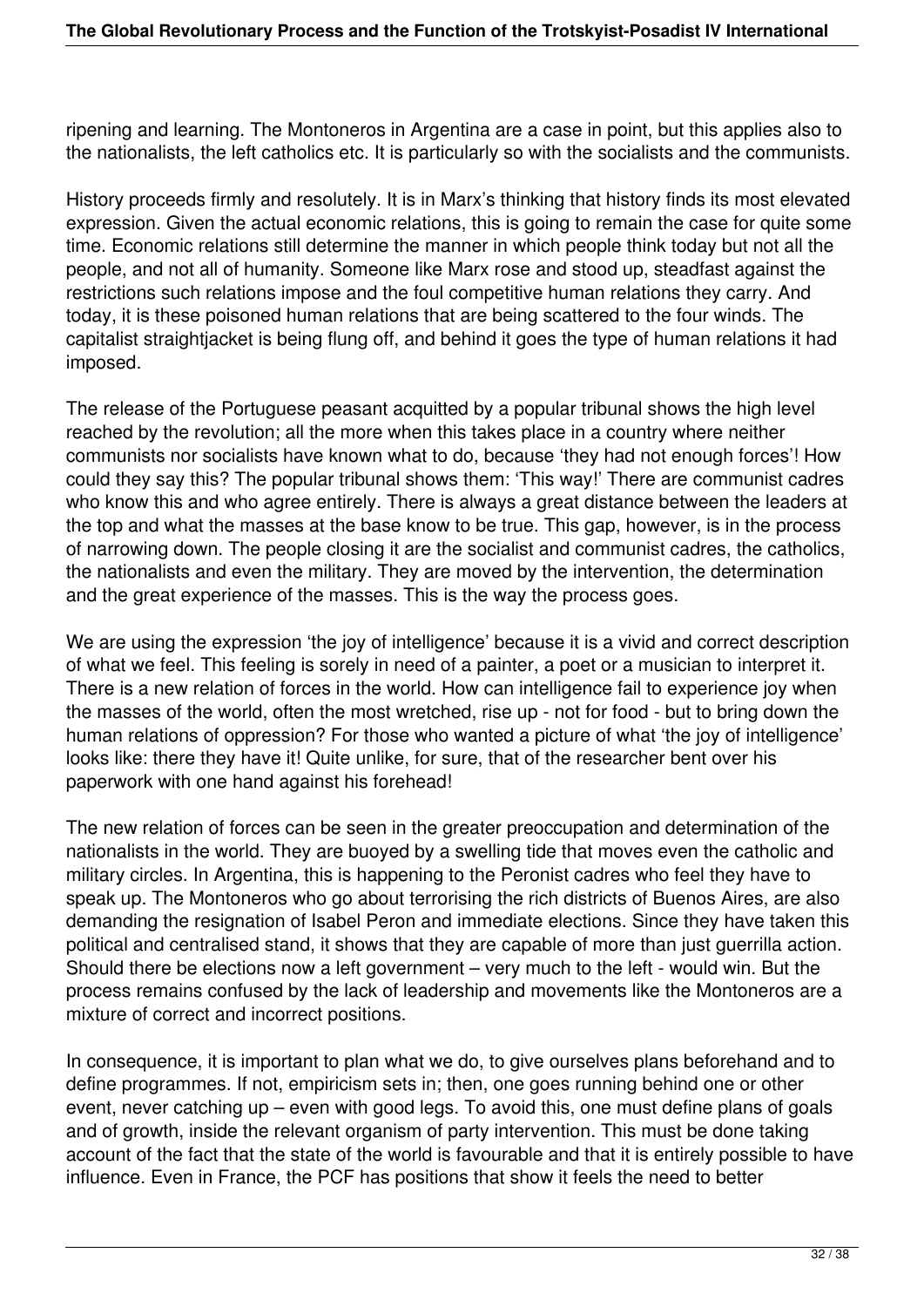ripening and learning. The Montoneros in Argentina are a case in point, but this applies also to the nationalists, the left catholics etc. It is particularly so with the socialists and the communists.

History proceeds firmly and resolutely. It is in Marx's thinking that history finds its most elevated expression. Given the actual economic relations, this is going to remain the case for quite some time. Economic relations still determine the manner in which people think today but not all the people, and not all of humanity. Someone like Marx rose and stood up, steadfast against the restrictions such relations impose and the foul competitive human relations they carry. And today, it is these poisoned human relations that are being scattered to the four winds. The capitalist straightjacket is being flung off, and behind it goes the type of human relations it had imposed.

The release of the Portuguese peasant acquitted by a popular tribunal shows the high level reached by the revolution; all the more when this takes place in a country where neither communists nor socialists have known what to do, because 'they had not enough forces'! How could they say this? The popular tribunal shows them: 'This way!' There are communist cadres who know this and who agree entirely. There is always a great distance between the leaders at the top and what the masses at the base know to be true. This gap, however, is in the process of narrowing down. The people closing it are the socialist and communist cadres, the catholics, the nationalists and even the military. They are moved by the intervention, the determination and the great experience of the masses. This is the way the process goes.

We are using the expression 'the joy of intelligence' because it is a vivid and correct description of what we feel. This feeling is sorely in need of a painter, a poet or a musician to interpret it. There is a new relation of forces in the world. How can intelligence fail to experience joy when the masses of the world, often the most wretched, rise up - not for food - but to bring down the human relations of oppression? For those who wanted a picture of what 'the joy of intelligence' looks like: there they have it! Quite unlike, for sure, that of the researcher bent over his paperwork with one hand against his forehead!

The new relation of forces can be seen in the greater preoccupation and determination of the nationalists in the world. They are buoyed by a swelling tide that moves even the catholic and military circles. In Argentina, this is happening to the Peronist cadres who feel they have to speak up. The Montoneros who go about terrorising the rich districts of Buenos Aires, are also demanding the resignation of Isabel Peron and immediate elections. Since they have taken this political and centralised stand, it shows that they are capable of more than just guerrilla action. Should there be elections now a left government – very much to the left - would win. But the process remains confused by the lack of leadership and movements like the Montoneros are a mixture of correct and incorrect positions.

In consequence, it is important to plan what we do, to give ourselves plans beforehand and to define programmes. If not, empiricism sets in; then, one goes running behind one or other event, never catching up – even with good legs. To avoid this, one must define plans of goals and of growth, inside the relevant organism of party intervention. This must be done taking account of the fact that the state of the world is favourable and that it is entirely possible to have influence. Even in France, the PCF has positions that show it feels the need to better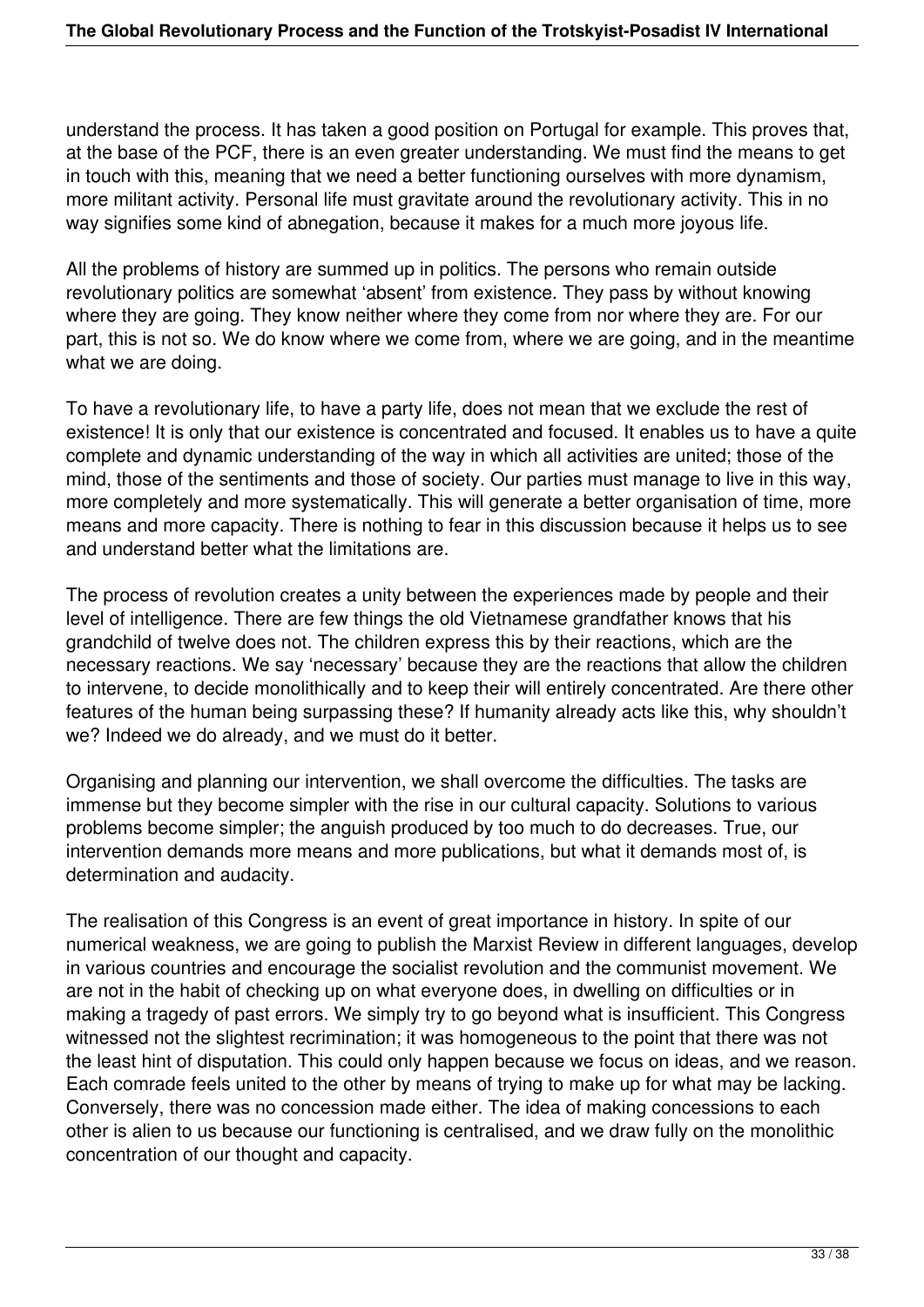understand the process. It has taken a good position on Portugal for example. This proves that, at the base of the PCF, there is an even greater understanding. We must find the means to get in touch with this, meaning that we need a better functioning ourselves with more dynamism, more militant activity. Personal life must gravitate around the revolutionary activity. This in no way signifies some kind of abnegation, because it makes for a much more joyous life.

All the problems of history are summed up in politics. The persons who remain outside revolutionary politics are somewhat 'absent' from existence. They pass by without knowing where they are going. They know neither where they come from nor where they are. For our part, this is not so. We do know where we come from, where we are going, and in the meantime what we are doing.

To have a revolutionary life, to have a party life, does not mean that we exclude the rest of existence! It is only that our existence is concentrated and focused. It enables us to have a quite complete and dynamic understanding of the way in which all activities are united; those of the mind, those of the sentiments and those of society. Our parties must manage to live in this way, more completely and more systematically. This will generate a better organisation of time, more means and more capacity. There is nothing to fear in this discussion because it helps us to see and understand better what the limitations are.

The process of revolution creates a unity between the experiences made by people and their level of intelligence. There are few things the old Vietnamese grandfather knows that his grandchild of twelve does not. The children express this by their reactions, which are the necessary reactions. We say 'necessary' because they are the reactions that allow the children to intervene, to decide monolithically and to keep their will entirely concentrated. Are there other features of the human being surpassing these? If humanity already acts like this, why shouldn't we? Indeed we do already, and we must do it better.

Organising and planning our intervention, we shall overcome the difficulties. The tasks are immense but they become simpler with the rise in our cultural capacity. Solutions to various problems become simpler; the anguish produced by too much to do decreases. True, our intervention demands more means and more publications, but what it demands most of, is determination and audacity.

The realisation of this Congress is an event of great importance in history. In spite of our numerical weakness, we are going to publish the Marxist Review in different languages, develop in various countries and encourage the socialist revolution and the communist movement. We are not in the habit of checking up on what everyone does, in dwelling on difficulties or in making a tragedy of past errors. We simply try to go beyond what is insufficient. This Congress witnessed not the slightest recrimination; it was homogeneous to the point that there was not the least hint of disputation. This could only happen because we focus on ideas, and we reason. Each comrade feels united to the other by means of trying to make up for what may be lacking. Conversely, there was no concession made either. The idea of making concessions to each other is alien to us because our functioning is centralised, and we draw fully on the monolithic concentration of our thought and capacity.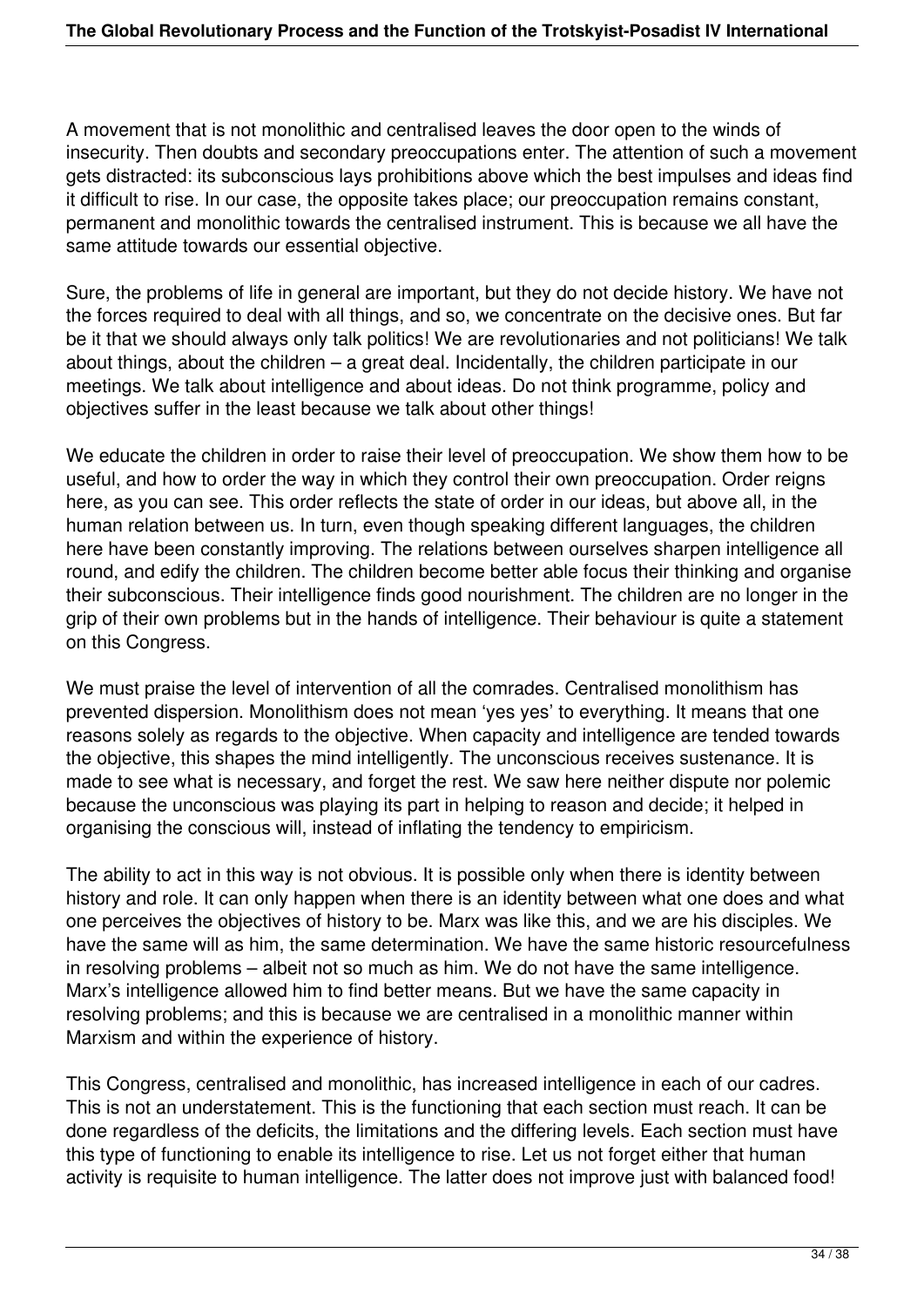A movement that is not monolithic and centralised leaves the door open to the winds of insecurity. Then doubts and secondary preoccupations enter. The attention of such a movement gets distracted: its subconscious lays prohibitions above which the best impulses and ideas find it difficult to rise. In our case, the opposite takes place; our preoccupation remains constant, permanent and monolithic towards the centralised instrument. This is because we all have the same attitude towards our essential objective.

Sure, the problems of life in general are important, but they do not decide history. We have not the forces required to deal with all things, and so, we concentrate on the decisive ones. But far be it that we should always only talk politics! We are revolutionaries and not politicians! We talk about things, about the children – a great deal. Incidentally, the children participate in our meetings. We talk about intelligence and about ideas. Do not think programme, policy and objectives suffer in the least because we talk about other things!

We educate the children in order to raise their level of preoccupation. We show them how to be useful, and how to order the way in which they control their own preoccupation. Order reigns here, as you can see. This order reflects the state of order in our ideas, but above all, in the human relation between us. In turn, even though speaking different languages, the children here have been constantly improving. The relations between ourselves sharpen intelligence all round, and edify the children. The children become better able focus their thinking and organise their subconscious. Their intelligence finds good nourishment. The children are no longer in the grip of their own problems but in the hands of intelligence. Their behaviour is quite a statement on this Congress.

We must praise the level of intervention of all the comrades. Centralised monolithism has prevented dispersion. Monolithism does not mean 'yes yes' to everything. It means that one reasons solely as regards to the objective. When capacity and intelligence are tended towards the objective, this shapes the mind intelligently. The unconscious receives sustenance. It is made to see what is necessary, and forget the rest. We saw here neither dispute nor polemic because the unconscious was playing its part in helping to reason and decide; it helped in organising the conscious will, instead of inflating the tendency to empiricism.

The ability to act in this way is not obvious. It is possible only when there is identity between history and role. It can only happen when there is an identity between what one does and what one perceives the objectives of history to be. Marx was like this, and we are his disciples. We have the same will as him, the same determination. We have the same historic resourcefulness in resolving problems – albeit not so much as him. We do not have the same intelligence. Marx's intelligence allowed him to find better means. But we have the same capacity in resolving problems; and this is because we are centralised in a monolithic manner within Marxism and within the experience of history.

This Congress, centralised and monolithic, has increased intelligence in each of our cadres. This is not an understatement. This is the functioning that each section must reach. It can be done regardless of the deficits, the limitations and the differing levels. Each section must have this type of functioning to enable its intelligence to rise. Let us not forget either that human activity is requisite to human intelligence. The latter does not improve just with balanced food!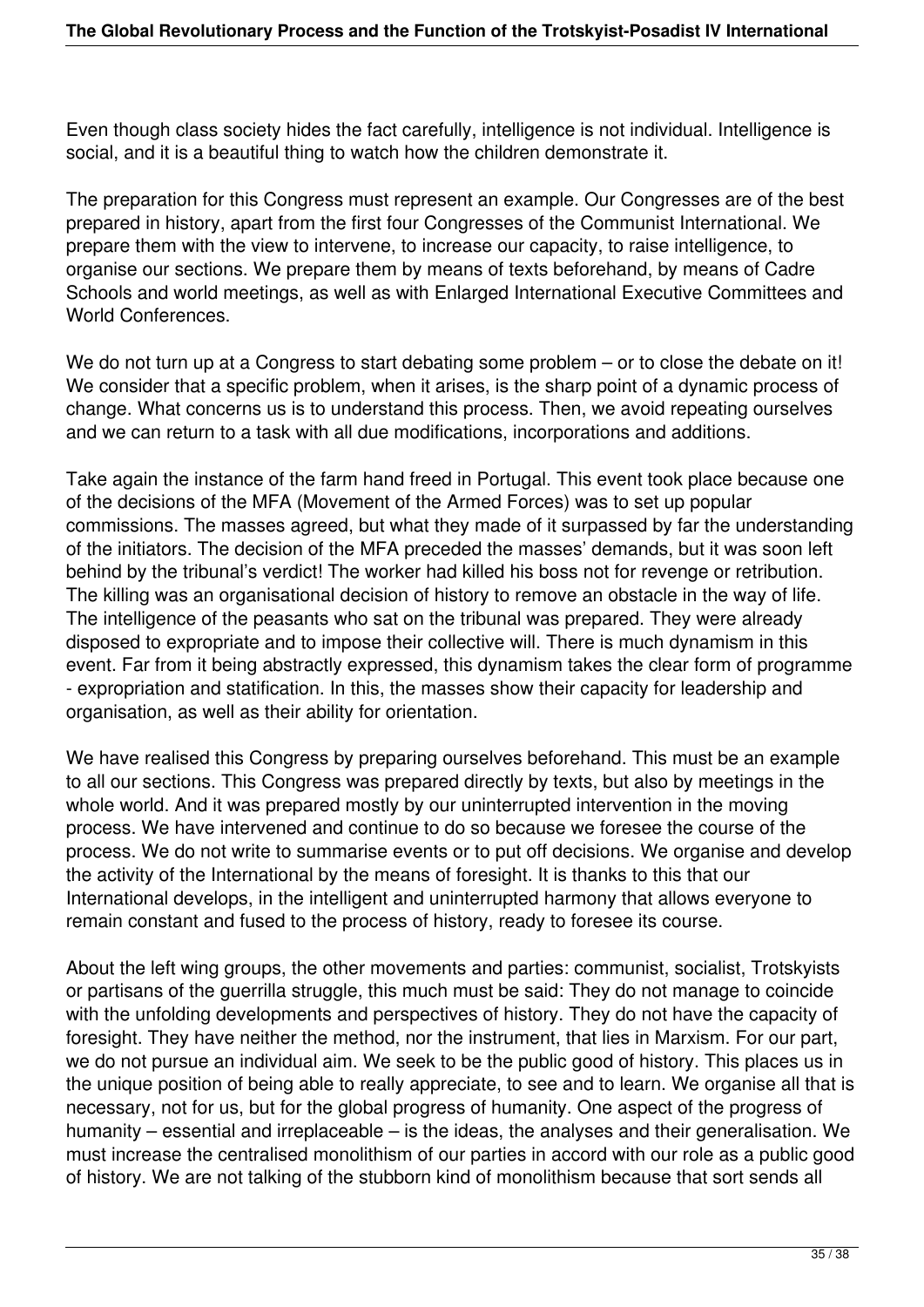Even though class society hides the fact carefully, intelligence is not individual. Intelligence is social, and it is a beautiful thing to watch how the children demonstrate it.

The preparation for this Congress must represent an example. Our Congresses are of the best prepared in history, apart from the first four Congresses of the Communist International. We prepare them with the view to intervene, to increase our capacity, to raise intelligence, to organise our sections. We prepare them by means of texts beforehand, by means of Cadre Schools and world meetings, as well as with Enlarged International Executive Committees and World Conferences.

We do not turn up at a Congress to start debating some problem – or to close the debate on it! We consider that a specific problem, when it arises, is the sharp point of a dynamic process of change. What concerns us is to understand this process. Then, we avoid repeating ourselves and we can return to a task with all due modifications, incorporations and additions.

Take again the instance of the farm hand freed in Portugal. This event took place because one of the decisions of the MFA (Movement of the Armed Forces) was to set up popular commissions. The masses agreed, but what they made of it surpassed by far the understanding of the initiators. The decision of the MFA preceded the masses' demands, but it was soon left behind by the tribunal's verdict! The worker had killed his boss not for revenge or retribution. The killing was an organisational decision of history to remove an obstacle in the way of life. The intelligence of the peasants who sat on the tribunal was prepared. They were already disposed to expropriate and to impose their collective will. There is much dynamism in this event. Far from it being abstractly expressed, this dynamism takes the clear form of programme - expropriation and statification. In this, the masses show their capacity for leadership and organisation, as well as their ability for orientation.

We have realised this Congress by preparing ourselves beforehand. This must be an example to all our sections. This Congress was prepared directly by texts, but also by meetings in the whole world. And it was prepared mostly by our uninterrupted intervention in the moving process. We have intervened and continue to do so because we foresee the course of the process. We do not write to summarise events or to put off decisions. We organise and develop the activity of the International by the means of foresight. It is thanks to this that our International develops, in the intelligent and uninterrupted harmony that allows everyone to remain constant and fused to the process of history, ready to foresee its course.

About the left wing groups, the other movements and parties: communist, socialist, Trotskyists or partisans of the guerrilla struggle, this much must be said: They do not manage to coincide with the unfolding developments and perspectives of history. They do not have the capacity of foresight. They have neither the method, nor the instrument, that lies in Marxism. For our part, we do not pursue an individual aim. We seek to be the public good of history. This places us in the unique position of being able to really appreciate, to see and to learn. We organise all that is necessary, not for us, but for the global progress of humanity. One aspect of the progress of humanity – essential and irreplaceable – is the ideas, the analyses and their generalisation. We must increase the centralised monolithism of our parties in accord with our role as a public good of history. We are not talking of the stubborn kind of monolithism because that sort sends all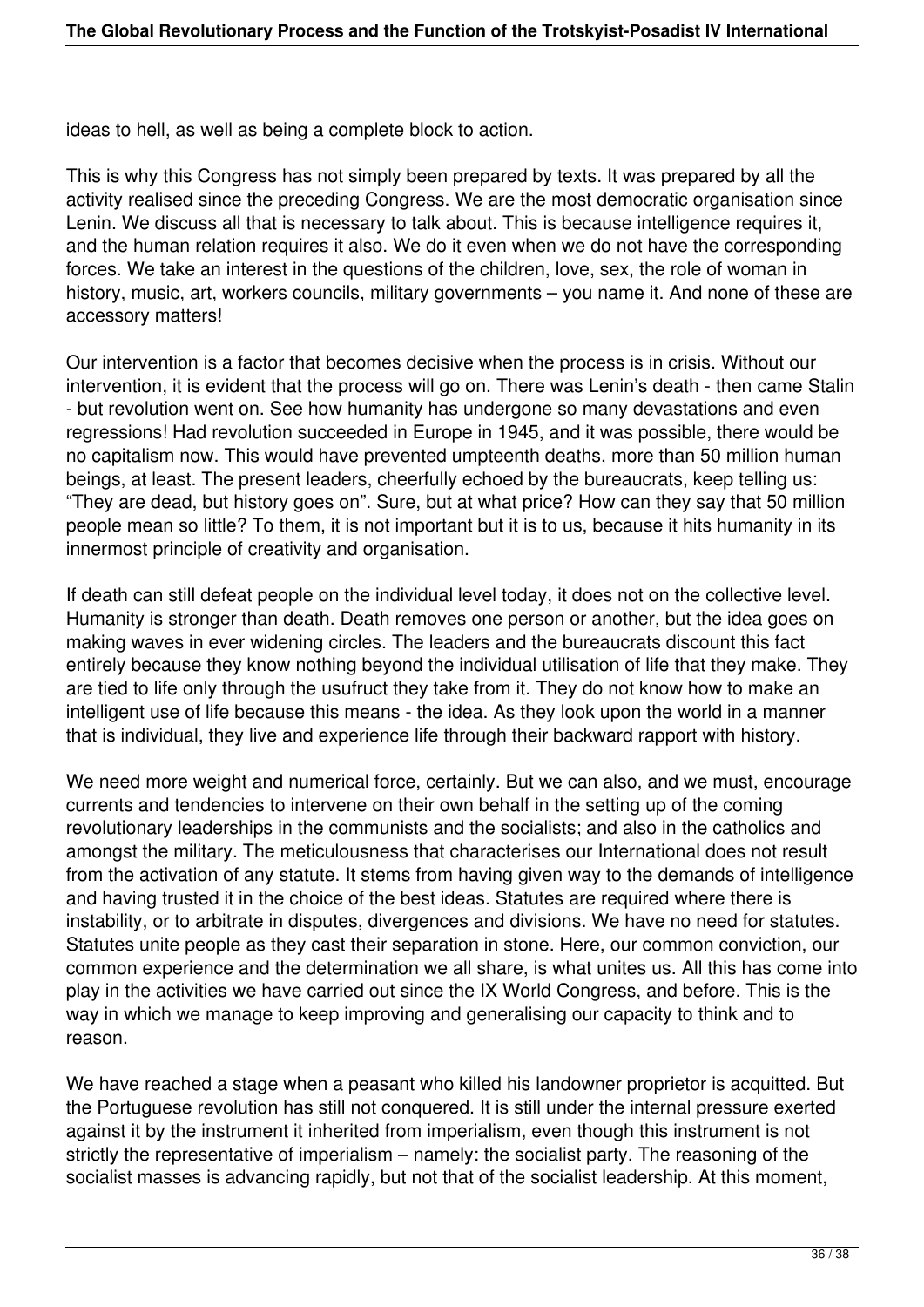ideas to hell, as well as being a complete block to action.

This is why this Congress has not simply been prepared by texts. It was prepared by all the activity realised since the preceding Congress. We are the most democratic organisation since Lenin. We discuss all that is necessary to talk about. This is because intelligence requires it, and the human relation requires it also. We do it even when we do not have the corresponding forces. We take an interest in the questions of the children, love, sex, the role of woman in history, music, art, workers councils, military governments – you name it. And none of these are accessory matters!

Our intervention is a factor that becomes decisive when the process is in crisis. Without our intervention, it is evident that the process will go on. There was Lenin's death - then came Stalin - but revolution went on. See how humanity has undergone so many devastations and even regressions! Had revolution succeeded in Europe in 1945, and it was possible, there would be no capitalism now. This would have prevented umpteenth deaths, more than 50 million human beings, at least. The present leaders, cheerfully echoed by the bureaucrats, keep telling us: "They are dead, but history goes on". Sure, but at what price? How can they say that 50 million people mean so little? To them, it is not important but it is to us, because it hits humanity in its innermost principle of creativity and organisation.

If death can still defeat people on the individual level today, it does not on the collective level. Humanity is stronger than death. Death removes one person or another, but the idea goes on making waves in ever widening circles. The leaders and the bureaucrats discount this fact entirely because they know nothing beyond the individual utilisation of life that they make. They are tied to life only through the usufruct they take from it. They do not know how to make an intelligent use of life because this means - the idea. As they look upon the world in a manner that is individual, they live and experience life through their backward rapport with history.

We need more weight and numerical force, certainly. But we can also, and we must, encourage currents and tendencies to intervene on their own behalf in the setting up of the coming revolutionary leaderships in the communists and the socialists; and also in the catholics and amongst the military. The meticulousness that characterises our International does not result from the activation of any statute. It stems from having given way to the demands of intelligence and having trusted it in the choice of the best ideas. Statutes are required where there is instability, or to arbitrate in disputes, divergences and divisions. We have no need for statutes. Statutes unite people as they cast their separation in stone. Here, our common conviction, our common experience and the determination we all share, is what unites us. All this has come into play in the activities we have carried out since the IX World Congress, and before. This is the way in which we manage to keep improving and generalising our capacity to think and to reason.

We have reached a stage when a peasant who killed his landowner proprietor is acquitted. But the Portuguese revolution has still not conquered. It is still under the internal pressure exerted against it by the instrument it inherited from imperialism, even though this instrument is not strictly the representative of imperialism – namely: the socialist party. The reasoning of the socialist masses is advancing rapidly, but not that of the socialist leadership. At this moment,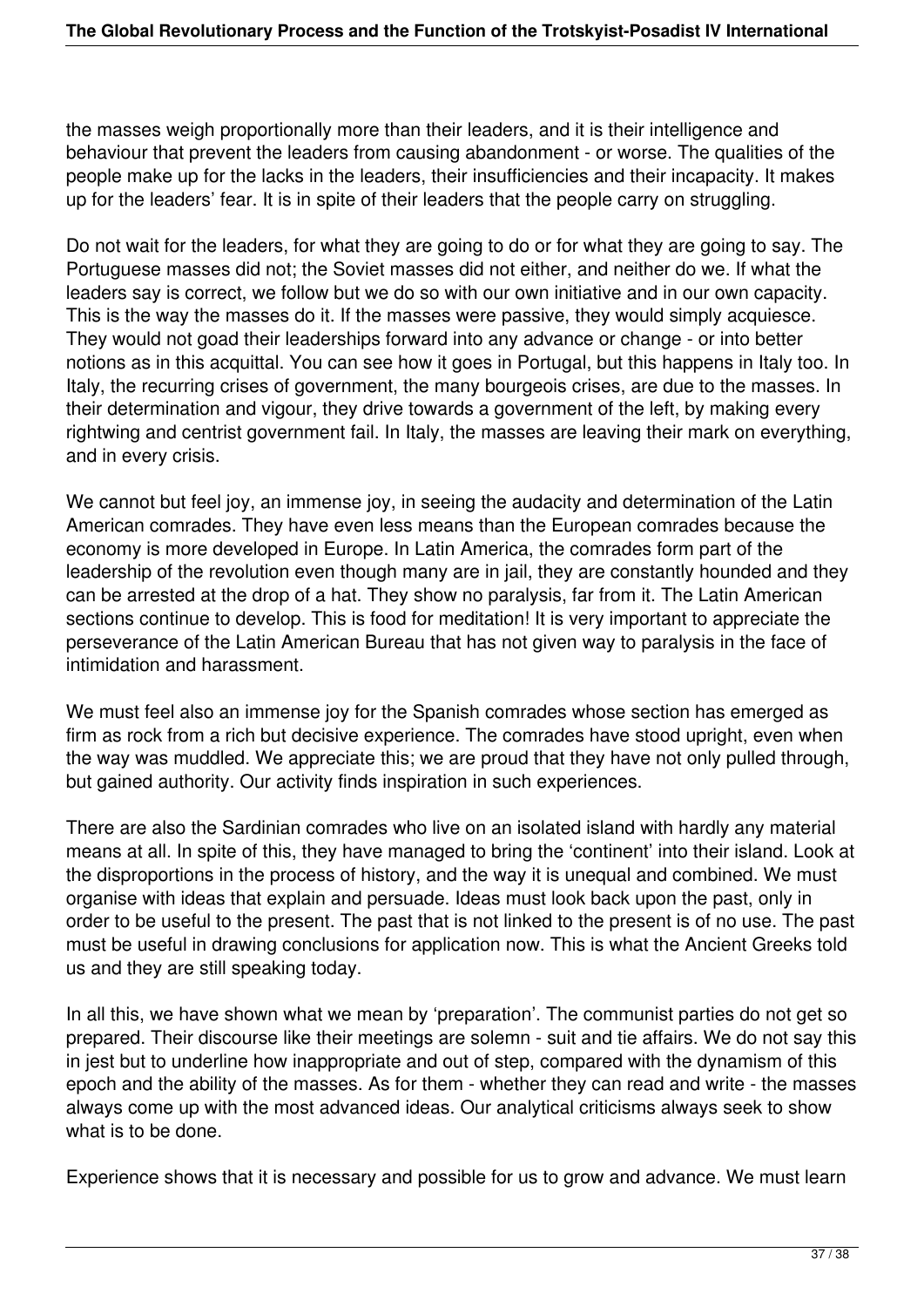the masses weigh proportionally more than their leaders, and it is their intelligence and behaviour that prevent the leaders from causing abandonment - or worse. The qualities of the people make up for the lacks in the leaders, their insufficiencies and their incapacity. It makes up for the leaders' fear. It is in spite of their leaders that the people carry on struggling.

Do not wait for the leaders, for what they are going to do or for what they are going to say. The Portuguese masses did not; the Soviet masses did not either, and neither do we. If what the leaders say is correct, we follow but we do so with our own initiative and in our own capacity. This is the way the masses do it. If the masses were passive, they would simply acquiesce. They would not goad their leaderships forward into any advance or change - or into better notions as in this acquittal. You can see how it goes in Portugal, but this happens in Italy too. In Italy, the recurring crises of government, the many bourgeois crises, are due to the masses. In their determination and vigour, they drive towards a government of the left, by making every rightwing and centrist government fail. In Italy, the masses are leaving their mark on everything, and in every crisis.

We cannot but feel joy, an immense joy, in seeing the audacity and determination of the Latin American comrades. They have even less means than the European comrades because the economy is more developed in Europe. In Latin America, the comrades form part of the leadership of the revolution even though many are in jail, they are constantly hounded and they can be arrested at the drop of a hat. They show no paralysis, far from it. The Latin American sections continue to develop. This is food for meditation! It is very important to appreciate the perseverance of the Latin American Bureau that has not given way to paralysis in the face of intimidation and harassment.

We must feel also an immense joy for the Spanish comrades whose section has emerged as firm as rock from a rich but decisive experience. The comrades have stood upright, even when the way was muddled. We appreciate this; we are proud that they have not only pulled through, but gained authority. Our activity finds inspiration in such experiences.

There are also the Sardinian comrades who live on an isolated island with hardly any material means at all. In spite of this, they have managed to bring the 'continent' into their island. Look at the disproportions in the process of history, and the way it is unequal and combined. We must organise with ideas that explain and persuade. Ideas must look back upon the past, only in order to be useful to the present. The past that is not linked to the present is of no use. The past must be useful in drawing conclusions for application now. This is what the Ancient Greeks told us and they are still speaking today.

In all this, we have shown what we mean by 'preparation'. The communist parties do not get so prepared. Their discourse like their meetings are solemn - suit and tie affairs. We do not say this in jest but to underline how inappropriate and out of step, compared with the dynamism of this epoch and the ability of the masses. As for them - whether they can read and write - the masses always come up with the most advanced ideas. Our analytical criticisms always seek to show what is to be done.

Experience shows that it is necessary and possible for us to grow and advance. We must learn